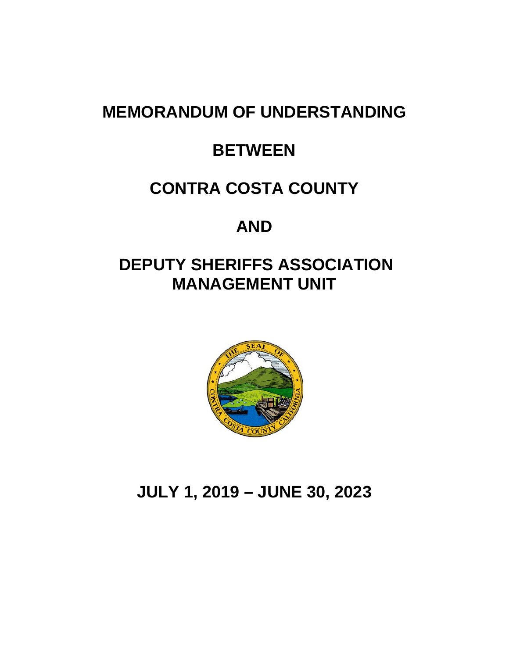# **MEMORANDUM OF UNDERSTANDING**

# **BETWEEN**

# **CONTRA COSTA COUNTY**

# **AND**

# **DEPUTY SHERIFFS ASSOCIATION MANAGEMENT UNIT**



# **JULY 1, 2019 – JUNE 30, 2023**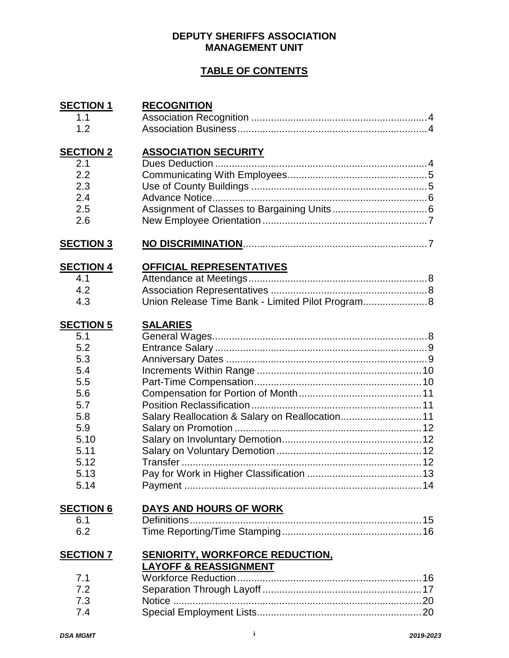#### **DEPUTY SHERIFFS ASSOCIATION MANAGEMENT UNIT**

#### **TABLE OF CONTENTS**

| <b>SECTION 1</b><br>1.1<br>1.2                                                                                          | <b>RECOGNITION</b>                                                            |  |
|-------------------------------------------------------------------------------------------------------------------------|-------------------------------------------------------------------------------|--|
| <b>SECTION 2</b><br>2.1<br>2.2<br>2.3<br>2.4<br>2.5<br>2.6                                                              | <b>ASSOCIATION SECURITY</b>                                                   |  |
| <b>SECTION 3</b>                                                                                                        |                                                                               |  |
| <b>SECTION 4</b><br>4.1<br>4.2<br>4.3                                                                                   | OFFICIAL REPRESENTATIVES<br>Union Release Time Bank - Limited Pilot Program 8 |  |
| <b>SECTION 5</b><br>5.1<br>5.2<br>5.3<br>5.4<br>5.5<br>5.6<br>5.7<br>5.8<br>5.9<br>5.10<br>5.11<br>5.12<br>5.13<br>5.14 | <b>SALARIES</b><br>Salary Reallocation & Salary on Reallocation 11            |  |
| <b>SECTION 6</b><br>6.1<br>6.2                                                                                          | DAYS AND HOURS OF WORK                                                        |  |
| <b>SECTION 7</b><br>7.1<br>7.2<br>7.3<br>7.4                                                                            | <b>SENIORITY, WORKFORCE REDUCTION,</b><br><u>LAYOFF &amp; REASSIGNMENT</u>    |  |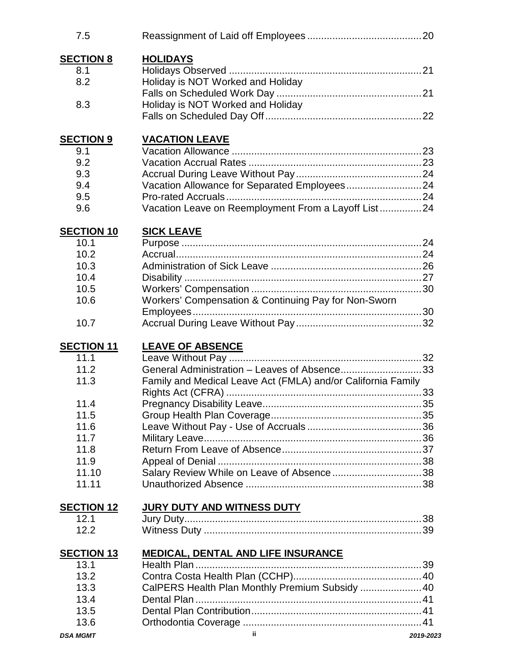| 7.5               |                                                              |  |
|-------------------|--------------------------------------------------------------|--|
| <b>SECTION 8</b>  | <b>HOLIDAYS</b>                                              |  |
| 8.1               |                                                              |  |
| 8.2               | Holiday is NOT Worked and Holiday                            |  |
|                   |                                                              |  |
| 8.3               | Holiday is NOT Worked and Holiday                            |  |
|                   |                                                              |  |
| <b>SECTION 9</b>  | <b>VACATION LEAVE</b>                                        |  |
| 9.1               |                                                              |  |
| 9.2               |                                                              |  |
| 9.3               |                                                              |  |
| 9.4               | Vacation Allowance for Separated Employees24                 |  |
| 9.5               |                                                              |  |
| 9.6               | Vacation Leave on Reemployment From a Layoff List24          |  |
| <b>SECTION 10</b> | <b>SICK LEAVE</b>                                            |  |
| 10.1              |                                                              |  |
| 10.2              |                                                              |  |
| 10.3              |                                                              |  |
| 10.4              |                                                              |  |
| 10.5              |                                                              |  |
| 10.6              | Workers' Compensation & Continuing Pay for Non-Sworn         |  |
|                   |                                                              |  |
| 10.7              |                                                              |  |
| <b>SECTION 11</b> | <b>LEAVE OF ABSENCE</b>                                      |  |
| 11.1              |                                                              |  |
| 11.2              | General Administration - Leaves of Absence33                 |  |
| 11.3              | Family and Medical Leave Act (FMLA) and/or California Family |  |
| 11.4              |                                                              |  |
|                   |                                                              |  |
| 11.5              |                                                              |  |
| 11.6              |                                                              |  |
| 11.7<br>11.8      |                                                              |  |
| 11.9              |                                                              |  |
| 11.10             |                                                              |  |
| 11.11             | Salary Review While on Leave of Absence38                    |  |
|                   |                                                              |  |
| <b>SECTION 12</b> | <u>JURY DUTY AND WITNESS DUTY</u>                            |  |
| 12.1              |                                                              |  |
| 12.2              |                                                              |  |
| <b>SECTION 13</b> | <b>MEDICAL, DENTAL AND LIFE INSURANCE</b>                    |  |
| 13.1              |                                                              |  |
| 13.2              |                                                              |  |
| 13.3              | CalPERS Health Plan Monthly Premium Subsidy  40              |  |
| 13.4              |                                                              |  |
| 13.5              |                                                              |  |
| 13.6              |                                                              |  |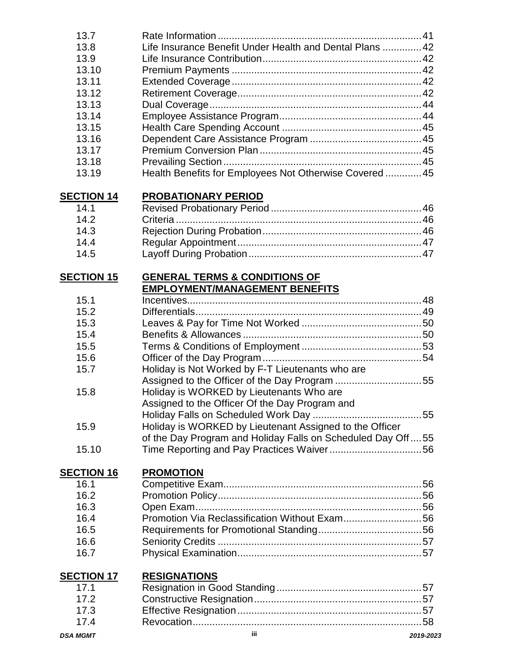| 13.7              |                                                             |           |
|-------------------|-------------------------------------------------------------|-----------|
| 13.8              | Life Insurance Benefit Under Health and Dental Plans  42    |           |
| 13.9              |                                                             |           |
| 13.10             |                                                             |           |
| 13.11             |                                                             |           |
| 13.12             |                                                             |           |
| 13.13             |                                                             |           |
| 13.14             |                                                             |           |
| 13.15             |                                                             |           |
| 13.16             |                                                             |           |
| 13.17             |                                                             |           |
| 13.18             |                                                             |           |
| 13.19             | Health Benefits for Employees Not Otherwise Covered  45     |           |
|                   |                                                             |           |
| <b>SECTION 14</b> | <b>PROBATIONARY PERIOD</b>                                  |           |
| 14.1              |                                                             |           |
| 14.2              |                                                             |           |
| 14.3              |                                                             |           |
| 14.4              |                                                             |           |
| 14.5              |                                                             |           |
|                   |                                                             |           |
| <b>SECTION 15</b> | <b>GENERAL TERMS &amp; CONDITIONS OF</b>                    |           |
|                   | <b>EMPLOYMENT/MANAGEMENT BENEFITS</b>                       |           |
| 15.1              |                                                             |           |
| 15.2              |                                                             |           |
| 15.3              |                                                             |           |
| 15.4              |                                                             |           |
| 15.5              |                                                             |           |
| 15.6              |                                                             |           |
| 15.7              | Holiday is Not Worked by F-T Lieutenants who are            |           |
|                   |                                                             |           |
| 15.8              | Holiday is WORKED by Lieutenants Who are                    |           |
|                   | Assigned to the Officer Of the Day Program and              |           |
|                   |                                                             |           |
| 15.9              |                                                             |           |
|                   | Holiday is WORKED by Lieutenant Assigned to the Officer     |           |
|                   | of the Day Program and Holiday Falls on Scheduled Day Off55 |           |
| 15.10             |                                                             |           |
| <b>SECTION 16</b> | <b>PROMOTION</b>                                            |           |
| 16.1              |                                                             |           |
| 16.2              |                                                             |           |
| 16.3              |                                                             |           |
| 16.4              | Promotion Via Reclassification Without Exam56               |           |
| 16.5              |                                                             |           |
|                   |                                                             |           |
| 16.6              |                                                             |           |
| 16.7              |                                                             |           |
| <b>SECTION 17</b> | <b>RESIGNATIONS</b>                                         |           |
| 17.1              |                                                             |           |
| 17.2              |                                                             |           |
| 17.3              |                                                             |           |
| 17.4              |                                                             |           |
| <b>DSA MGMT</b>   | iii.                                                        | 2019-2023 |
|                   |                                                             |           |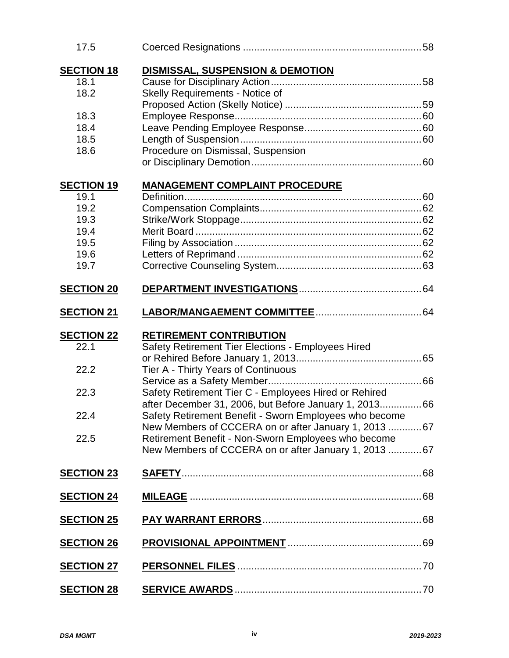| 17.5              |                                                        |  |
|-------------------|--------------------------------------------------------|--|
| <b>SECTION 18</b> | DISMISSAL, SUSPENSION & DEMOTION                       |  |
| 18.1              |                                                        |  |
| 18.2              | Skelly Requirements - Notice of                        |  |
|                   |                                                        |  |
| 18.3              |                                                        |  |
| 18.4              |                                                        |  |
| 18.5              |                                                        |  |
| 18.6              | Procedure on Dismissal, Suspension                     |  |
|                   |                                                        |  |
| <b>SECTION 19</b> | <b>MANAGEMENT COMPLAINT PROCEDURE</b>                  |  |
| 19.1              |                                                        |  |
| 19.2              |                                                        |  |
| 19.3              |                                                        |  |
| 19.4              |                                                        |  |
| 19.5              |                                                        |  |
| 19.6              |                                                        |  |
| 19.7              |                                                        |  |
| <b>SECTION 20</b> |                                                        |  |
| <b>SECTION 21</b> |                                                        |  |
| <b>SECTION 22</b> | <b>RETIREMENT CONTRIBUTION</b>                         |  |
| 22.1              | Safety Retirement Tier Elections - Employees Hired     |  |
|                   |                                                        |  |
| 22.2              | Tier A - Thirty Years of Continuous                    |  |
|                   |                                                        |  |
| 22.3              | Safety Retirement Tier C - Employees Hired or Rehired  |  |
|                   | after December 31, 2006, but Before January 1, 2013 66 |  |
| 22.4              | Safety Retirement Benefit - Sworn Employees who become |  |
|                   | New Members of CCCERA on or after January 1, 2013 67   |  |
| 22.5              | Retirement Benefit - Non-Sworn Employees who become    |  |
|                   | New Members of CCCERA on or after January 1, 2013 67   |  |
| <b>SECTION 23</b> |                                                        |  |
| <b>SECTION 24</b> |                                                        |  |
| <b>SECTION 25</b> |                                                        |  |
|                   |                                                        |  |
| <b>SECTION 26</b> |                                                        |  |
| <b>SECTION 27</b> |                                                        |  |
| <b>SECTION 28</b> |                                                        |  |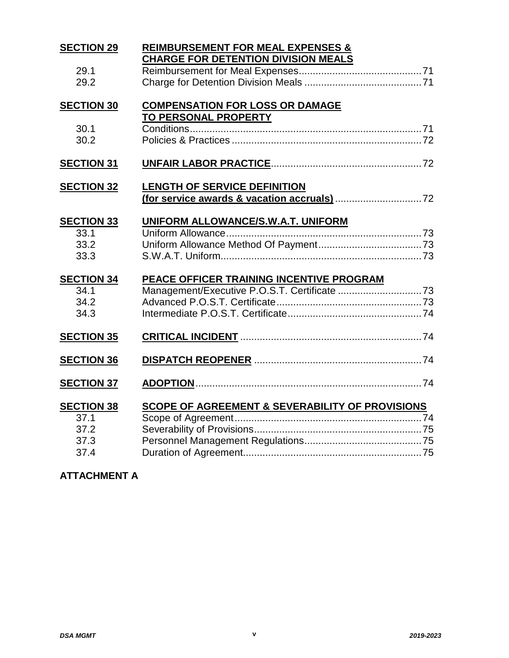| <b>SECTION 29</b> | <b>REIMBURSEMENT FOR MEAL EXPENSES &amp;</b>               |
|-------------------|------------------------------------------------------------|
|                   | <b>CHARGE FOR DETENTION DIVISION MEALS</b>                 |
| 29.1              |                                                            |
| 29.2              |                                                            |
| <b>SECTION 30</b> | <b>COMPENSATION FOR LOSS OR DAMAGE</b>                     |
|                   | TO PERSONAL PROPERTY                                       |
| 30.1              |                                                            |
| 30.2              |                                                            |
| <b>SECTION 31</b> |                                                            |
| <b>SECTION 32</b> | <b>LENGTH OF SERVICE DEFINITION</b>                        |
|                   |                                                            |
|                   |                                                            |
| <b>SECTION 33</b> | UNIFORM ALLOWANCE/S.W.A.T. UNIFORM                         |
| 33.1              |                                                            |
| 33.2              |                                                            |
| 33.3              |                                                            |
| <b>SECTION 34</b> | PEACE OFFICER TRAINING INCENTIVE PROGRAM                   |
| 34.1              |                                                            |
| 34.2              |                                                            |
| 34.3              |                                                            |
| <b>SECTION 35</b> |                                                            |
|                   |                                                            |
| <b>SECTION 36</b> |                                                            |
| <b>SECTION 37</b> |                                                            |
|                   |                                                            |
| <b>SECTION 38</b> | <b>SCOPE OF AGREEMENT &amp; SEVERABILITY OF PROVISIONS</b> |
| 37.1              |                                                            |
| 37.2              |                                                            |
| 37.3              |                                                            |
| 37.4              |                                                            |

## **ATTACHMENT A**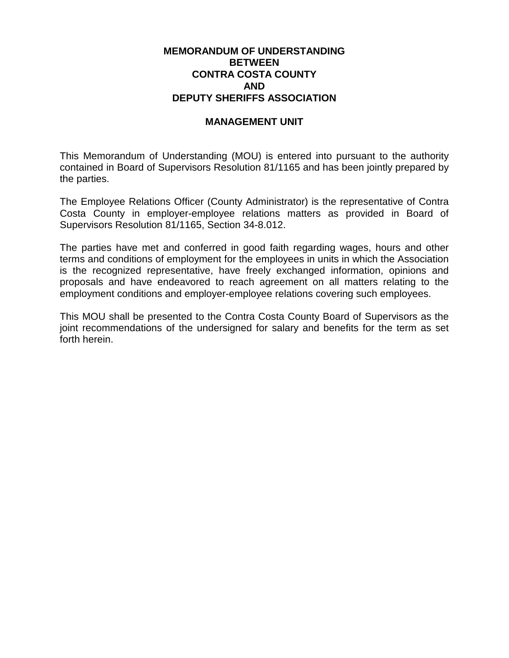#### **MEMORANDUM OF UNDERSTANDING BETWEEN CONTRA COSTA COUNTY AND DEPUTY SHERIFFS ASSOCIATION**

#### **MANAGEMENT UNIT**

This Memorandum of Understanding (MOU) is entered into pursuant to the authority contained in Board of Supervisors Resolution 81/1165 and has been jointly prepared by the parties.

The Employee Relations Officer (County Administrator) is the representative of Contra Costa County in employer-employee relations matters as provided in Board of Supervisors Resolution 81/1165, Section 34-8.012.

The parties have met and conferred in good faith regarding wages, hours and other terms and conditions of employment for the employees in units in which the Association is the recognized representative, have freely exchanged information, opinions and proposals and have endeavored to reach agreement on all matters relating to the employment conditions and employer-employee relations covering such employees.

This MOU shall be presented to the Contra Costa County Board of Supervisors as the joint recommendations of the undersigned for salary and benefits for the term as set forth herein.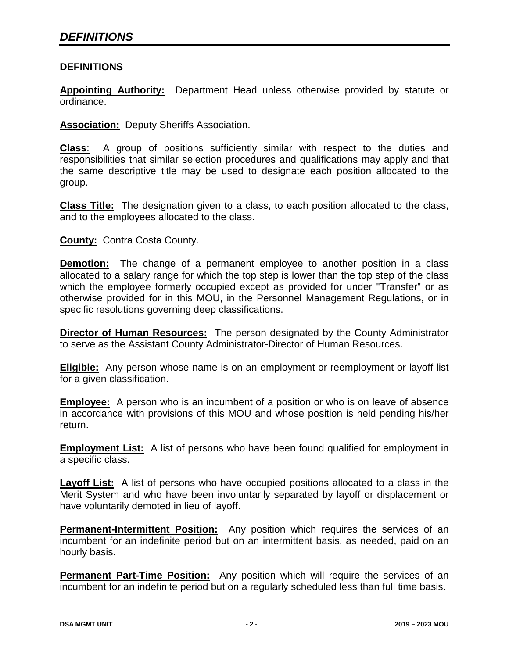#### **DEFINITIONS**

**Appointing Authority:** Department Head unless otherwise provided by statute or ordinance.

**Association:** Deputy Sheriffs Association.

**Class**: A group of positions sufficiently similar with respect to the duties and responsibilities that similar selection procedures and qualifications may apply and that the same descriptive title may be used to designate each position allocated to the group.

**Class Title:** The designation given to a class, to each position allocated to the class, and to the employees allocated to the class.

**County:** Contra Costa County.

**Demotion:** The change of a permanent employee to another position in a class allocated to a salary range for which the top step is lower than the top step of the class which the employee formerly occupied except as provided for under "Transfer" or as otherwise provided for in this MOU, in the Personnel Management Regulations, or in specific resolutions governing deep classifications.

**Director of Human Resources:** The person designated by the County Administrator to serve as the Assistant County Administrator-Director of Human Resources.

**Eligible:** Any person whose name is on an employment or reemployment or layoff list for a given classification.

**Employee:** A person who is an incumbent of a position or who is on leave of absence in accordance with provisions of this MOU and whose position is held pending his/her return.

**Employment List:** A list of persons who have been found qualified for employment in a specific class.

**Layoff List:** A list of persons who have occupied positions allocated to a class in the Merit System and who have been involuntarily separated by layoff or displacement or have voluntarily demoted in lieu of layoff.

**Permanent-Intermittent Position:** Any position which requires the services of an incumbent for an indefinite period but on an intermittent basis, as needed, paid on an hourly basis.

**Permanent Part-Time Position:** Any position which will require the services of an incumbent for an indefinite period but on a regularly scheduled less than full time basis.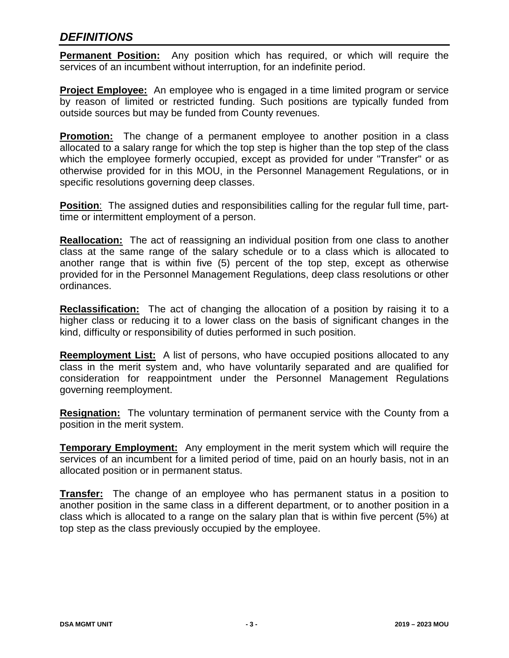### *DEFINITIONS*

**Permanent Position:** Any position which has required, or which will require the services of an incumbent without interruption, for an indefinite period.

**Project Employee:** An employee who is engaged in a time limited program or service by reason of limited or restricted funding. Such positions are typically funded from outside sources but may be funded from County revenues.

**Promotion:** The change of a permanent employee to another position in a class allocated to a salary range for which the top step is higher than the top step of the class which the employee formerly occupied, except as provided for under "Transfer" or as otherwise provided for in this MOU, in the Personnel Management Regulations, or in specific resolutions governing deep classes.

**Position**: The assigned duties and responsibilities calling for the regular full time, parttime or intermittent employment of a person.

**Reallocation:** The act of reassigning an individual position from one class to another class at the same range of the salary schedule or to a class which is allocated to another range that is within five (5) percent of the top step, except as otherwise provided for in the Personnel Management Regulations, deep class resolutions or other ordinances.

**Reclassification:** The act of changing the allocation of a position by raising it to a higher class or reducing it to a lower class on the basis of significant changes in the kind, difficulty or responsibility of duties performed in such position.

**Reemployment List:** A list of persons, who have occupied positions allocated to any class in the merit system and, who have voluntarily separated and are qualified for consideration for reappointment under the Personnel Management Regulations governing reemployment.

**Resignation:** The voluntary termination of permanent service with the County from a position in the merit system.

**Temporary Employment:** Any employment in the merit system which will require the services of an incumbent for a limited period of time, paid on an hourly basis, not in an allocated position or in permanent status.

**Transfer:** The change of an employee who has permanent status in a position to another position in the same class in a different department, or to another position in a class which is allocated to a range on the salary plan that is within five percent (5%) at top step as the class previously occupied by the employee.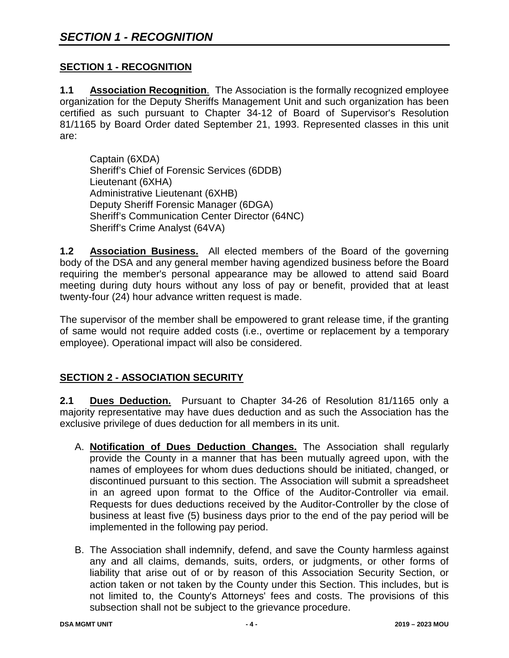#### **SECTION 1 - RECOGNITION**

**1.1 Association Recognition**. The Association is the formally recognized employee organization for the Deputy Sheriffs Management Unit and such organization has been certified as such pursuant to Chapter 34-12 of Board of Supervisor's Resolution 81/1165 by Board Order dated September 21, 1993. Represented classes in this unit are:

Captain (6XDA) Sheriff's Chief of Forensic Services (6DDB) Lieutenant (6XHA) Administrative Lieutenant (6XHB) Deputy Sheriff Forensic Manager (6DGA) Sheriff's Communication Center Director (64NC) Sheriff's Crime Analyst (64VA)

**1.2 Association Business.** All elected members of the Board of the governing body of the DSA and any general member having agendized business before the Board requiring the member's personal appearance may be allowed to attend said Board meeting during duty hours without any loss of pay or benefit, provided that at least twenty-four (24) hour advance written request is made.

The supervisor of the member shall be empowered to grant release time, if the granting of same would not require added costs (i.e., overtime or replacement by a temporary employee). Operational impact will also be considered.

#### **SECTION 2 - ASSOCIATION SECURITY**

**2.1 Dues Deduction.** Pursuant to Chapter 34-26 of Resolution 81/1165 only a majority representative may have dues deduction and as such the Association has the exclusive privilege of dues deduction for all members in its unit.

- A. **Notification of Dues Deduction Changes.** The Association shall regularly provide the County in a manner that has been mutually agreed upon, with the names of employees for whom dues deductions should be initiated, changed, or discontinued pursuant to this section. The Association will submit a spreadsheet in an agreed upon format to the Office of the Auditor-Controller via email. Requests for dues deductions received by the Auditor-Controller by the close of business at least five (5) business days prior to the end of the pay period will be implemented in the following pay period.
- B. The Association shall indemnify, defend, and save the County harmless against any and all claims, demands, suits, orders, or judgments, or other forms of liability that arise out of or by reason of this Association Security Section, or action taken or not taken by the County under this Section. This includes, but is not limited to, the County's Attorneys' fees and costs. The provisions of this subsection shall not be subject to the grievance procedure.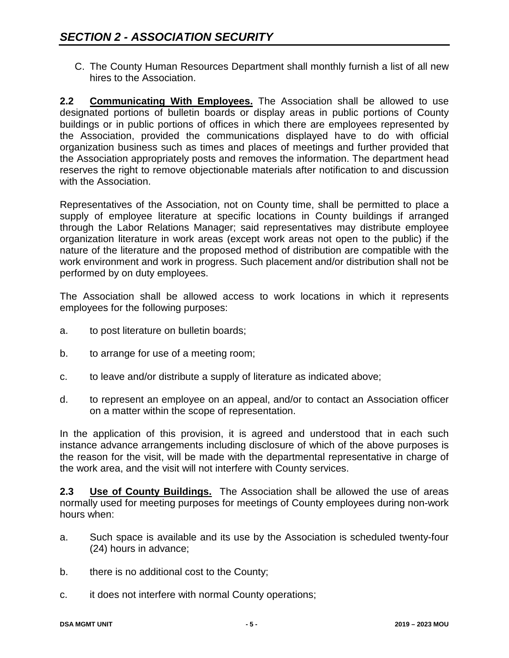C. The County Human Resources Department shall monthly furnish a list of all new hires to the Association.

**2.2 Communicating With Employees.** The Association shall be allowed to use designated portions of bulletin boards or display areas in public portions of County buildings or in public portions of offices in which there are employees represented by the Association, provided the communications displayed have to do with official organization business such as times and places of meetings and further provided that the Association appropriately posts and removes the information. The department head reserves the right to remove objectionable materials after notification to and discussion with the Association.

Representatives of the Association, not on County time, shall be permitted to place a supply of employee literature at specific locations in County buildings if arranged through the Labor Relations Manager; said representatives may distribute employee organization literature in work areas (except work areas not open to the public) if the nature of the literature and the proposed method of distribution are compatible with the work environment and work in progress. Such placement and/or distribution shall not be performed by on duty employees.

The Association shall be allowed access to work locations in which it represents employees for the following purposes:

- a. to post literature on bulletin boards;
- b. to arrange for use of a meeting room;
- c. to leave and/or distribute a supply of literature as indicated above;
- d. to represent an employee on an appeal, and/or to contact an Association officer on a matter within the scope of representation.

In the application of this provision, it is agreed and understood that in each such instance advance arrangements including disclosure of which of the above purposes is the reason for the visit, will be made with the departmental representative in charge of the work area, and the visit will not interfere with County services.

**2.3 Use of County Buildings.** The Association shall be allowed the use of areas normally used for meeting purposes for meetings of County employees during non-work hours when:

- a. Such space is available and its use by the Association is scheduled twenty-four (24) hours in advance;
- b. there is no additional cost to the County;
- c. it does not interfere with normal County operations;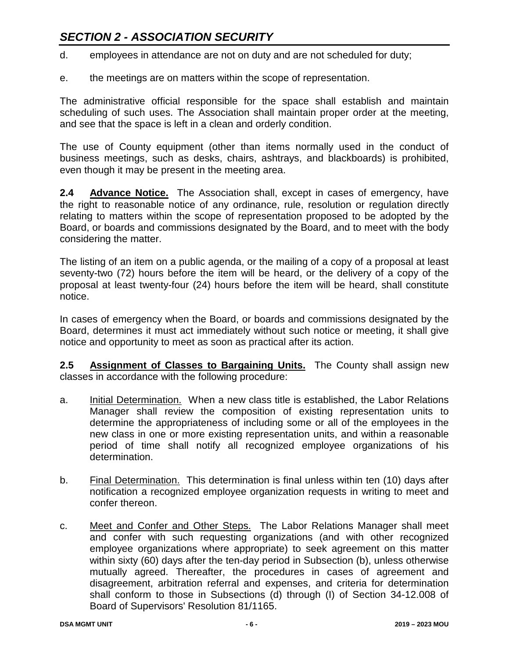# *SECTION 2 - ASSOCIATION SECURITY*

- d. employees in attendance are not on duty and are not scheduled for duty;
- e. the meetings are on matters within the scope of representation.

The administrative official responsible for the space shall establish and maintain scheduling of such uses. The Association shall maintain proper order at the meeting, and see that the space is left in a clean and orderly condition.

The use of County equipment (other than items normally used in the conduct of business meetings, such as desks, chairs, ashtrays, and blackboards) is prohibited, even though it may be present in the meeting area.

**2.4 Advance Notice.** The Association shall, except in cases of emergency, have the right to reasonable notice of any ordinance, rule, resolution or regulation directly relating to matters within the scope of representation proposed to be adopted by the Board, or boards and commissions designated by the Board, and to meet with the body considering the matter.

The listing of an item on a public agenda, or the mailing of a copy of a proposal at least seventy-two (72) hours before the item will be heard, or the delivery of a copy of the proposal at least twenty-four (24) hours before the item will be heard, shall constitute notice.

In cases of emergency when the Board, or boards and commissions designated by the Board, determines it must act immediately without such notice or meeting, it shall give notice and opportunity to meet as soon as practical after its action.

**2.5 Assignment of Classes to Bargaining Units.** The County shall assign new classes in accordance with the following procedure:

- a. Initial Determination. When a new class title is established, the Labor Relations Manager shall review the composition of existing representation units to determine the appropriateness of including some or all of the employees in the new class in one or more existing representation units, and within a reasonable period of time shall notify all recognized employee organizations of his determination.
- b. Final Determination. This determination is final unless within ten (10) days after notification a recognized employee organization requests in writing to meet and confer thereon.
- c. Meet and Confer and Other Steps. The Labor Relations Manager shall meet and confer with such requesting organizations (and with other recognized employee organizations where appropriate) to seek agreement on this matter within sixty (60) days after the ten-day period in Subsection (b), unless otherwise mutually agreed. Thereafter, the procedures in cases of agreement and disagreement, arbitration referral and expenses, and criteria for determination shall conform to those in Subsections (d) through (I) of Section 34-12.008 of Board of Supervisors' Resolution 81/1165.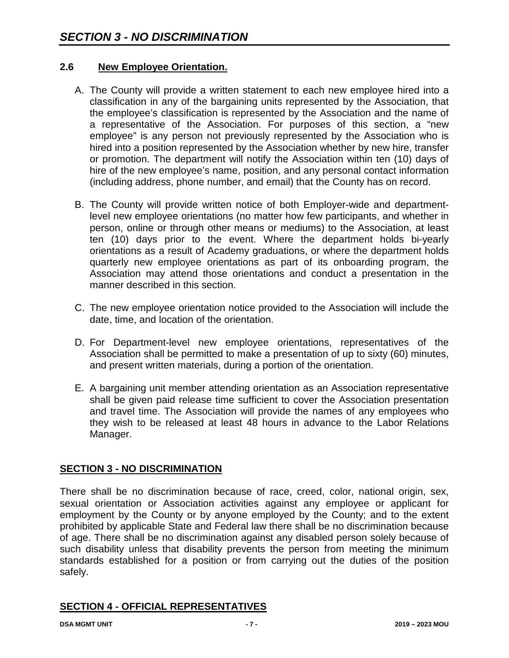#### **2.6 New Employee Orientation.**

- A. The County will provide a written statement to each new employee hired into a classification in any of the bargaining units represented by the Association, that the employee's classification is represented by the Association and the name of a representative of the Association. For purposes of this section, a "new employee" is any person not previously represented by the Association who is hired into a position represented by the Association whether by new hire, transfer or promotion. The department will notify the Association within ten (10) days of hire of the new employee's name, position, and any personal contact information (including address, phone number, and email) that the County has on record.
- B. The County will provide written notice of both Employer-wide and departmentlevel new employee orientations (no matter how few participants, and whether in person, online or through other means or mediums) to the Association, at least ten (10) days prior to the event. Where the department holds bi-yearly orientations as a result of Academy graduations, or where the department holds quarterly new employee orientations as part of its onboarding program, the Association may attend those orientations and conduct a presentation in the manner described in this section.
- C. The new employee orientation notice provided to the Association will include the date, time, and location of the orientation.
- D. For Department-level new employee orientations, representatives of the Association shall be permitted to make a presentation of up to sixty (60) minutes, and present written materials, during a portion of the orientation.
- E. A bargaining unit member attending orientation as an Association representative shall be given paid release time sufficient to cover the Association presentation and travel time. The Association will provide the names of any employees who they wish to be released at least 48 hours in advance to the Labor Relations Manager.

#### **SECTION 3 - NO DISCRIMINATION**

There shall be no discrimination because of race, creed, color, national origin, sex, sexual orientation or Association activities against any employee or applicant for employment by the County or by anyone employed by the County; and to the extent prohibited by applicable State and Federal law there shall be no discrimination because of age. There shall be no discrimination against any disabled person solely because of such disability unless that disability prevents the person from meeting the minimum standards established for a position or from carrying out the duties of the position safely.

#### **SECTION 4 - OFFICIAL REPRESENTATIVES**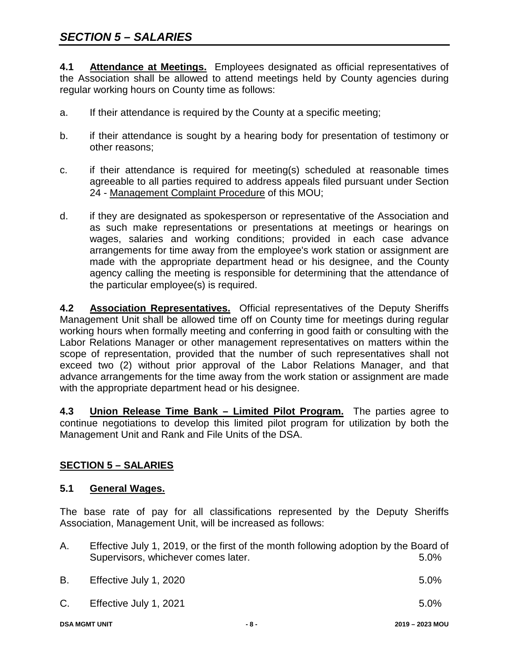**4.1 Attendance at Meetings.** Employees designated as official representatives of the Association shall be allowed to attend meetings held by County agencies during regular working hours on County time as follows:

- a. If their attendance is required by the County at a specific meeting;
- b. if their attendance is sought by a hearing body for presentation of testimony or other reasons;
- c. if their attendance is required for meeting(s) scheduled at reasonable times agreeable to all parties required to address appeals filed pursuant under Section 24 - Management Complaint Procedure of this MOU;
- d. if they are designated as spokesperson or representative of the Association and as such make representations or presentations at meetings or hearings on wages, salaries and working conditions; provided in each case advance arrangements for time away from the employee's work station or assignment are made with the appropriate department head or his designee, and the County agency calling the meeting is responsible for determining that the attendance of the particular employee(s) is required.

**4.2 Association Representatives.** Official representatives of the Deputy Sheriffs Management Unit shall be allowed time off on County time for meetings during regular working hours when formally meeting and conferring in good faith or consulting with the Labor Relations Manager or other management representatives on matters within the scope of representation, provided that the number of such representatives shall not exceed two (2) without prior approval of the Labor Relations Manager, and that advance arrangements for the time away from the work station or assignment are made with the appropriate department head or his designee.

**4.3 Union Release Time Bank – Limited Pilot Program.** The parties agree to continue negotiations to develop this limited pilot program for utilization by both the Management Unit and Rank and File Units of the DSA.

#### **SECTION 5 – SALARIES**

#### **5.1 General Wages.**

The base rate of pay for all classifications represented by the Deputy Sheriffs Association, Management Unit, will be increased as follows:

| Α. | Effective July 1, 2019, or the first of the month following adoption by the Board of<br>Supervisors, whichever comes later. | $5.0\%$ |
|----|-----------------------------------------------------------------------------------------------------------------------------|---------|
| В. | Effective July 1, 2020                                                                                                      | $5.0\%$ |

C. Effective July 1, 2021 5.0%

**DSA MGMT UNIT - 8 - 2019 – 2023 MOU**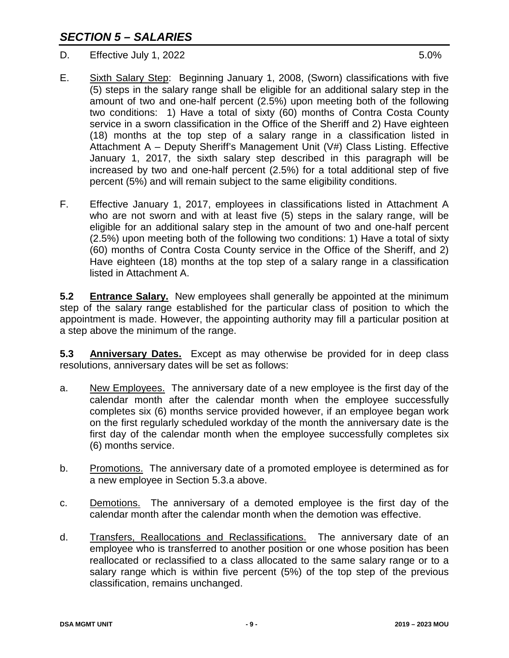D. Effective July 1, 2022 5.0%

- E. Sixth Salary Step: Beginning January 1, 2008, (Sworn) classifications with five (5) steps in the salary range shall be eligible for an additional salary step in the amount of two and one-half percent (2.5%) upon meeting both of the following two conditions: 1) Have a total of sixty (60) months of Contra Costa County service in a sworn classification in the Office of the Sheriff and 2) Have eighteen (18) months at the top step of a salary range in a classification listed in Attachment A – Deputy Sheriff's Management Unit (V#) Class Listing. Effective January 1, 2017, the sixth salary step described in this paragraph will be increased by two and one-half percent (2.5%) for a total additional step of five percent (5%) and will remain subject to the same eligibility conditions.
- F. Effective January 1, 2017, employees in classifications listed in Attachment A who are not sworn and with at least five (5) steps in the salary range, will be eligible for an additional salary step in the amount of two and one-half percent (2.5%) upon meeting both of the following two conditions: 1) Have a total of sixty (60) months of Contra Costa County service in the Office of the Sheriff, and 2) Have eighteen (18) months at the top step of a salary range in a classification listed in Attachment A.

**5.2 Entrance Salary.** New employees shall generally be appointed at the minimum step of the salary range established for the particular class of position to which the appointment is made. However, the appointing authority may fill a particular position at a step above the minimum of the range.

**5.3 Anniversary Dates.** Except as may otherwise be provided for in deep class resolutions, anniversary dates will be set as follows:

- a. New Employees. The anniversary date of a new employee is the first day of the calendar month after the calendar month when the employee successfully completes six (6) months service provided however, if an employee began work on the first regularly scheduled workday of the month the anniversary date is the first day of the calendar month when the employee successfully completes six (6) months service.
- b. Promotions. The anniversary date of a promoted employee is determined as for a new employee in Section 5.3.a above.
- c. Demotions. The anniversary of a demoted employee is the first day of the calendar month after the calendar month when the demotion was effective.
- d. Transfers, Reallocations and Reclassifications. The anniversary date of an employee who is transferred to another position or one whose position has been reallocated or reclassified to a class allocated to the same salary range or to a salary range which is within five percent (5%) of the top step of the previous classification, remains unchanged.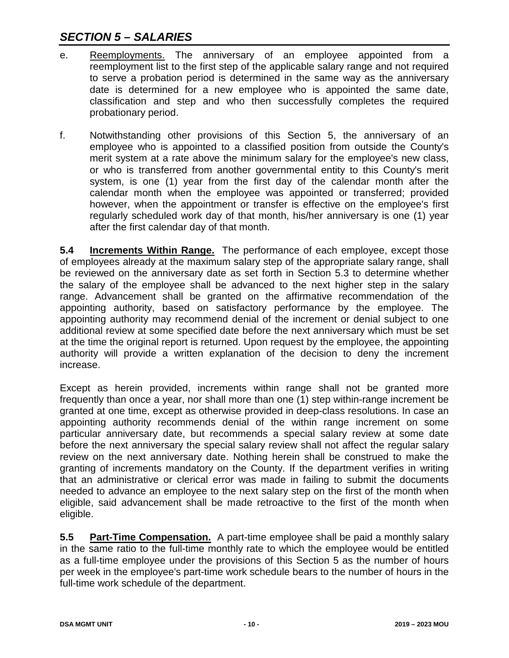- e. Reemployments. The anniversary of an employee appointed from a reemployment list to the first step of the applicable salary range and not required to serve a probation period is determined in the same way as the anniversary date is determined for a new employee who is appointed the same date, classification and step and who then successfully completes the required probationary period.
- f. Notwithstanding other provisions of this Section 5, the anniversary of an employee who is appointed to a classified position from outside the County's merit system at a rate above the minimum salary for the employee's new class, or who is transferred from another governmental entity to this County's merit system, is one (1) year from the first day of the calendar month after the calendar month when the employee was appointed or transferred; provided however, when the appointment or transfer is effective on the employee's first regularly scheduled work day of that month, his/her anniversary is one (1) year after the first calendar day of that month.

**5.4 Increments Within Range.** The performance of each employee, except those of employees already at the maximum salary step of the appropriate salary range, shall be reviewed on the anniversary date as set forth in Section 5.3 to determine whether the salary of the employee shall be advanced to the next higher step in the salary range. Advancement shall be granted on the affirmative recommendation of the appointing authority, based on satisfactory performance by the employee. The appointing authority may recommend denial of the increment or denial subject to one additional review at some specified date before the next anniversary which must be set at the time the original report is returned. Upon request by the employee, the appointing authority will provide a written explanation of the decision to deny the increment increase.

Except as herein provided, increments within range shall not be granted more frequently than once a year, nor shall more than one (1) step within-range increment be granted at one time, except as otherwise provided in deep-class resolutions. In case an appointing authority recommends denial of the within range increment on some particular anniversary date, but recommends a special salary review at some date before the next anniversary the special salary review shall not affect the regular salary review on the next anniversary date. Nothing herein shall be construed to make the granting of increments mandatory on the County. If the department verifies in writing that an administrative or clerical error was made in failing to submit the documents needed to advance an employee to the next salary step on the first of the month when eligible, said advancement shall be made retroactive to the first of the month when eligible.

**5.5 Part-Time Compensation.** A part-time employee shall be paid a monthly salary in the same ratio to the full-time monthly rate to which the employee would be entitled as a full-time employee under the provisions of this Section 5 as the number of hours per week in the employee's part-time work schedule bears to the number of hours in the full-time work schedule of the department.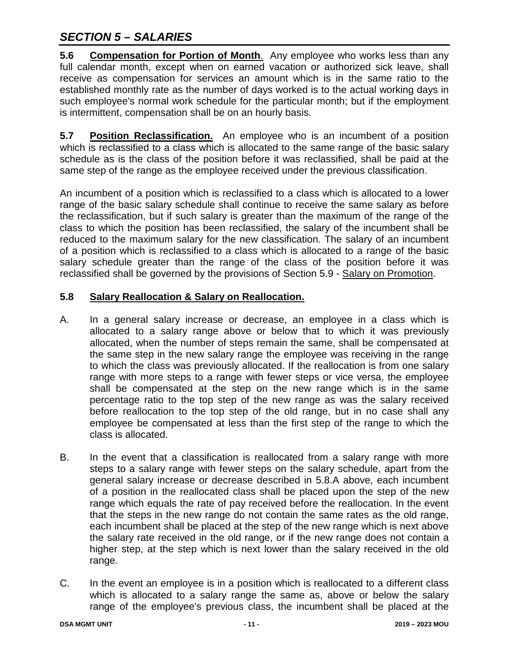**5.6** Compensation for Portion of Month. Any employee who works less than any full calendar month, except when on earned vacation or authorized sick leave, shall receive as compensation for services an amount which is in the same ratio to the established monthly rate as the number of days worked is to the actual working days in such employee's normal work schedule for the particular month; but if the employment is intermittent, compensation shall be on an hourly basis.

**5.7** Position Reclassification. An employee who is an incumbent of a position which is reclassified to a class which is allocated to the same range of the basic salary schedule as is the class of the position before it was reclassified, shall be paid at the same step of the range as the employee received under the previous classification.

An incumbent of a position which is reclassified to a class which is allocated to a lower range of the basic salary schedule shall continue to receive the same salary as before the reclassification, but if such salary is greater than the maximum of the range of the class to which the position has been reclassified, the salary of the incumbent shall be reduced to the maximum salary for the new classification. The salary of an incumbent of a position which is reclassified to a class which is allocated to a range of the basic salary schedule greater than the range of the class of the position before it was reclassified shall be governed by the provisions of Section 5.9 - Salary on Promotion.

#### **5.8 Salary Reallocation & Salary on Reallocation.**

- A. In a general salary increase or decrease, an employee in a class which is allocated to a salary range above or below that to which it was previously allocated, when the number of steps remain the same, shall be compensated at the same step in the new salary range the employee was receiving in the range to which the class was previously allocated. If the reallocation is from one salary range with more steps to a range with fewer steps or vice versa, the employee shall be compensated at the step on the new range which is in the same percentage ratio to the top step of the new range as was the salary received before reallocation to the top step of the old range, but in no case shall any employee be compensated at less than the first step of the range to which the class is allocated.
- B. In the event that a classification is reallocated from a salary range with more steps to a salary range with fewer steps on the salary schedule, apart from the general salary increase or decrease described in 5.8.A above, each incumbent of a position in the reallocated class shall be placed upon the step of the new range which equals the rate of pay received before the reallocation. In the event that the steps in the new range do not contain the same rates as the old range, each incumbent shall be placed at the step of the new range which is next above the salary rate received in the old range, or if the new range does not contain a higher step, at the step which is next lower than the salary received in the old range.
- C. In the event an employee is in a position which is reallocated to a different class which is allocated to a salary range the same as, above or below the salary range of the employee's previous class, the incumbent shall be placed at the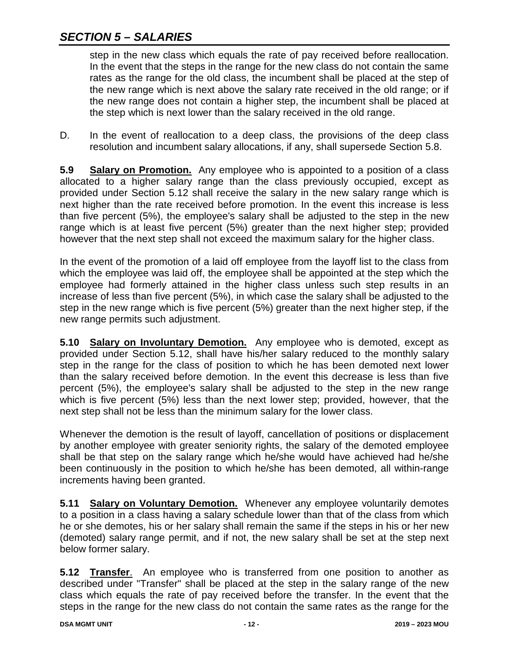step in the new class which equals the rate of pay received before reallocation. In the event that the steps in the range for the new class do not contain the same rates as the range for the old class, the incumbent shall be placed at the step of the new range which is next above the salary rate received in the old range; or if the new range does not contain a higher step, the incumbent shall be placed at the step which is next lower than the salary received in the old range.

D. In the event of reallocation to a deep class, the provisions of the deep class resolution and incumbent salary allocations, if any, shall supersede Section 5.8.

**5.9 Salary on Promotion.** Any employee who is appointed to a position of a class allocated to a higher salary range than the class previously occupied, except as provided under Section 5.12 shall receive the salary in the new salary range which is next higher than the rate received before promotion. In the event this increase is less than five percent (5%), the employee's salary shall be adjusted to the step in the new range which is at least five percent (5%) greater than the next higher step; provided however that the next step shall not exceed the maximum salary for the higher class.

In the event of the promotion of a laid off employee from the layoff list to the class from which the employee was laid off, the employee shall be appointed at the step which the employee had formerly attained in the higher class unless such step results in an increase of less than five percent (5%), in which case the salary shall be adjusted to the step in the new range which is five percent (5%) greater than the next higher step, if the new range permits such adjustment.

**5.10 Salary on Involuntary Demotion.** Any employee who is demoted, except as provided under Section 5.12, shall have his/her salary reduced to the monthly salary step in the range for the class of position to which he has been demoted next lower than the salary received before demotion. In the event this decrease is less than five percent (5%), the employee's salary shall be adjusted to the step in the new range which is five percent (5%) less than the next lower step; provided, however, that the next step shall not be less than the minimum salary for the lower class.

Whenever the demotion is the result of layoff, cancellation of positions or displacement by another employee with greater seniority rights, the salary of the demoted employee shall be that step on the salary range which he/she would have achieved had he/she been continuously in the position to which he/she has been demoted, all within-range increments having been granted.

**5.11 Salary on Voluntary Demotion.** Whenever any employee voluntarily demotes to a position in a class having a salary schedule lower than that of the class from which he or she demotes, his or her salary shall remain the same if the steps in his or her new (demoted) salary range permit, and if not, the new salary shall be set at the step next below former salary.

**5.12 Transfer**. An employee who is transferred from one position to another as described under "Transfer" shall be placed at the step in the salary range of the new class which equals the rate of pay received before the transfer. In the event that the steps in the range for the new class do not contain the same rates as the range for the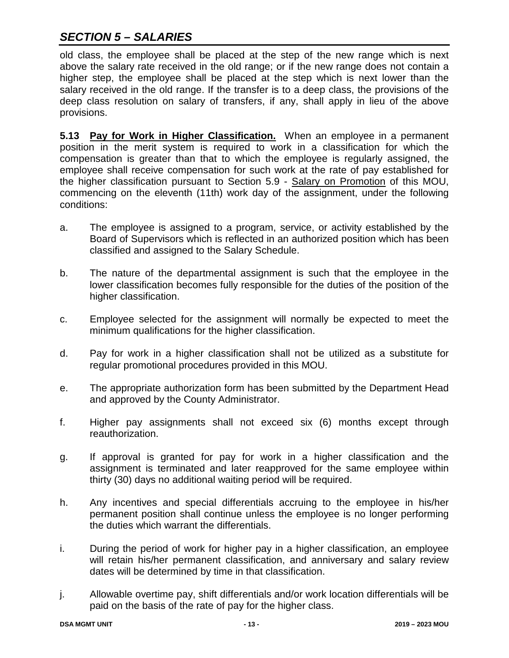old class, the employee shall be placed at the step of the new range which is next above the salary rate received in the old range; or if the new range does not contain a higher step, the employee shall be placed at the step which is next lower than the salary received in the old range. If the transfer is to a deep class, the provisions of the deep class resolution on salary of transfers, if any, shall apply in lieu of the above provisions.

**5.13 Pay for Work in Higher Classification.** When an employee in a permanent position in the merit system is required to work in a classification for which the compensation is greater than that to which the employee is regularly assigned, the employee shall receive compensation for such work at the rate of pay established for the higher classification pursuant to Section 5.9 - Salary on Promotion of this MOU, commencing on the eleventh (11th) work day of the assignment, under the following conditions:

- a. The employee is assigned to a program, service, or activity established by the Board of Supervisors which is reflected in an authorized position which has been classified and assigned to the Salary Schedule.
- b. The nature of the departmental assignment is such that the employee in the lower classification becomes fully responsible for the duties of the position of the higher classification.
- c. Employee selected for the assignment will normally be expected to meet the minimum qualifications for the higher classification.
- d. Pay for work in a higher classification shall not be utilized as a substitute for regular promotional procedures provided in this MOU.
- e. The appropriate authorization form has been submitted by the Department Head and approved by the County Administrator.
- f. Higher pay assignments shall not exceed six (6) months except through reauthorization.
- g. If approval is granted for pay for work in a higher classification and the assignment is terminated and later reapproved for the same employee within thirty (30) days no additional waiting period will be required.
- h. Any incentives and special differentials accruing to the employee in his/her permanent position shall continue unless the employee is no longer performing the duties which warrant the differentials.
- i. During the period of work for higher pay in a higher classification, an employee will retain his/her permanent classification, and anniversary and salary review dates will be determined by time in that classification.
- j. Allowable overtime pay, shift differentials and/or work location differentials will be paid on the basis of the rate of pay for the higher class.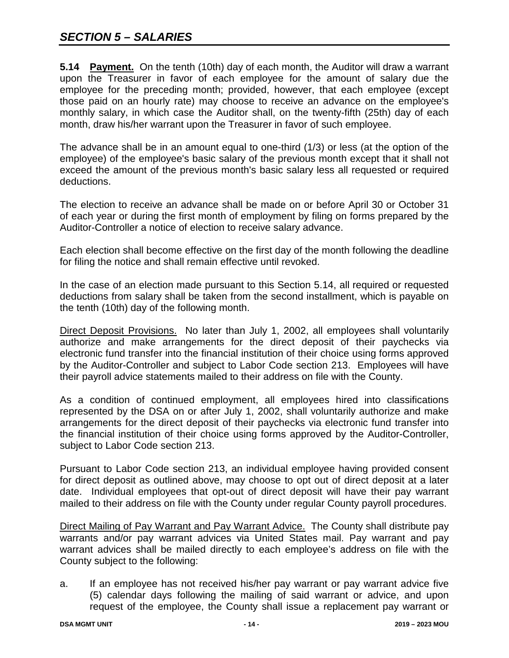**5.14 Payment.** On the tenth (10th) day of each month, the Auditor will draw a warrant upon the Treasurer in favor of each employee for the amount of salary due the employee for the preceding month; provided, however, that each employee (except those paid on an hourly rate) may choose to receive an advance on the employee's monthly salary, in which case the Auditor shall, on the twenty-fifth (25th) day of each month, draw his/her warrant upon the Treasurer in favor of such employee.

The advance shall be in an amount equal to one-third (1/3) or less (at the option of the employee) of the employee's basic salary of the previous month except that it shall not exceed the amount of the previous month's basic salary less all requested or required deductions.

The election to receive an advance shall be made on or before April 30 or October 31 of each year or during the first month of employment by filing on forms prepared by the Auditor-Controller a notice of election to receive salary advance.

Each election shall become effective on the first day of the month following the deadline for filing the notice and shall remain effective until revoked.

In the case of an election made pursuant to this Section 5.14, all required or requested deductions from salary shall be taken from the second installment, which is payable on the tenth (10th) day of the following month.

Direct Deposit Provisions. No later than July 1, 2002, all employees shall voluntarily authorize and make arrangements for the direct deposit of their paychecks via electronic fund transfer into the financial institution of their choice using forms approved by the Auditor-Controller and subject to Labor Code section 213. Employees will have their payroll advice statements mailed to their address on file with the County.

As a condition of continued employment, all employees hired into classifications represented by the DSA on or after July 1, 2002, shall voluntarily authorize and make arrangements for the direct deposit of their paychecks via electronic fund transfer into the financial institution of their choice using forms approved by the Auditor-Controller, subject to Labor Code section 213.

Pursuant to Labor Code section 213, an individual employee having provided consent for direct deposit as outlined above, may choose to opt out of direct deposit at a later date. Individual employees that opt-out of direct deposit will have their pay warrant mailed to their address on file with the County under regular County payroll procedures.

Direct Mailing of Pay Warrant and Pay Warrant Advice. The County shall distribute pay warrants and/or pay warrant advices via United States mail. Pay warrant and pay warrant advices shall be mailed directly to each employee's address on file with the County subject to the following:

a. If an employee has not received his/her pay warrant or pay warrant advice five (5) calendar days following the mailing of said warrant or advice, and upon request of the employee, the County shall issue a replacement pay warrant or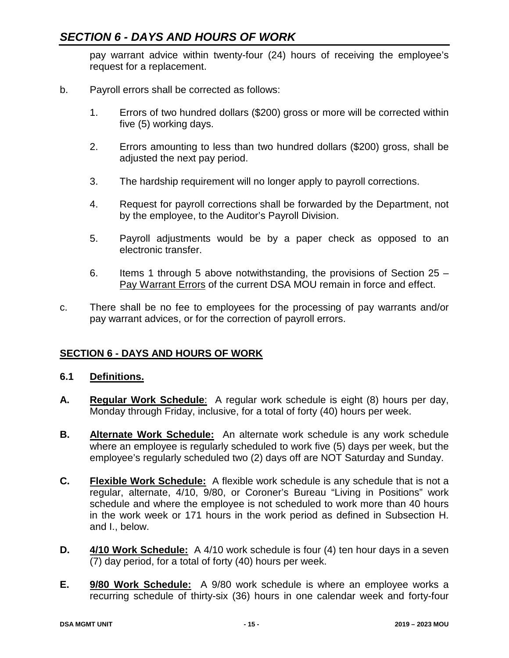pay warrant advice within twenty-four (24) hours of receiving the employee's request for a replacement.

- b. Payroll errors shall be corrected as follows:
	- 1. Errors of two hundred dollars (\$200) gross or more will be corrected within five (5) working days.
	- 2. Errors amounting to less than two hundred dollars (\$200) gross, shall be adjusted the next pay period.
	- 3. The hardship requirement will no longer apply to payroll corrections.
	- 4. Request for payroll corrections shall be forwarded by the Department, not by the employee, to the Auditor's Payroll Division.
	- 5. Payroll adjustments would be by a paper check as opposed to an electronic transfer.
	- 6. Items 1 through 5 above notwithstanding, the provisions of Section 25 Pay Warrant Errors of the current DSA MOU remain in force and effect.
- c. There shall be no fee to employees for the processing of pay warrants and/or pay warrant advices, or for the correction of payroll errors.

#### **SECTION 6 - DAYS AND HOURS OF WORK**

#### **6.1 Definitions.**

- **A. Regular Work Schedule**: A regular work schedule is eight (8) hours per day, Monday through Friday, inclusive, for a total of forty (40) hours per week.
- **B. Alternate Work Schedule:** An alternate work schedule is any work schedule where an employee is regularly scheduled to work five (5) days per week, but the employee's regularly scheduled two (2) days off are NOT Saturday and Sunday.
- **C. Flexible Work Schedule:** A flexible work schedule is any schedule that is not a regular, alternate, 4/10, 9/80, or Coroner's Bureau "Living in Positions" work schedule and where the employee is not scheduled to work more than 40 hours in the work week or 171 hours in the work period as defined in Subsection H. and I., below.
- **D. 4/10 Work Schedule:** A 4/10 work schedule is four (4) ten hour days in a seven (7) day period, for a total of forty (40) hours per week.
- **E. 9/80 Work Schedule:** A 9/80 work schedule is where an employee works a recurring schedule of thirty-six (36) hours in one calendar week and forty-four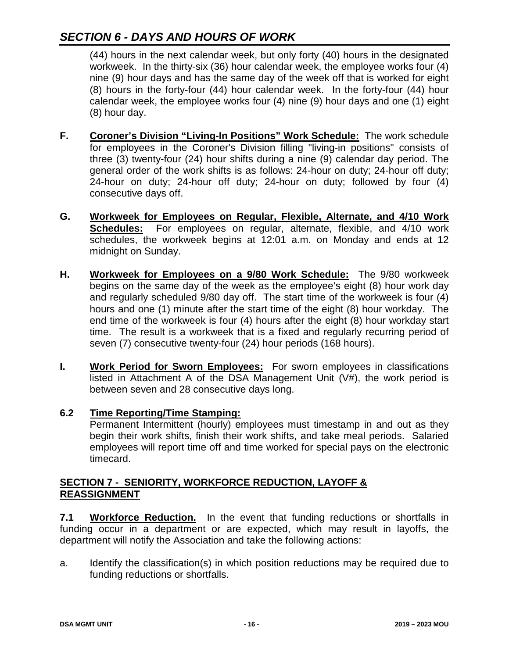(44) hours in the next calendar week, but only forty (40) hours in the designated workweek. In the thirty-six (36) hour calendar week, the employee works four (4) nine (9) hour days and has the same day of the week off that is worked for eight (8) hours in the forty-four (44) hour calendar week. In the forty-four (44) hour calendar week, the employee works four (4) nine (9) hour days and one (1) eight (8) hour day.

- **F. Coroner's Division "Living-In Positions" Work Schedule:** The work schedule for employees in the Coroner's Division filling "living-in positions" consists of three (3) twenty-four (24) hour shifts during a nine (9) calendar day period. The general order of the work shifts is as follows: 24-hour on duty; 24-hour off duty; 24-hour on duty; 24-hour off duty; 24-hour on duty; followed by four (4) consecutive days off.
- **G. Workweek for Employees on Regular, Flexible, Alternate, and 4/10 Work**  For employees on regular, alternate, flexible, and 4/10 work schedules, the workweek begins at 12:01 a.m. on Monday and ends at 12 midnight on Sunday.
- **H. Workweek for Employees on a 9/80 Work Schedule:** The 9/80 workweek begins on the same day of the week as the employee's eight (8) hour work day and regularly scheduled 9/80 day off. The start time of the workweek is four (4) hours and one (1) minute after the start time of the eight (8) hour workday. The end time of the workweek is four (4) hours after the eight (8) hour workday start time. The result is a workweek that is a fixed and regularly recurring period of seven (7) consecutive twenty-four (24) hour periods (168 hours).
- **I. Work Period for Sworn Employees:** For sworn employees in classifications listed in Attachment A of the DSA Management Unit (V#), the work period is between seven and 28 consecutive days long.

#### **6.2 Time Reporting/Time Stamping:**

Permanent Intermittent (hourly) employees must timestamp in and out as they begin their work shifts, finish their work shifts, and take meal periods. Salaried employees will report time off and time worked for special pays on the electronic timecard.

#### **SECTION 7 - SENIORITY, WORKFORCE REDUCTION, LAYOFF & REASSIGNMENT**

**7.1 Workforce Reduction.** In the event that funding reductions or shortfalls in funding occur in a department or are expected, which may result in layoffs, the department will notify the Association and take the following actions:

a. Identify the classification(s) in which position reductions may be required due to funding reductions or shortfalls.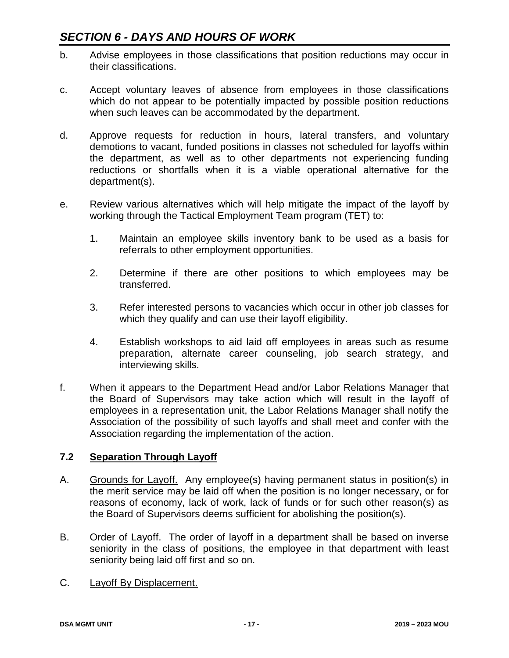- b. Advise employees in those classifications that position reductions may occur in their classifications.
- c. Accept voluntary leaves of absence from employees in those classifications which do not appear to be potentially impacted by possible position reductions when such leaves can be accommodated by the department.
- d. Approve requests for reduction in hours, lateral transfers, and voluntary demotions to vacant, funded positions in classes not scheduled for layoffs within the department, as well as to other departments not experiencing funding reductions or shortfalls when it is a viable operational alternative for the department(s).
- e. Review various alternatives which will help mitigate the impact of the layoff by working through the Tactical Employment Team program (TET) to:
	- 1. Maintain an employee skills inventory bank to be used as a basis for referrals to other employment opportunities.
	- 2. Determine if there are other positions to which employees may be transferred.
	- 3. Refer interested persons to vacancies which occur in other job classes for which they qualify and can use their layoff eligibility.
	- 4. Establish workshops to aid laid off employees in areas such as resume preparation, alternate career counseling, job search strategy, and interviewing skills.
- f. When it appears to the Department Head and/or Labor Relations Manager that the Board of Supervisors may take action which will result in the layoff of employees in a representation unit, the Labor Relations Manager shall notify the Association of the possibility of such layoffs and shall meet and confer with the Association regarding the implementation of the action.

#### **7.2 Separation Through Layoff**

- A. Grounds for Layoff. Any employee(s) having permanent status in position(s) in the merit service may be laid off when the position is no longer necessary, or for reasons of economy, lack of work, lack of funds or for such other reason(s) as the Board of Supervisors deems sufficient for abolishing the position(s).
- B. Order of Layoff. The order of layoff in a department shall be based on inverse seniority in the class of positions, the employee in that department with least seniority being laid off first and so on.
- C. Layoff By Displacement.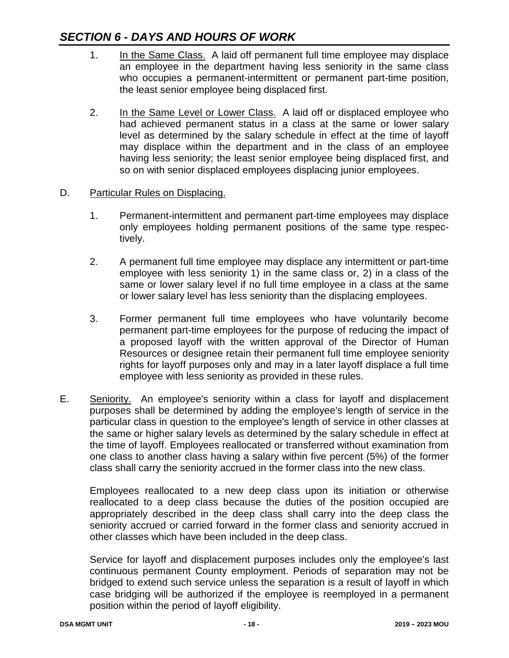- 1. In the Same Class. A laid off permanent full time employee may displace an employee in the department having less seniority in the same class who occupies a permanent-intermittent or permanent part-time position, the least senior employee being displaced first.
- 2. In the Same Level or Lower Class. A laid off or displaced employee who had achieved permanent status in a class at the same or lower salary level as determined by the salary schedule in effect at the time of layoff may displace within the department and in the class of an employee having less seniority; the least senior employee being displaced first, and so on with senior displaced employees displacing junior employees.

#### D. Particular Rules on Displacing.

- 1. Permanent-intermittent and permanent part-time employees may displace only employees holding permanent positions of the same type respectively.
- 2. A permanent full time employee may displace any intermittent or part-time employee with less seniority 1) in the same class or, 2) in a class of the same or lower salary level if no full time employee in a class at the same or lower salary level has less seniority than the displacing employees.
- 3. Former permanent full time employees who have voluntarily become permanent part-time employees for the purpose of reducing the impact of a proposed layoff with the written approval of the Director of Human Resources or designee retain their permanent full time employee seniority rights for layoff purposes only and may in a later layoff displace a full time employee with less seniority as provided in these rules.
- E. Seniority. An employee's seniority within a class for layoff and displacement purposes shall be determined by adding the employee's length of service in the particular class in question to the employee's length of service in other classes at the same or higher salary levels as determined by the salary schedule in effect at the time of layoff. Employees reallocated or transferred without examination from one class to another class having a salary within five percent (5%) of the former class shall carry the seniority accrued in the former class into the new class.

Employees reallocated to a new deep class upon its initiation or otherwise reallocated to a deep class because the duties of the position occupied are appropriately described in the deep class shall carry into the deep class the seniority accrued or carried forward in the former class and seniority accrued in other classes which have been included in the deep class.

Service for layoff and displacement purposes includes only the employee's last continuous permanent County employment. Periods of separation may not be bridged to extend such service unless the separation is a result of layoff in which case bridging will be authorized if the employee is reemployed in a permanent position within the period of layoff eligibility.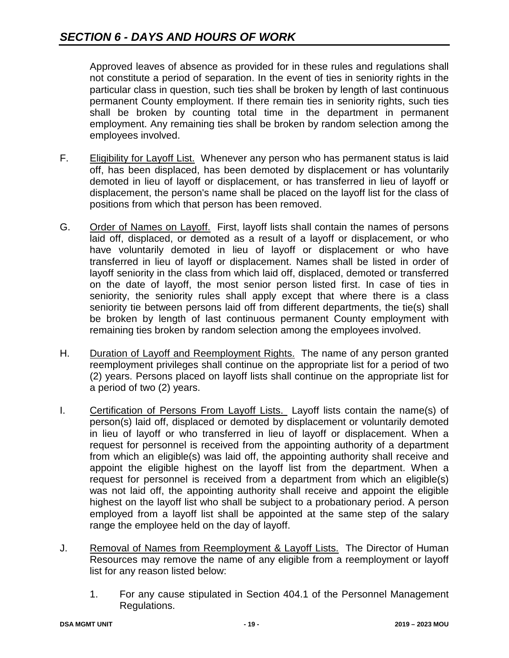Approved leaves of absence as provided for in these rules and regulations shall not constitute a period of separation. In the event of ties in seniority rights in the particular class in question, such ties shall be broken by length of last continuous permanent County employment. If there remain ties in seniority rights, such ties shall be broken by counting total time in the department in permanent employment. Any remaining ties shall be broken by random selection among the employees involved.

- F. Eligibility for Layoff List. Whenever any person who has permanent status is laid off, has been displaced, has been demoted by displacement or has voluntarily demoted in lieu of layoff or displacement, or has transferred in lieu of layoff or displacement, the person's name shall be placed on the layoff list for the class of positions from which that person has been removed.
- G. Order of Names on Layoff. First, layoff lists shall contain the names of persons laid off, displaced, or demoted as a result of a layoff or displacement, or who have voluntarily demoted in lieu of layoff or displacement or who have transferred in lieu of layoff or displacement. Names shall be listed in order of layoff seniority in the class from which laid off, displaced, demoted or transferred on the date of layoff, the most senior person listed first. In case of ties in seniority, the seniority rules shall apply except that where there is a class seniority tie between persons laid off from different departments, the tie(s) shall be broken by length of last continuous permanent County employment with remaining ties broken by random selection among the employees involved.
- H. Duration of Layoff and Reemployment Rights. The name of any person granted reemployment privileges shall continue on the appropriate list for a period of two (2) years. Persons placed on layoff lists shall continue on the appropriate list for a period of two (2) years.
- I. Certification of Persons From Layoff Lists. Layoff lists contain the name(s) of person(s) laid off, displaced or demoted by displacement or voluntarily demoted in lieu of layoff or who transferred in lieu of layoff or displacement. When a request for personnel is received from the appointing authority of a department from which an eligible(s) was laid off, the appointing authority shall receive and appoint the eligible highest on the layoff list from the department. When a request for personnel is received from a department from which an eligible(s) was not laid off, the appointing authority shall receive and appoint the eligible highest on the layoff list who shall be subject to a probationary period. A person employed from a layoff list shall be appointed at the same step of the salary range the employee held on the day of layoff.
- J. Removal of Names from Reemployment & Layoff Lists. The Director of Human Resources may remove the name of any eligible from a reemployment or layoff list for any reason listed below:
	- 1. For any cause stipulated in Section 404.1 of the Personnel Management Regulations.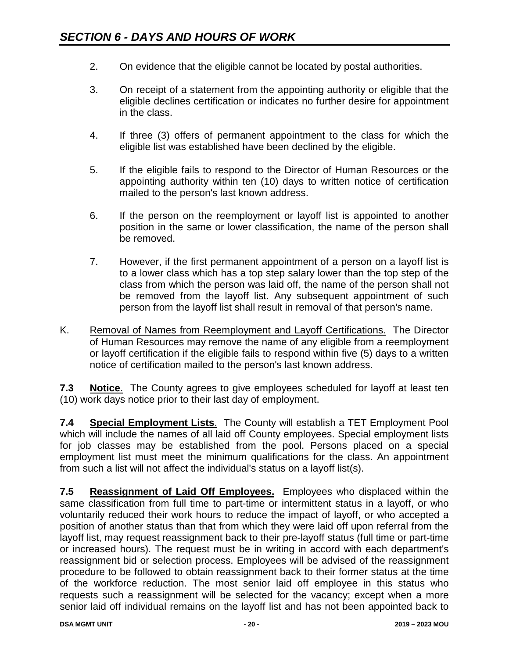- 2. On evidence that the eligible cannot be located by postal authorities.
- 3. On receipt of a statement from the appointing authority or eligible that the eligible declines certification or indicates no further desire for appointment in the class.
- 4. If three (3) offers of permanent appointment to the class for which the eligible list was established have been declined by the eligible.
- 5. If the eligible fails to respond to the Director of Human Resources or the appointing authority within ten (10) days to written notice of certification mailed to the person's last known address.
- 6. If the person on the reemployment or layoff list is appointed to another position in the same or lower classification, the name of the person shall be removed.
- 7. However, if the first permanent appointment of a person on a layoff list is to a lower class which has a top step salary lower than the top step of the class from which the person was laid off, the name of the person shall not be removed from the layoff list. Any subsequent appointment of such person from the layoff list shall result in removal of that person's name.
- K. Removal of Names from Reemployment and Layoff Certifications. The Director of Human Resources may remove the name of any eligible from a reemployment or layoff certification if the eligible fails to respond within five (5) days to a written notice of certification mailed to the person's last known address.

**7.3 Notice**. The County agrees to give employees scheduled for layoff at least ten (10) work days notice prior to their last day of employment.

**7.4 Special Employment Lists**. The County will establish a TET Employment Pool which will include the names of all laid off County employees. Special employment lists for job classes may be established from the pool. Persons placed on a special employment list must meet the minimum qualifications for the class. An appointment from such a list will not affect the individual's status on a layoff list(s).

**7.5 Reassignment of Laid Off Employees.** Employees who displaced within the same classification from full time to part-time or intermittent status in a layoff, or who voluntarily reduced their work hours to reduce the impact of layoff, or who accepted a position of another status than that from which they were laid off upon referral from the layoff list, may request reassignment back to their pre-layoff status (full time or part-time or increased hours). The request must be in writing in accord with each department's reassignment bid or selection process. Employees will be advised of the reassignment procedure to be followed to obtain reassignment back to their former status at the time of the workforce reduction. The most senior laid off employee in this status who requests such a reassignment will be selected for the vacancy; except when a more senior laid off individual remains on the layoff list and has not been appointed back to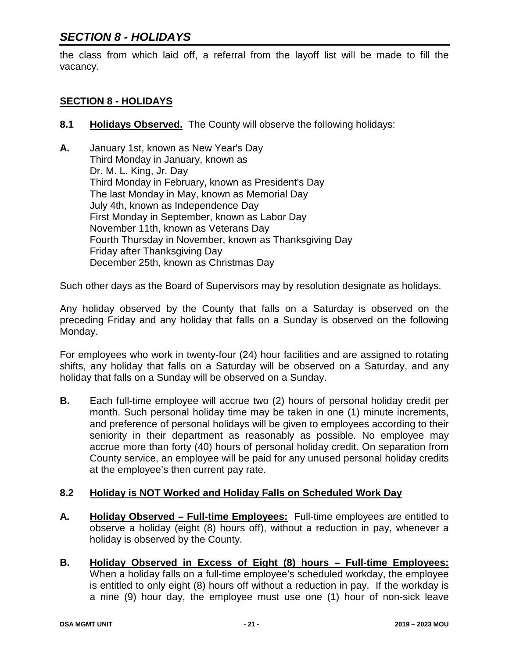### *SECTION 8 - HOLIDAYS*

the class from which laid off, a referral from the layoff list will be made to fill the vacancy.

#### **SECTION 8 - HOLIDAYS**

- **8.1 Holidays Observed.** The County will observe the following holidays:
- **A.** January 1st, known as New Year's Day Third Monday in January, known as Dr. M. L. King, Jr. Day Third Monday in February, known as President's Day The last Monday in May, known as Memorial Day July 4th, known as Independence Day First Monday in September, known as Labor Day November 11th, known as Veterans Day Fourth Thursday in November, known as Thanksgiving Day Friday after Thanksgiving Day December 25th, known as Christmas Day

Such other days as the Board of Supervisors may by resolution designate as holidays.

Any holiday observed by the County that falls on a Saturday is observed on the preceding Friday and any holiday that falls on a Sunday is observed on the following Monday.

For employees who work in twenty-four (24) hour facilities and are assigned to rotating shifts, any holiday that falls on a Saturday will be observed on a Saturday, and any holiday that falls on a Sunday will be observed on a Sunday.

**B.** Each full-time employee will accrue two (2) hours of personal holiday credit per month. Such personal holiday time may be taken in one (1) minute increments, and preference of personal holidays will be given to employees according to their seniority in their department as reasonably as possible. No employee may accrue more than forty (40) hours of personal holiday credit. On separation from County service, an employee will be paid for any unused personal holiday credits at the employee's then current pay rate.

#### **8.2 Holiday is NOT Worked and Holiday Falls on Scheduled Work Day**

- **A. Holiday Observed – Full-time Employees:** Full-time employees are entitled to observe a holiday (eight (8) hours off), without a reduction in pay, whenever a holiday is observed by the County.
- **B. Holiday Observed in Excess of Eight (8) hours – Full-time Employees:** When a holiday falls on a full-time employee's scheduled workday, the employee is entitled to only eight (8) hours off without a reduction in pay. If the workday is a nine (9) hour day, the employee must use one (1) hour of non-sick leave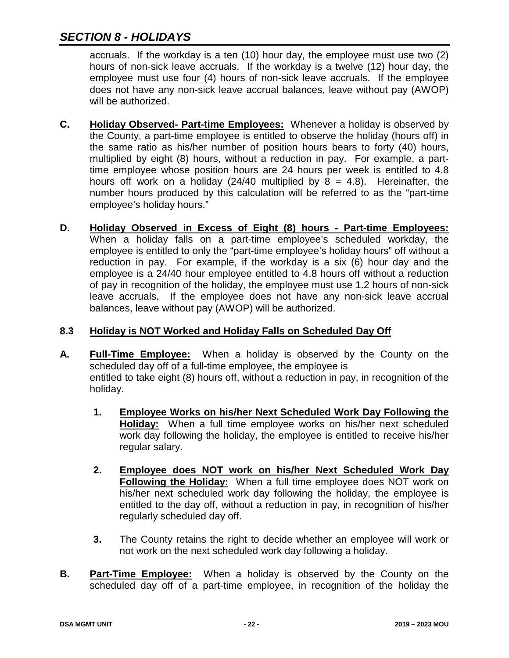## *SECTION 8 - HOLIDAYS*

accruals. If the workday is a ten (10) hour day, the employee must use two (2) hours of non-sick leave accruals. If the workday is a twelve (12) hour day, the employee must use four (4) hours of non-sick leave accruals. If the employee does not have any non-sick leave accrual balances, leave without pay (AWOP) will be authorized.

- **C. Holiday Observed- Part-time Employees:** Whenever a holiday is observed by the County, a part-time employee is entitled to observe the holiday (hours off) in the same ratio as his/her number of position hours bears to forty (40) hours, multiplied by eight (8) hours, without a reduction in pay. For example, a parttime employee whose position hours are 24 hours per week is entitled to 4.8 hours off work on a holiday (24/40 multiplied by  $8 = 4.8$ ). Hereinafter, the number hours produced by this calculation will be referred to as the "part-time employee's holiday hours."
- **D. Holiday Observed in Excess of Eight (8) hours - Part-time Employees:** When a holiday falls on a part-time employee's scheduled workday, the employee is entitled to only the "part-time employee's holiday hours" off without a reduction in pay. For example, if the workday is a six (6) hour day and the employee is a 24/40 hour employee entitled to 4.8 hours off without a reduction of pay in recognition of the holiday, the employee must use 1.2 hours of non-sick leave accruals. If the employee does not have any non-sick leave accrual balances, leave without pay (AWOP) will be authorized.

#### **8.3 Holiday is NOT Worked and Holiday Falls on Scheduled Day Off**

- **A. Full-Time Employee:** When a holiday is observed by the County on the scheduled day off of a full-time employee, the employee is entitled to take eight (8) hours off, without a reduction in pay, in recognition of the holiday.
	- **1. Employee Works on his/her Next Scheduled Work Day Following the Holiday:** When a full time employee works on his/her next scheduled work day following the holiday, the employee is entitled to receive his/her regular salary.
	- **2. Employee does NOT work on his/her Next Scheduled Work Day Following the Holiday:** When a full time employee does NOT work on his/her next scheduled work day following the holiday, the employee is entitled to the day off, without a reduction in pay, in recognition of his/her regularly scheduled day off.
	- **3.** The County retains the right to decide whether an employee will work or not work on the next scheduled work day following a holiday.
- **B. Part-Time Employee:** When a holiday is observed by the County on the scheduled day off of a part-time employee, in recognition of the holiday the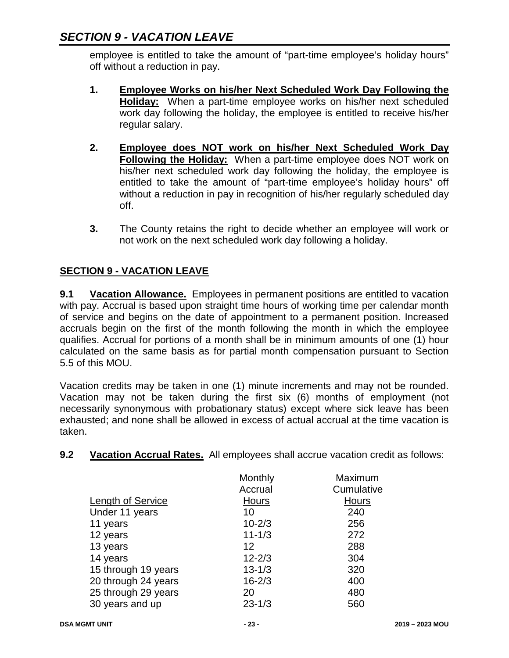employee is entitled to take the amount of "part-time employee's holiday hours" off without a reduction in pay.

- **1. Employee Works on his/her Next Scheduled Work Day Following the Holiday:** When a part-time employee works on his/her next scheduled work day following the holiday, the employee is entitled to receive his/her regular salary.
- **2. Employee does NOT work on his/her Next Scheduled Work Day Following the Holiday:** When a part-time employee does NOT work on his/her next scheduled work day following the holiday, the employee is entitled to take the amount of "part-time employee's holiday hours" off without a reduction in pay in recognition of his/her regularly scheduled day off.
- **3.** The County retains the right to decide whether an employee will work or not work on the next scheduled work day following a holiday.

### **SECTION 9 - VACATION LEAVE**

**9.1 Vacation Allowance.** Employees in permanent positions are entitled to vacation with pay. Accrual is based upon straight time hours of working time per calendar month of service and begins on the date of appointment to a permanent position. Increased accruals begin on the first of the month following the month in which the employee qualifies. Accrual for portions of a month shall be in minimum amounts of one (1) hour calculated on the same basis as for partial month compensation pursuant to Section 5.5 of this MOU.

Vacation credits may be taken in one (1) minute increments and may not be rounded. Vacation may not be taken during the first six (6) months of employment (not necessarily synonymous with probationary status) except where sick leave has been exhausted; and none shall be allowed in excess of actual accrual at the time vacation is taken.

**9.2 Vacation Accrual Rates.** All employees shall accrue vacation credit as follows:

| Monthly    | Maximum      |
|------------|--------------|
| Accrual    | Cumulative   |
| Hours      | <b>Hours</b> |
| 10         | 240          |
| $10 - 2/3$ | 256          |
| $11 - 1/3$ | 272          |
| 12         | 288          |
| $12 - 2/3$ | 304          |
| $13 - 1/3$ | 320          |
| $16 - 2/3$ | 400          |
| 20         | 480          |
| $23 - 1/3$ | 560          |
|            |              |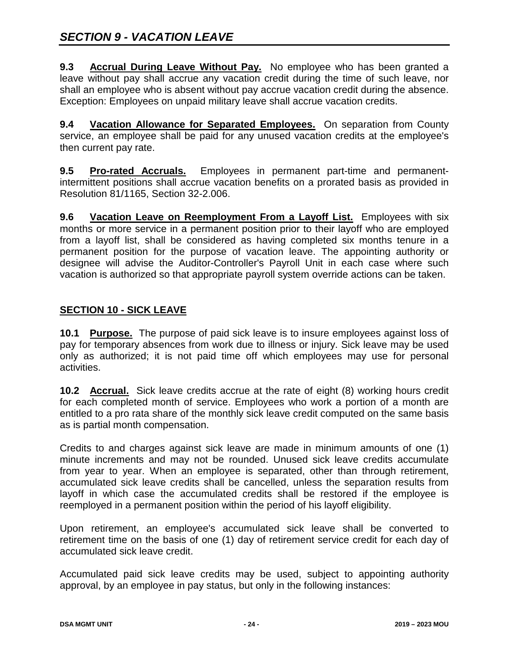**9.3 Accrual During Leave Without Pay.** No employee who has been granted a leave without pay shall accrue any vacation credit during the time of such leave, nor shall an employee who is absent without pay accrue vacation credit during the absence. Exception: Employees on unpaid military leave shall accrue vacation credits.

**9.4 Vacation Allowance for Separated Employees.** On separation from County service, an employee shall be paid for any unused vacation credits at the employee's then current pay rate.

**9.5 Pro-rated Accruals.** Employees in permanent part-time and permanentintermittent positions shall accrue vacation benefits on a prorated basis as provided in Resolution 81/1165, Section 32-2.006.

**9.6 Vacation Leave on Reemployment From a Layoff List.** Employees with six months or more service in a permanent position prior to their layoff who are employed from a layoff list, shall be considered as having completed six months tenure in a permanent position for the purpose of vacation leave. The appointing authority or designee will advise the Auditor-Controller's Payroll Unit in each case where such vacation is authorized so that appropriate payroll system override actions can be taken.

#### **SECTION 10 - SICK LEAVE**

**10.1 Purpose.** The purpose of paid sick leave is to insure employees against loss of pay for temporary absences from work due to illness or injury. Sick leave may be used only as authorized; it is not paid time off which employees may use for personal activities.

**10.2 Accrual.** Sick leave credits accrue at the rate of eight (8) working hours credit for each completed month of service. Employees who work a portion of a month are entitled to a pro rata share of the monthly sick leave credit computed on the same basis as is partial month compensation.

Credits to and charges against sick leave are made in minimum amounts of one (1) minute increments and may not be rounded. Unused sick leave credits accumulate from year to year. When an employee is separated, other than through retirement, accumulated sick leave credits shall be cancelled, unless the separation results from layoff in which case the accumulated credits shall be restored if the employee is reemployed in a permanent position within the period of his layoff eligibility.

Upon retirement, an employee's accumulated sick leave shall be converted to retirement time on the basis of one (1) day of retirement service credit for each day of accumulated sick leave credit.

Accumulated paid sick leave credits may be used, subject to appointing authority approval, by an employee in pay status, but only in the following instances: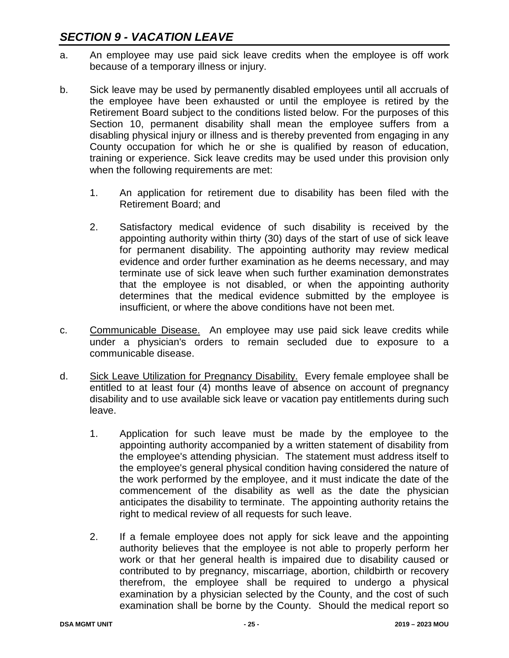- a. An employee may use paid sick leave credits when the employee is off work because of a temporary illness or injury.
- b. Sick leave may be used by permanently disabled employees until all accruals of the employee have been exhausted or until the employee is retired by the Retirement Board subject to the conditions listed below. For the purposes of this Section 10, permanent disability shall mean the employee suffers from a disabling physical injury or illness and is thereby prevented from engaging in any County occupation for which he or she is qualified by reason of education, training or experience. Sick leave credits may be used under this provision only when the following requirements are met:
	- 1. An application for retirement due to disability has been filed with the Retirement Board; and
	- 2. Satisfactory medical evidence of such disability is received by the appointing authority within thirty (30) days of the start of use of sick leave for permanent disability. The appointing authority may review medical evidence and order further examination as he deems necessary, and may terminate use of sick leave when such further examination demonstrates that the employee is not disabled, or when the appointing authority determines that the medical evidence submitted by the employee is insufficient, or where the above conditions have not been met.
- c. Communicable Disease. An employee may use paid sick leave credits while under a physician's orders to remain secluded due to exposure to a communicable disease.
- d. Sick Leave Utilization for Pregnancy Disability. Every female employee shall be entitled to at least four (4) months leave of absence on account of pregnancy disability and to use available sick leave or vacation pay entitlements during such leave.
	- 1. Application for such leave must be made by the employee to the appointing authority accompanied by a written statement of disability from the employee's attending physician. The statement must address itself to the employee's general physical condition having considered the nature of the work performed by the employee, and it must indicate the date of the commencement of the disability as well as the date the physician anticipates the disability to terminate. The appointing authority retains the right to medical review of all requests for such leave.
	- 2. If a female employee does not apply for sick leave and the appointing authority believes that the employee is not able to properly perform her work or that her general health is impaired due to disability caused or contributed to by pregnancy, miscarriage, abortion, childbirth or recovery therefrom, the employee shall be required to undergo a physical examination by a physician selected by the County, and the cost of such examination shall be borne by the County. Should the medical report so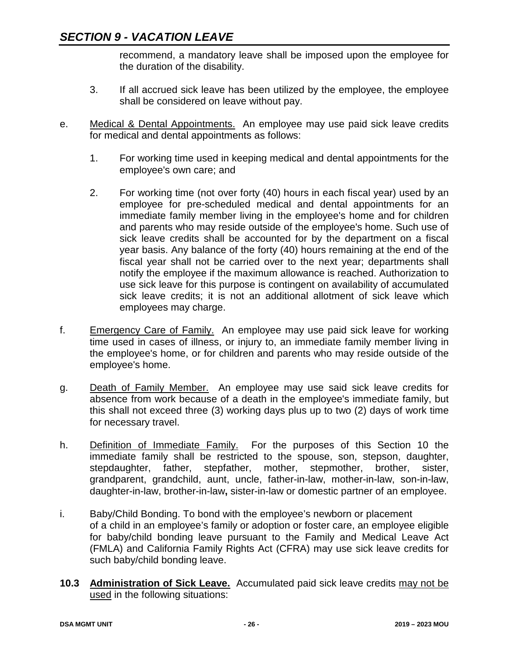recommend, a mandatory leave shall be imposed upon the employee for the duration of the disability.

- 3. If all accrued sick leave has been utilized by the employee, the employee shall be considered on leave without pay.
- e. Medical & Dental Appointments. An employee may use paid sick leave credits for medical and dental appointments as follows:
	- 1. For working time used in keeping medical and dental appointments for the employee's own care; and
	- 2. For working time (not over forty (40) hours in each fiscal year) used by an employee for pre-scheduled medical and dental appointments for an immediate family member living in the employee's home and for children and parents who may reside outside of the employee's home. Such use of sick leave credits shall be accounted for by the department on a fiscal year basis. Any balance of the forty (40) hours remaining at the end of the fiscal year shall not be carried over to the next year; departments shall notify the employee if the maximum allowance is reached. Authorization to use sick leave for this purpose is contingent on availability of accumulated sick leave credits; it is not an additional allotment of sick leave which employees may charge.
- f. Emergency Care of Family. An employee may use paid sick leave for working time used in cases of illness, or injury to, an immediate family member living in the employee's home, or for children and parents who may reside outside of the employee's home.
- g. Death of Family Member. An employee may use said sick leave credits for absence from work because of a death in the employee's immediate family, but this shall not exceed three (3) working days plus up to two (2) days of work time for necessary travel.
- h. Definition of Immediate Family. For the purposes of this Section 10 the immediate family shall be restricted to the spouse, son, stepson, daughter, stepdaughter, father, stepfather, mother, stepmother, brother, sister, grandparent, grandchild, aunt, uncle, father-in-law, mother-in-law, son-in-law, daughter-in-law, brother-in-law**,** sister-in-law or domestic partner of an employee.
- i. Baby/Child Bonding. To bond with the employee's newborn or placement of a child in an employee's family or adoption or foster care, an employee eligible for baby/child bonding leave pursuant to the Family and Medical Leave Act (FMLA) and California Family Rights Act (CFRA) may use sick leave credits for such baby/child bonding leave.
- **10.3 Administration of Sick Leave.** Accumulated paid sick leave credits may not be used in the following situations: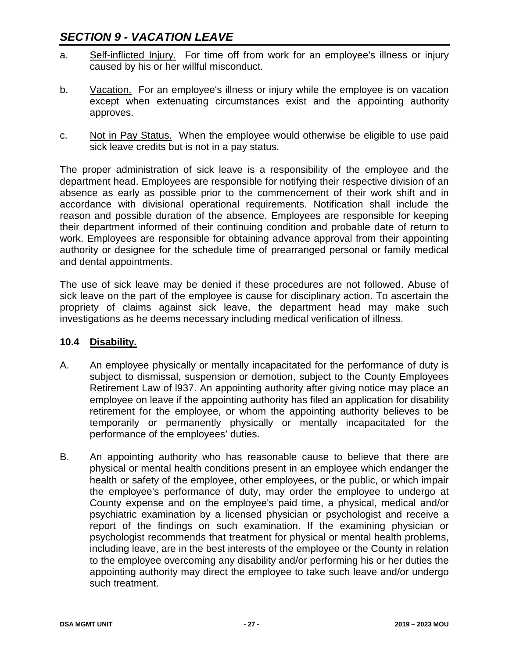- a. Self-inflicted Injury. For time off from work for an employee's illness or injury caused by his or her willful misconduct.
- b. Vacation. For an employee's illness or injury while the employee is on vacation except when extenuating circumstances exist and the appointing authority approves.
- c. Not in Pay Status. When the employee would otherwise be eligible to use paid sick leave credits but is not in a pay status.

The proper administration of sick leave is a responsibility of the employee and the department head. Employees are responsible for notifying their respective division of an absence as early as possible prior to the commencement of their work shift and in accordance with divisional operational requirements. Notification shall include the reason and possible duration of the absence. Employees are responsible for keeping their department informed of their continuing condition and probable date of return to work. Employees are responsible for obtaining advance approval from their appointing authority or designee for the schedule time of prearranged personal or family medical and dental appointments.

The use of sick leave may be denied if these procedures are not followed. Abuse of sick leave on the part of the employee is cause for disciplinary action. To ascertain the propriety of claims against sick leave, the department head may make such investigations as he deems necessary including medical verification of illness.

#### **10.4 Disability.**

- A. An employee physically or mentally incapacitated for the performance of duty is subject to dismissal, suspension or demotion, subject to the County Employees Retirement Law of l937. An appointing authority after giving notice may place an employee on leave if the appointing authority has filed an application for disability retirement for the employee, or whom the appointing authority believes to be temporarily or permanently physically or mentally incapacitated for the performance of the employees' duties.
- B. An appointing authority who has reasonable cause to believe that there are physical or mental health conditions present in an employee which endanger the health or safety of the employee, other employees, or the public, or which impair the employee's performance of duty, may order the employee to undergo at County expense and on the employee's paid time, a physical, medical and/or psychiatric examination by a licensed physician or psychologist and receive a report of the findings on such examination. If the examining physician or psychologist recommends that treatment for physical or mental health problems, including leave, are in the best interests of the employee or the County in relation to the employee overcoming any disability and/or performing his or her duties the appointing authority may direct the employee to take such leave and/or undergo such treatment.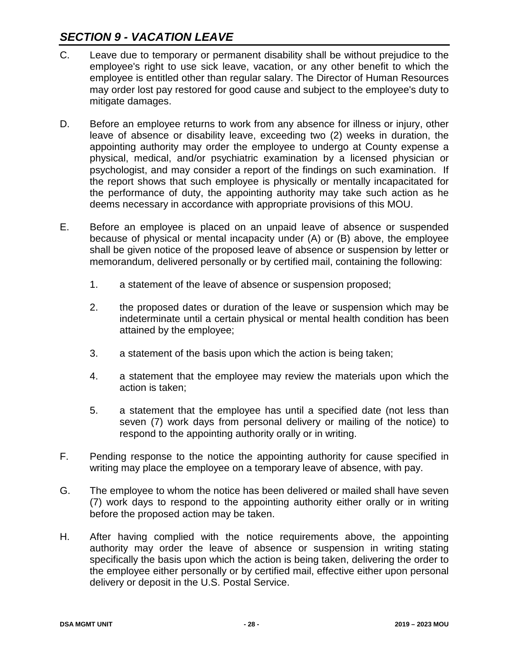- C. Leave due to temporary or permanent disability shall be without prejudice to the employee's right to use sick leave, vacation, or any other benefit to which the employee is entitled other than regular salary. The Director of Human Resources may order lost pay restored for good cause and subject to the employee's duty to mitigate damages.
- D. Before an employee returns to work from any absence for illness or injury, other leave of absence or disability leave, exceeding two (2) weeks in duration, the appointing authority may order the employee to undergo at County expense a physical, medical, and/or psychiatric examination by a licensed physician or psychologist, and may consider a report of the findings on such examination. If the report shows that such employee is physically or mentally incapacitated for the performance of duty, the appointing authority may take such action as he deems necessary in accordance with appropriate provisions of this MOU.
- E. Before an employee is placed on an unpaid leave of absence or suspended because of physical or mental incapacity under (A) or (B) above, the employee shall be given notice of the proposed leave of absence or suspension by letter or memorandum, delivered personally or by certified mail, containing the following:
	- 1. a statement of the leave of absence or suspension proposed;
	- 2. the proposed dates or duration of the leave or suspension which may be indeterminate until a certain physical or mental health condition has been attained by the employee;
	- 3. a statement of the basis upon which the action is being taken;
	- 4. a statement that the employee may review the materials upon which the action is taken;
	- 5. a statement that the employee has until a specified date (not less than seven (7) work days from personal delivery or mailing of the notice) to respond to the appointing authority orally or in writing.
- F. Pending response to the notice the appointing authority for cause specified in writing may place the employee on a temporary leave of absence, with pay.
- G. The employee to whom the notice has been delivered or mailed shall have seven (7) work days to respond to the appointing authority either orally or in writing before the proposed action may be taken.
- H. After having complied with the notice requirements above, the appointing authority may order the leave of absence or suspension in writing stating specifically the basis upon which the action is being taken, delivering the order to the employee either personally or by certified mail, effective either upon personal delivery or deposit in the U.S. Postal Service.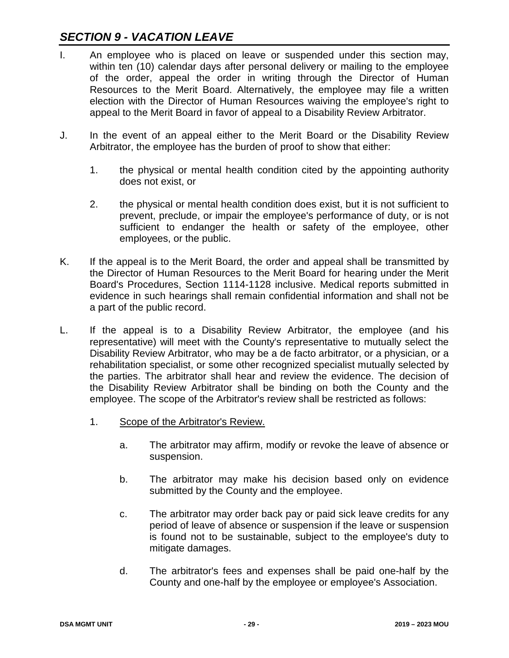- I. An employee who is placed on leave or suspended under this section may, within ten (10) calendar days after personal delivery or mailing to the employee of the order, appeal the order in writing through the Director of Human Resources to the Merit Board. Alternatively, the employee may file a written election with the Director of Human Resources waiving the employee's right to appeal to the Merit Board in favor of appeal to a Disability Review Arbitrator.
- J. In the event of an appeal either to the Merit Board or the Disability Review Arbitrator, the employee has the burden of proof to show that either:
	- 1. the physical or mental health condition cited by the appointing authority does not exist, or
	- 2. the physical or mental health condition does exist, but it is not sufficient to prevent, preclude, or impair the employee's performance of duty, or is not sufficient to endanger the health or safety of the employee, other employees, or the public.
- K. If the appeal is to the Merit Board, the order and appeal shall be transmitted by the Director of Human Resources to the Merit Board for hearing under the Merit Board's Procedures, Section 1114-1128 inclusive. Medical reports submitted in evidence in such hearings shall remain confidential information and shall not be a part of the public record.
- L. If the appeal is to a Disability Review Arbitrator, the employee (and his representative) will meet with the County's representative to mutually select the Disability Review Arbitrator, who may be a de facto arbitrator, or a physician, or a rehabilitation specialist, or some other recognized specialist mutually selected by the parties. The arbitrator shall hear and review the evidence. The decision of the Disability Review Arbitrator shall be binding on both the County and the employee. The scope of the Arbitrator's review shall be restricted as follows:
	- 1. Scope of the Arbitrator's Review.
		- a. The arbitrator may affirm, modify or revoke the leave of absence or suspension.
		- b. The arbitrator may make his decision based only on evidence submitted by the County and the employee.
		- c. The arbitrator may order back pay or paid sick leave credits for any period of leave of absence or suspension if the leave or suspension is found not to be sustainable, subject to the employee's duty to mitigate damages.
		- d. The arbitrator's fees and expenses shall be paid one-half by the County and one-half by the employee or employee's Association.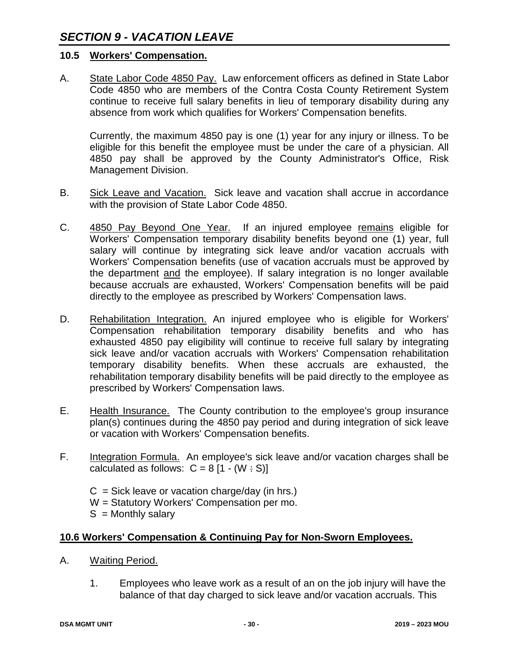#### **10.5 Workers' Compensation.**

A. State Labor Code 4850 Pay. Law enforcement officers as defined in State Labor Code 4850 who are members of the Contra Costa County Retirement System continue to receive full salary benefits in lieu of temporary disability during any absence from work which qualifies for Workers' Compensation benefits.

Currently, the maximum 4850 pay is one (1) year for any injury or illness. To be eligible for this benefit the employee must be under the care of a physician. All 4850 pay shall be approved by the County Administrator's Office, Risk Management Division.

- B. Sick Leave and Vacation. Sick leave and vacation shall accrue in accordance with the provision of State Labor Code 4850.
- C. 4850 Pay Beyond One Year. If an injured employee remains eligible for Workers' Compensation temporary disability benefits beyond one (1) year, full salary will continue by integrating sick leave and/or vacation accruals with Workers' Compensation benefits (use of vacation accruals must be approved by the department and the employee). If salary integration is no longer available because accruals are exhausted, Workers' Compensation benefits will be paid directly to the employee as prescribed by Workers' Compensation laws.
- D. Rehabilitation Integration. An injured employee who is eligible for Workers' Compensation rehabilitation temporary disability benefits and who has exhausted 4850 pay eligibility will continue to receive full salary by integrating sick leave and/or vacation accruals with Workers' Compensation rehabilitation temporary disability benefits. When these accruals are exhausted, the rehabilitation temporary disability benefits will be paid directly to the employee as prescribed by Workers' Compensation laws.
- E. Health Insurance. The County contribution to the employee's group insurance plan(s) continues during the 4850 pay period and during integration of sick leave or vacation with Workers' Compensation benefits.
- F. Integration Formula. An employee's sick leave and/or vacation charges shall be calculated as follows:  $C = 8 [1 - (W : S)]$

 $C =$  Sick leave or vacation charge/day (in hrs.) W = Statutory Workers' Compensation per mo.  $S =$  Monthly salary

#### **10.6 Workers' Compensation & Continuing Pay for Non-Sworn Employees.**

- A. Waiting Period.
	- 1. Employees who leave work as a result of an on the job injury will have the balance of that day charged to sick leave and/or vacation accruals. This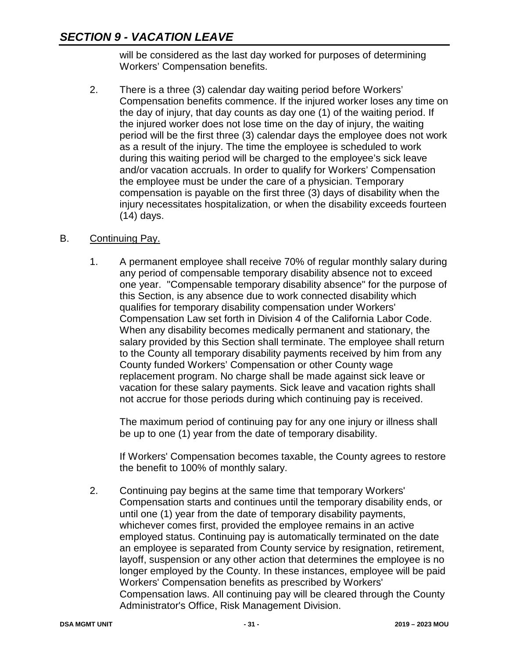will be considered as the last day worked for purposes of determining Workers' Compensation benefits.

2. There is a three (3) calendar day waiting period before Workers' Compensation benefits commence. If the injured worker loses any time on the day of injury, that day counts as day one (1) of the waiting period. If the injured worker does not lose time on the day of injury, the waiting period will be the first three (3) calendar days the employee does not work as a result of the injury. The time the employee is scheduled to work during this waiting period will be charged to the employee's sick leave and/or vacation accruals. In order to qualify for Workers' Compensation the employee must be under the care of a physician. Temporary compensation is payable on the first three (3) days of disability when the injury necessitates hospitalization, or when the disability exceeds fourteen (14) days.

### B. Continuing Pay.

1. A permanent employee shall receive 70% of regular monthly salary during any period of compensable temporary disability absence not to exceed one year. "Compensable temporary disability absence" for the purpose of this Section, is any absence due to work connected disability which qualifies for temporary disability compensation under Workers' Compensation Law set forth in Division 4 of the California Labor Code. When any disability becomes medically permanent and stationary, the salary provided by this Section shall terminate. The employee shall return to the County all temporary disability payments received by him from any County funded Workers' Compensation or other County wage replacement program. No charge shall be made against sick leave or vacation for these salary payments. Sick leave and vacation rights shall not accrue for those periods during which continuing pay is received.

The maximum period of continuing pay for any one injury or illness shall be up to one (1) year from the date of temporary disability.

If Workers' Compensation becomes taxable, the County agrees to restore the benefit to 100% of monthly salary.

2. Continuing pay begins at the same time that temporary Workers' Compensation starts and continues until the temporary disability ends, or until one (1) year from the date of temporary disability payments, whichever comes first, provided the employee remains in an active employed status. Continuing pay is automatically terminated on the date an employee is separated from County service by resignation, retirement, layoff, suspension or any other action that determines the employee is no longer employed by the County. In these instances, employee will be paid Workers' Compensation benefits as prescribed by Workers' Compensation laws. All continuing pay will be cleared through the County Administrator's Office, Risk Management Division.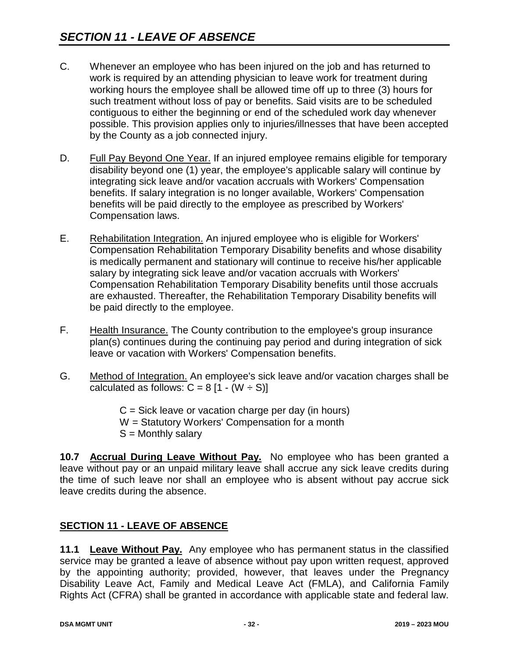- C. Whenever an employee who has been injured on the job and has returned to work is required by an attending physician to leave work for treatment during working hours the employee shall be allowed time off up to three (3) hours for such treatment without loss of pay or benefits. Said visits are to be scheduled contiguous to either the beginning or end of the scheduled work day whenever possible. This provision applies only to injuries/illnesses that have been accepted by the County as a job connected injury.
- D. Full Pay Beyond One Year. If an injured employee remains eligible for temporary disability beyond one (1) year, the employee's applicable salary will continue by integrating sick leave and/or vacation accruals with Workers' Compensation benefits. If salary integration is no longer available, Workers' Compensation benefits will be paid directly to the employee as prescribed by Workers' Compensation laws.
- E. Rehabilitation Integration. An injured employee who is eligible for Workers' Compensation Rehabilitation Temporary Disability benefits and whose disability is medically permanent and stationary will continue to receive his/her applicable salary by integrating sick leave and/or vacation accruals with Workers' Compensation Rehabilitation Temporary Disability benefits until those accruals are exhausted. Thereafter, the Rehabilitation Temporary Disability benefits will be paid directly to the employee.
- F. Health Insurance. The County contribution to the employee's group insurance plan(s) continues during the continuing pay period and during integration of sick leave or vacation with Workers' Compensation benefits.
- G. Method of Integration. An employee's sick leave and/or vacation charges shall be calculated as follows:  $C = 8$  [1 - (W  $\div$  S)]

 $C =$  Sick leave or vacation charge per day (in hours) W = Statutory Workers' Compensation for a month  $S =$  Monthly salary

**10.7 Accrual During Leave Without Pay.** No employee who has been granted a leave without pay or an unpaid military leave shall accrue any sick leave credits during the time of such leave nor shall an employee who is absent without pay accrue sick leave credits during the absence.

## **SECTION 11 - LEAVE OF ABSENCE**

**11.1 Leave Without Pay.** Any employee who has permanent status in the classified service may be granted a leave of absence without pay upon written request, approved by the appointing authority; provided, however, that leaves under the Pregnancy Disability Leave Act, Family and Medical Leave Act (FMLA), and California Family Rights Act (CFRA) shall be granted in accordance with applicable state and federal law.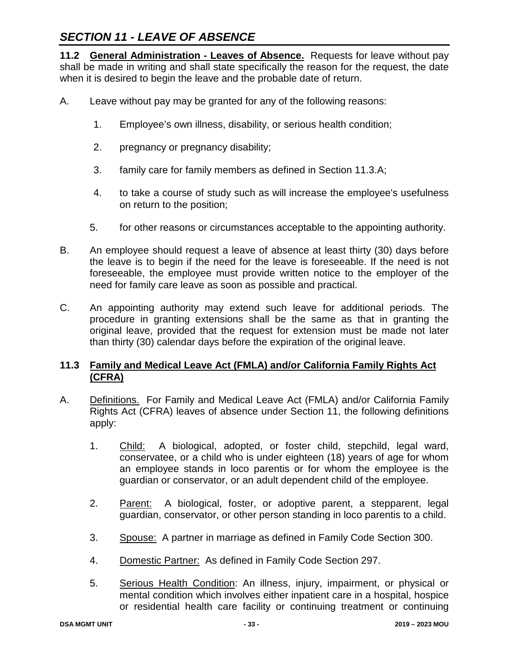# *SECTION 11 - LEAVE OF ABSENCE*

**11.2 General Administration - Leaves of Absence.** Requests for leave without pay shall be made in writing and shall state specifically the reason for the request, the date when it is desired to begin the leave and the probable date of return.

- A. Leave without pay may be granted for any of the following reasons:
	- 1. Employee's own illness, disability, or serious health condition;
	- 2. pregnancy or pregnancy disability;
	- 3. family care for family members as defined in Section 11.3.A;
	- 4. to take a course of study such as will increase the employee's usefulness on return to the position;
	- 5. for other reasons or circumstances acceptable to the appointing authority.
- B. An employee should request a leave of absence at least thirty (30) days before the leave is to begin if the need for the leave is foreseeable. If the need is not foreseeable, the employee must provide written notice to the employer of the need for family care leave as soon as possible and practical.
- C. An appointing authority may extend such leave for additional periods. The procedure in granting extensions shall be the same as that in granting the original leave, provided that the request for extension must be made not later than thirty (30) calendar days before the expiration of the original leave.

### **11.3 Family and Medical Leave Act (FMLA) and/or California Family Rights Act (CFRA)**

- A. Definitions. For Family and Medical Leave Act (FMLA) and/or California Family Rights Act (CFRA) leaves of absence under Section 11, the following definitions apply:
	- 1. Child: A biological, adopted, or foster child, stepchild, legal ward, conservatee, or a child who is under eighteen (18) years of age for whom an employee stands in loco parentis or for whom the employee is the guardian or conservator, or an adult dependent child of the employee.
	- 2. Parent: A biological, foster, or adoptive parent, a stepparent, legal guardian, conservator, or other person standing in loco parentis to a child.
	- 3. Spouse: A partner in marriage as defined in Family Code Section 300.
	- 4. Domestic Partner: As defined in Family Code Section 297.
	- 5. Serious Health Condition: An illness, injury, impairment, or physical or mental condition which involves either inpatient care in a hospital, hospice or residential health care facility or continuing treatment or continuing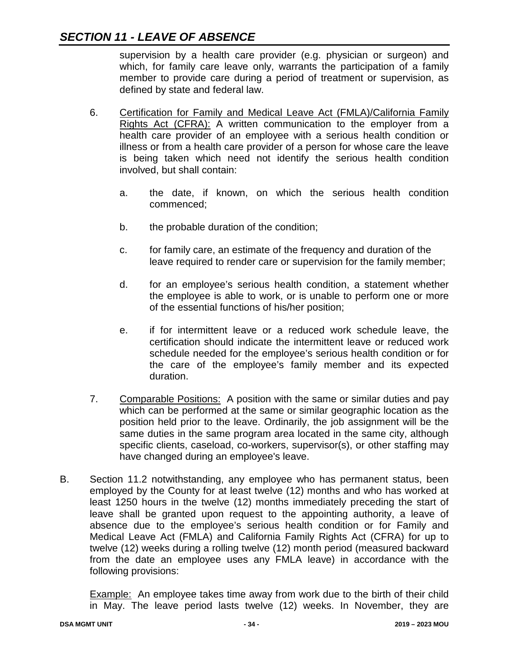## *SECTION 11 - LEAVE OF ABSENCE*

supervision by a health care provider (e.g. physician or surgeon) and which, for family care leave only, warrants the participation of a family member to provide care during a period of treatment or supervision, as defined by state and federal law.

- 6. Certification for Family and Medical Leave Act (FMLA)/California Family Rights Act (CFRA): A written communication to the employer from a health care provider of an employee with a serious health condition or illness or from a health care provider of a person for whose care the leave is being taken which need not identify the serious health condition involved, but shall contain:
	- a. the date, if known, on which the serious health condition commenced;
	- b. the probable duration of the condition;
	- c. for family care, an estimate of the frequency and duration of the leave required to render care or supervision for the family member;
	- d. for an employee's serious health condition, a statement whether the employee is able to work, or is unable to perform one or more of the essential functions of his/her position;
	- e. if for intermittent leave or a reduced work schedule leave, the certification should indicate the intermittent leave or reduced work schedule needed for the employee's serious health condition or for the care of the employee's family member and its expected duration.
- 7. Comparable Positions: A position with the same or similar duties and pay which can be performed at the same or similar geographic location as the position held prior to the leave. Ordinarily, the job assignment will be the same duties in the same program area located in the same city, although specific clients, caseload, co-workers, supervisor(s), or other staffing may have changed during an employee's leave.
- B. Section 11.2 notwithstanding, any employee who has permanent status, been employed by the County for at least twelve (12) months and who has worked at least 1250 hours in the twelve (12) months immediately preceding the start of leave shall be granted upon request to the appointing authority, a leave of absence due to the employee's serious health condition or for Family and Medical Leave Act (FMLA) and California Family Rights Act (CFRA) for up to twelve (12) weeks during a rolling twelve (12) month period (measured backward from the date an employee uses any FMLA leave) in accordance with the following provisions:

Example: An employee takes time away from work due to the birth of their child in May. The leave period lasts twelve (12) weeks. In November, they are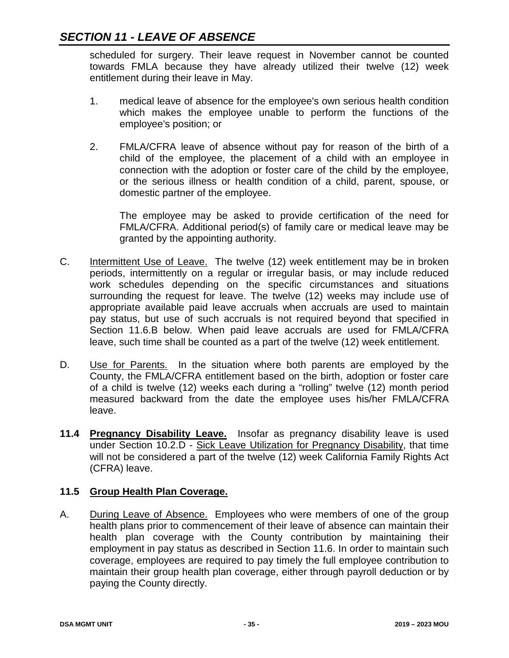scheduled for surgery. Their leave request in November cannot be counted towards FMLA because they have already utilized their twelve (12) week entitlement during their leave in May.

- 1. medical leave of absence for the employee's own serious health condition which makes the employee unable to perform the functions of the employee's position; or
- 2. FMLA/CFRA leave of absence without pay for reason of the birth of a child of the employee, the placement of a child with an employee in connection with the adoption or foster care of the child by the employee, or the serious illness or health condition of a child, parent, spouse, or domestic partner of the employee.

The employee may be asked to provide certification of the need for FMLA/CFRA. Additional period(s) of family care or medical leave may be granted by the appointing authority.

- C. Intermittent Use of Leave. The twelve (12) week entitlement may be in broken periods, intermittently on a regular or irregular basis, or may include reduced work schedules depending on the specific circumstances and situations surrounding the request for leave. The twelve (12) weeks may include use of appropriate available paid leave accruals when accruals are used to maintain pay status, but use of such accruals is not required beyond that specified in Section 11.6.B below. When paid leave accruals are used for FMLA/CFRA leave, such time shall be counted as a part of the twelve (12) week entitlement.
- D. Use for Parents. In the situation where both parents are employed by the County, the FMLA/CFRA entitlement based on the birth, adoption or foster care of a child is twelve (12) weeks each during a "rolling" twelve (12) month period measured backward from the date the employee uses his/her FMLA/CFRA leave.
- **11.4 Pregnancy Disability Leave.** Insofar as pregnancy disability leave is used under Section 10.2.D - Sick Leave Utilization for Pregnancy Disability, that time will not be considered a part of the twelve (12) week California Family Rights Act (CFRA) leave.

### **11.5 Group Health Plan Coverage.**

A. During Leave of Absence. Employees who were members of one of the group health plans prior to commencement of their leave of absence can maintain their health plan coverage with the County contribution by maintaining their employment in pay status as described in Section 11.6. In order to maintain such coverage, employees are required to pay timely the full employee contribution to maintain their group health plan coverage, either through payroll deduction or by paying the County directly.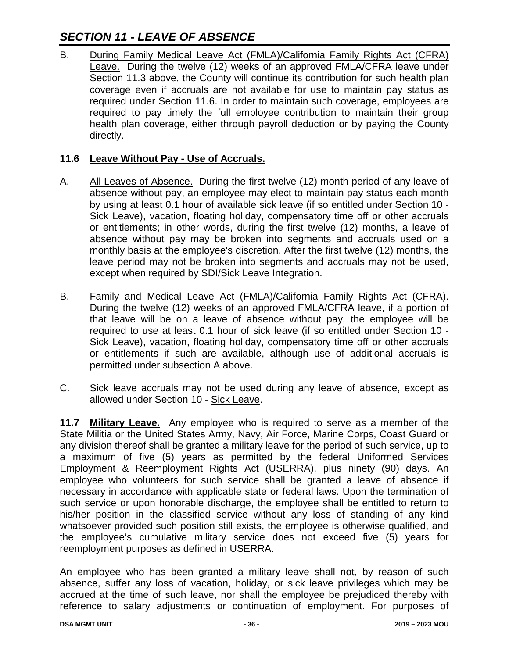# *SECTION 11 - LEAVE OF ABSENCE*

B. During Family Medical Leave Act (FMLA)/California Family Rights Act (CFRA) Leave. During the twelve (12) weeks of an approved FMLA/CFRA leave under Section 11.3 above, the County will continue its contribution for such health plan coverage even if accruals are not available for use to maintain pay status as required under Section 11.6. In order to maintain such coverage, employees are required to pay timely the full employee contribution to maintain their group health plan coverage, either through payroll deduction or by paying the County directly.

### **11.6 Leave Without Pay - Use of Accruals.**

- A. All Leaves of Absence. During the first twelve (12) month period of any leave of absence without pay, an employee may elect to maintain pay status each month by using at least 0.1 hour of available sick leave (if so entitled under Section 10 - Sick Leave), vacation, floating holiday, compensatory time off or other accruals or entitlements; in other words, during the first twelve (12) months, a leave of absence without pay may be broken into segments and accruals used on a monthly basis at the employee's discretion. After the first twelve (12) months, the leave period may not be broken into segments and accruals may not be used, except when required by SDI/Sick Leave Integration.
- B. Family and Medical Leave Act (FMLA)/California Family Rights Act (CFRA). During the twelve (12) weeks of an approved FMLA/CFRA leave, if a portion of that leave will be on a leave of absence without pay, the employee will be required to use at least 0.1 hour of sick leave (if so entitled under Section 10 - Sick Leave), vacation, floating holiday, compensatory time off or other accruals or entitlements if such are available, although use of additional accruals is permitted under subsection A above.
- C. Sick leave accruals may not be used during any leave of absence, except as allowed under Section 10 - Sick Leave.

**11.7 Military Leave.** Any employee who is required to serve as a member of the State Militia or the United States Army, Navy, Air Force, Marine Corps, Coast Guard or any division thereof shall be granted a military leave for the period of such service, up to a maximum of five (5) years as permitted by the federal Uniformed Services Employment & Reemployment Rights Act (USERRA), plus ninety (90) days. An employee who volunteers for such service shall be granted a leave of absence if necessary in accordance with applicable state or federal laws. Upon the termination of such service or upon honorable discharge, the employee shall be entitled to return to his/her position in the classified service without any loss of standing of any kind whatsoever provided such position still exists, the employee is otherwise qualified, and the employee's cumulative military service does not exceed five (5) years for reemployment purposes as defined in USERRA.

An employee who has been granted a military leave shall not, by reason of such absence, suffer any loss of vacation, holiday, or sick leave privileges which may be accrued at the time of such leave, nor shall the employee be prejudiced thereby with reference to salary adjustments or continuation of employment. For purposes of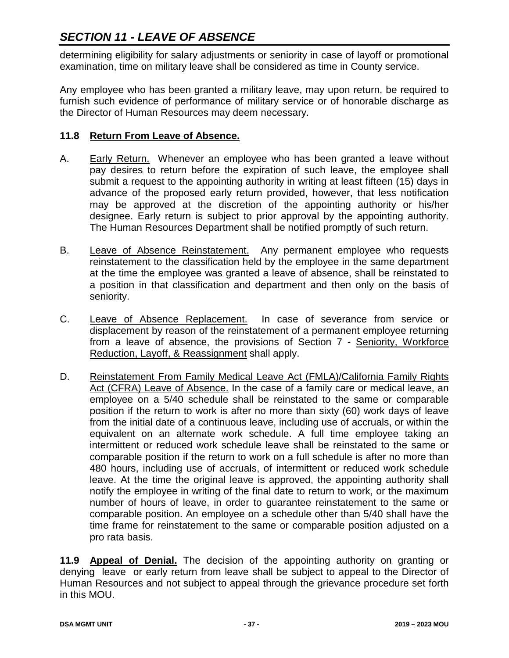# *SECTION 11 - LEAVE OF ABSENCE*

determining eligibility for salary adjustments or seniority in case of layoff or promotional examination, time on military leave shall be considered as time in County service.

Any employee who has been granted a military leave, may upon return, be required to furnish such evidence of performance of military service or of honorable discharge as the Director of Human Resources may deem necessary.

### **11.8 Return From Leave of Absence.**

- A. Early Return. Whenever an employee who has been granted a leave without pay desires to return before the expiration of such leave, the employee shall submit a request to the appointing authority in writing at least fifteen (15) days in advance of the proposed early return provided, however, that less notification may be approved at the discretion of the appointing authority or his/her designee. Early return is subject to prior approval by the appointing authority. The Human Resources Department shall be notified promptly of such return.
- B. Leave of Absence Reinstatement. Any permanent employee who requests reinstatement to the classification held by the employee in the same department at the time the employee was granted a leave of absence, shall be reinstated to a position in that classification and department and then only on the basis of seniority.
- C. Leave of Absence Replacement. In case of severance from service or displacement by reason of the reinstatement of a permanent employee returning from a leave of absence, the provisions of Section 7 - Seniority, Workforce Reduction, Layoff, & Reassignment shall apply.
- D. Reinstatement From Family Medical Leave Act (FMLA)/California Family Rights Act (CFRA) Leave of Absence. In the case of a family care or medical leave, an employee on a 5/40 schedule shall be reinstated to the same or comparable position if the return to work is after no more than sixty (60) work days of leave from the initial date of a continuous leave, including use of accruals, or within the equivalent on an alternate work schedule. A full time employee taking an intermittent or reduced work schedule leave shall be reinstated to the same or comparable position if the return to work on a full schedule is after no more than 480 hours, including use of accruals, of intermittent or reduced work schedule leave. At the time the original leave is approved, the appointing authority shall notify the employee in writing of the final date to return to work, or the maximum number of hours of leave, in order to guarantee reinstatement to the same or comparable position. An employee on a schedule other than 5/40 shall have the time frame for reinstatement to the same or comparable position adjusted on a pro rata basis.

**11.9 Appeal of Denial.** The decision of the appointing authority on granting or denying leave or early return from leave shall be subject to appeal to the Director of Human Resources and not subject to appeal through the grievance procedure set forth in this MOU.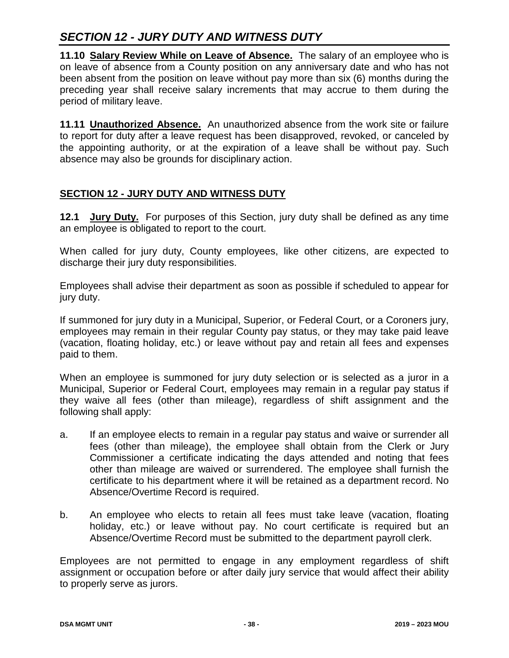## *SECTION 12 - JURY DUTY AND WITNESS DUTY*

**11.10 Salary Review While on Leave of Absence.** The salary of an employee who is on leave of absence from a County position on any anniversary date and who has not been absent from the position on leave without pay more than six (6) months during the preceding year shall receive salary increments that may accrue to them during the period of military leave.

**11.11 Unauthorized Absence.** An unauthorized absence from the work site or failure to report for duty after a leave request has been disapproved, revoked, or canceled by the appointing authority, or at the expiration of a leave shall be without pay. Such absence may also be grounds for disciplinary action.

### **SECTION 12 - JURY DUTY AND WITNESS DUTY**

**12.1 Jury Duty.** For purposes of this Section, jury duty shall be defined as any time an employee is obligated to report to the court.

When called for jury duty, County employees, like other citizens, are expected to discharge their jury duty responsibilities.

Employees shall advise their department as soon as possible if scheduled to appear for jury duty.

If summoned for jury duty in a Municipal, Superior, or Federal Court, or a Coroners jury, employees may remain in their regular County pay status, or they may take paid leave (vacation, floating holiday, etc.) or leave without pay and retain all fees and expenses paid to them.

When an employee is summoned for jury duty selection or is selected as a juror in a Municipal, Superior or Federal Court, employees may remain in a regular pay status if they waive all fees (other than mileage), regardless of shift assignment and the following shall apply:

- a. If an employee elects to remain in a regular pay status and waive or surrender all fees (other than mileage), the employee shall obtain from the Clerk or Jury Commissioner a certificate indicating the days attended and noting that fees other than mileage are waived or surrendered. The employee shall furnish the certificate to his department where it will be retained as a department record. No Absence/Overtime Record is required.
- b. An employee who elects to retain all fees must take leave (vacation, floating holiday, etc.) or leave without pay. No court certificate is required but an Absence/Overtime Record must be submitted to the department payroll clerk.

Employees are not permitted to engage in any employment regardless of shift assignment or occupation before or after daily jury service that would affect their ability to properly serve as jurors.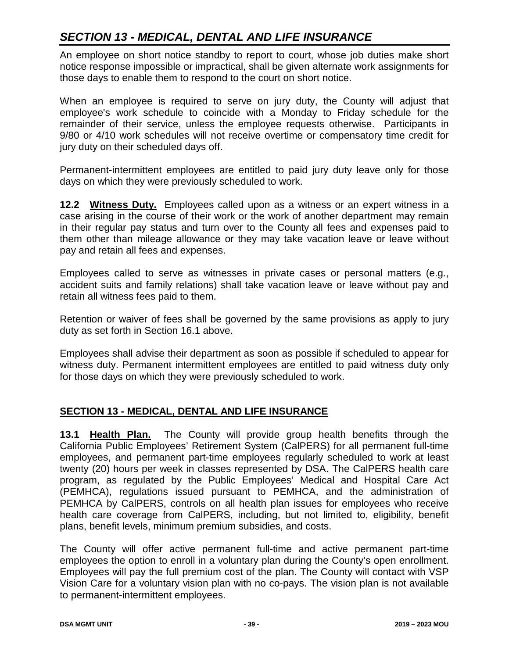An employee on short notice standby to report to court, whose job duties make short notice response impossible or impractical, shall be given alternate work assignments for those days to enable them to respond to the court on short notice.

When an employee is required to serve on jury duty, the County will adjust that employee's work schedule to coincide with a Monday to Friday schedule for the remainder of their service, unless the employee requests otherwise. Participants in 9/80 or 4/10 work schedules will not receive overtime or compensatory time credit for jury duty on their scheduled days off.

Permanent-intermittent employees are entitled to paid jury duty leave only for those days on which they were previously scheduled to work.

**12.2 Witness Duty.** Employees called upon as a witness or an expert witness in a case arising in the course of their work or the work of another department may remain in their regular pay status and turn over to the County all fees and expenses paid to them other than mileage allowance or they may take vacation leave or leave without pay and retain all fees and expenses.

Employees called to serve as witnesses in private cases or personal matters (e.g., accident suits and family relations) shall take vacation leave or leave without pay and retain all witness fees paid to them.

Retention or waiver of fees shall be governed by the same provisions as apply to jury duty as set forth in Section 16.1 above.

Employees shall advise their department as soon as possible if scheduled to appear for witness duty. Permanent intermittent employees are entitled to paid witness duty only for those days on which they were previously scheduled to work.

### **SECTION 13 - MEDICAL, DENTAL AND LIFE INSURANCE**

**13.1 Health Plan.** The County will provide group health benefits through the California Public Employees' Retirement System (CalPERS) for all permanent full-time employees, and permanent part-time employees regularly scheduled to work at least twenty (20) hours per week in classes represented by DSA. The CalPERS health care program, as regulated by the Public Employees' Medical and Hospital Care Act (PEMHCA), regulations issued pursuant to PEMHCA, and the administration of PEMHCA by CalPERS, controls on all health plan issues for employees who receive health care coverage from CalPERS, including, but not limited to, eligibility, benefit plans, benefit levels, minimum premium subsidies, and costs.

The County will offer active permanent full-time and active permanent part-time employees the option to enroll in a voluntary plan during the County's open enrollment. Employees will pay the full premium cost of the plan. The County will contact with VSP Vision Care for a voluntary vision plan with no co-pays. The vision plan is not available to permanent-intermittent employees.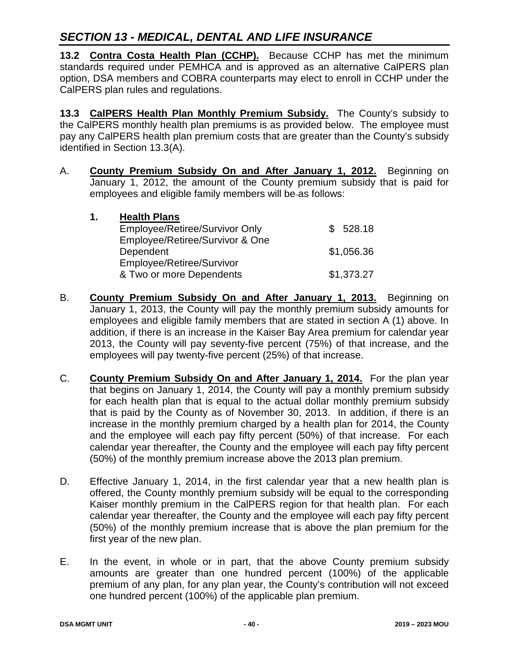**13.2 Contra Costa Health Plan (CCHP).** Because CCHP has met the minimum standards required under PEMHCA and is approved as an alternative CalPERS plan option, DSA members and COBRA counterparts may elect to enroll in CCHP under the CalPERS plan rules and regulations.

**13.3 CalPERS Health Plan Monthly Premium Subsidy.** The County's subsidy to the CalPERS monthly health plan premiums is as provided below. The employee must pay any CalPERS health plan premium costs that are greater than the County's subsidy identified in Section 13.3(A).

A. **County Premium Subsidy On and After January 1, 2012.** Beginning on January 1, 2012, the amount of the County premium subsidy that is paid for employees and eligible family members will be-as follows:

| 1. | <b>Health Plans</b>             |            |
|----|---------------------------------|------------|
|    | Employee/Retiree/Survivor Only  | \$528.18   |
|    | Employee/Retiree/Survivor & One |            |
|    | Dependent                       | \$1,056.36 |
|    | Employee/Retiree/Survivor       |            |
|    | & Two or more Dependents        | \$1,373.27 |

- B. **County Premium Subsidy On and After January 1, 2013.** Beginning on January 1, 2013, the County will pay the monthly premium subsidy amounts for employees and eligible family members that are stated in section A (1) above. In addition, if there is an increase in the Kaiser Bay Area premium for calendar year 2013, the County will pay seventy-five percent (75%) of that increase, and the employees will pay twenty-five percent (25%) of that increase.
- C. **County Premium Subsidy On and After January 1, 2014.** For the plan year that begins on January 1, 2014, the County will pay a monthly premium subsidy for each health plan that is equal to the actual dollar monthly premium subsidy that is paid by the County as of November 30, 2013. In addition, if there is an increase in the monthly premium charged by a health plan for 2014, the County and the employee will each pay fifty percent (50%) of that increase. For each calendar year thereafter, the County and the employee will each pay fifty percent (50%) of the monthly premium increase above the 2013 plan premium.
- D. Effective January 1, 2014, in the first calendar year that a new health plan is offered, the County monthly premium subsidy will be equal to the corresponding Kaiser monthly premium in the CalPERS region for that health plan. For each calendar year thereafter, the County and the employee will each pay fifty percent (50%) of the monthly premium increase that is above the plan premium for the first year of the new plan.
- E. In the event, in whole or in part, that the above County premium subsidy amounts are greater than one hundred percent (100%) of the applicable premium of any plan, for any plan year, the County's contribution will not exceed one hundred percent (100%) of the applicable plan premium.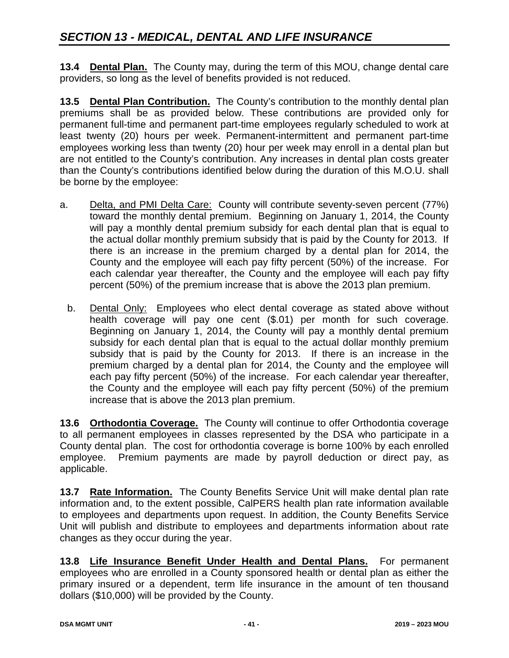**13.4 Dental Plan.** The County may, during the term of this MOU, change dental care providers, so long as the level of benefits provided is not reduced.

**13.5 Dental Plan Contribution.** The County's contribution to the monthly dental plan premiums shall be as provided below. These contributions are provided only for permanent full-time and permanent part-time employees regularly scheduled to work at least twenty (20) hours per week. Permanent-intermittent and permanent part-time employees working less than twenty (20) hour per week may enroll in a dental plan but are not entitled to the County's contribution. Any increases in dental plan costs greater than the County's contributions identified below during the duration of this M.O.U. shall be borne by the employee:

- a. Delta, and PMI Delta Care: County will contribute seventy-seven percent (77%) toward the monthly dental premium. Beginning on January 1, 2014, the County will pay a monthly dental premium subsidy for each dental plan that is equal to the actual dollar monthly premium subsidy that is paid by the County for 2013. If there is an increase in the premium charged by a dental plan for 2014, the County and the employee will each pay fifty percent (50%) of the increase. For each calendar year thereafter, the County and the employee will each pay fifty percent (50%) of the premium increase that is above the 2013 plan premium.
	- b. Dental Only: Employees who elect dental coverage as stated above without health coverage will pay one cent (\$.01) per month for such coverage. Beginning on January 1, 2014, the County will pay a monthly dental premium subsidy for each dental plan that is equal to the actual dollar monthly premium subsidy that is paid by the County for 2013. If there is an increase in the premium charged by a dental plan for 2014, the County and the employee will each pay fifty percent (50%) of the increase. For each calendar year thereafter, the County and the employee will each pay fifty percent (50%) of the premium increase that is above the 2013 plan premium.

**13.6 Orthodontia Coverage.** The County will continue to offer Orthodontia coverage to all permanent employees in classes represented by the DSA who participate in a County dental plan. The cost for orthodontia coverage is borne 100% by each enrolled employee. Premium payments are made by payroll deduction or direct pay, as applicable.

**13.7 Rate Information.** The County Benefits Service Unit will make dental plan rate information and, to the extent possible, CalPERS health plan rate information available to employees and departments upon request. In addition, the County Benefits Service Unit will publish and distribute to employees and departments information about rate changes as they occur during the year.

**13.8 Life Insurance Benefit Under Health and Dental Plans.** For permanent employees who are enrolled in a County sponsored health or dental plan as either the primary insured or a dependent, term life insurance in the amount of ten thousand dollars (\$10,000) will be provided by the County.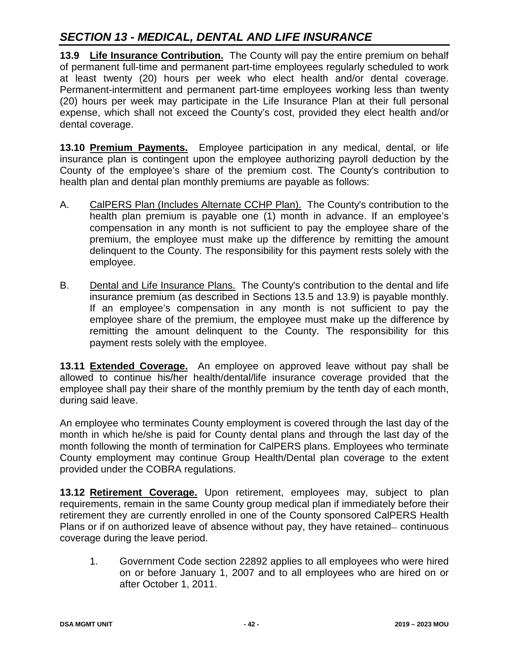**13.9 Life Insurance Contribution.** The County will pay the entire premium on behalf of permanent full-time and permanent part-time employees regularly scheduled to work at least twenty (20) hours per week who elect health and/or dental coverage. Permanent-intermittent and permanent part-time employees working less than twenty (20) hours per week may participate in the Life Insurance Plan at their full personal expense, which shall not exceed the County's cost, provided they elect health and/or dental coverage.

**13.10 Premium Payments.** Employee participation in any medical, dental, or life insurance plan is contingent upon the employee authorizing payroll deduction by the County of the employee's share of the premium cost. The County's contribution to health plan and dental plan monthly premiums are payable as follows:

- A. CalPERS Plan (Includes Alternate CCHP Plan). The County's contribution to the health plan premium is payable one (1) month in advance. If an employee's compensation in any month is not sufficient to pay the employee share of the premium, the employee must make up the difference by remitting the amount delinquent to the County. The responsibility for this payment rests solely with the employee.
- B. Dental and Life Insurance Plans. The County's contribution to the dental and life insurance premium (as described in Sections 13.5 and 13.9) is payable monthly. If an employee's compensation in any month is not sufficient to pay the employee share of the premium, the employee must make up the difference by remitting the amount delinquent to the County. The responsibility for this payment rests solely with the employee.

**13.11 Extended Coverage.** An employee on approved leave without pay shall be allowed to continue his/her health/dental/life insurance coverage provided that the employee shall pay their share of the monthly premium by the tenth day of each month, during said leave.

An employee who terminates County employment is covered through the last day of the month in which he/she is paid for County dental plans and through the last day of the month following the month of termination for CalPERS plans. Employees who terminate County employment may continue Group Health/Dental plan coverage to the extent provided under the COBRA regulations.

**13.12 Retirement Coverage.** Upon retirement, employees may, subject to plan requirements, remain in the same County group medical plan if immediately before their retirement they are currently enrolled in one of the County sponsored CalPERS Health Plans or if on authorized leave of absence without pay, they have retained– continuous coverage during the leave period.

1. Government Code section 22892 applies to all employees who were hired on or before January 1, 2007 and to all employees who are hired on or after October 1, 2011.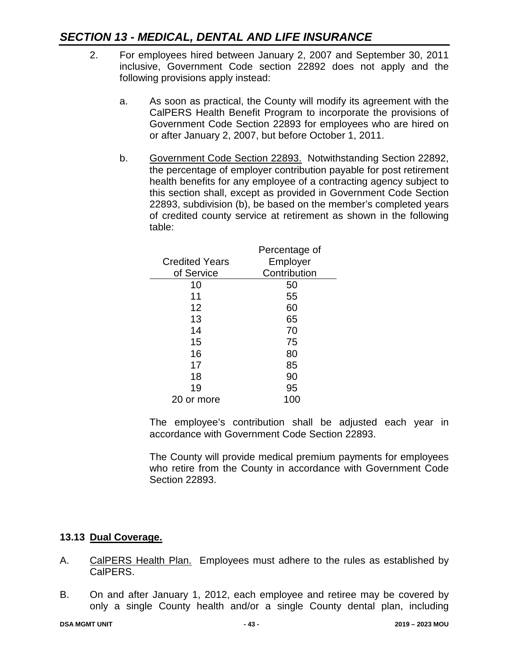- 2. For employees hired between January 2, 2007 and September 30, 2011 inclusive, Government Code section 22892 does not apply and the following provisions apply instead:
	- a. As soon as practical, the County will modify its agreement with the CalPERS Health Benefit Program to incorporate the provisions of Government Code Section 22893 for employees who are hired on or after January 2, 2007, but before October 1, 2011.
	- b. Government Code Section 22893. Notwithstanding Section 22892, the percentage of employer contribution payable for post retirement health benefits for any employee of a contracting agency subject to this section shall, except as provided in Government Code Section 22893, subdivision (b), be based on the member's completed years of credited county service at retirement as shown in the following table:

|                       | Percentage of |
|-----------------------|---------------|
| <b>Credited Years</b> | Employer      |
| of Service            | Contribution  |
| 10                    | 50            |
| 11                    | 55            |
| 12                    | 60            |
| 13                    | 65            |
| 14                    | 70            |
| 15                    | 75            |
| 16                    | 80            |
| 17                    | 85            |
| 18                    | 90            |
| 19                    | 95            |
| or more               | 100           |

The employee's contribution shall be adjusted each year in accordance with Government Code Section 22893.

The County will provide medical premium payments for employees who retire from the County in accordance with Government Code Section 22893.

### **13.13 Dual Coverage.**

- A. CalPERS Health Plan. Employees must adhere to the rules as established by CalPERS.
- B. On and after January 1, 2012, each employee and retiree may be covered by only a single County health and/or a single County dental plan, including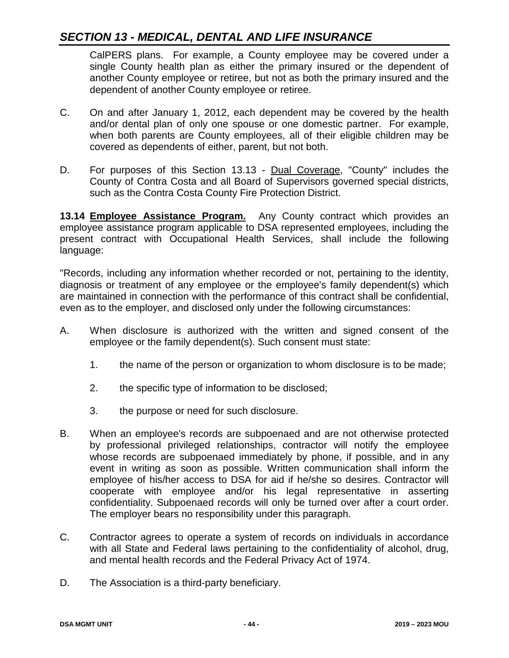CalPERS plans. For example, a County employee may be covered under a single County health plan as either the primary insured or the dependent of another County employee or retiree, but not as both the primary insured and the dependent of another County employee or retiree.

- C. On and after January 1, 2012, each dependent may be covered by the health and/or dental plan of only one spouse or one domestic partner. For example, when both parents are County employees, all of their eligible children may be covered as dependents of either, parent, but not both.
- D. For purposes of this Section 13.13 Dual Coverage, "County" includes the County of Contra Costa and all Board of Supervisors governed special districts, such as the Contra Costa County Fire Protection District.

**13.14 Employee Assistance Program.** Any County contract which provides an employee assistance program applicable to DSA represented employees, including the present contract with Occupational Health Services, shall include the following language:

"Records, including any information whether recorded or not, pertaining to the identity, diagnosis or treatment of any employee or the employee's family dependent(s) which are maintained in connection with the performance of this contract shall be confidential, even as to the employer, and disclosed only under the following circumstances:

- A. When disclosure is authorized with the written and signed consent of the employee or the family dependent(s). Such consent must state:
	- 1. the name of the person or organization to whom disclosure is to be made;
	- 2. the specific type of information to be disclosed;
	- 3. the purpose or need for such disclosure.
- B. When an employee's records are subpoenaed and are not otherwise protected by professional privileged relationships, contractor will notify the employee whose records are subpoenaed immediately by phone, if possible, and in any event in writing as soon as possible. Written communication shall inform the employee of his/her access to DSA for aid if he/she so desires. Contractor will cooperate with employee and/or his legal representative in asserting confidentiality. Subpoenaed records will only be turned over after a court order. The employer bears no responsibility under this paragraph.
- C. Contractor agrees to operate a system of records on individuals in accordance with all State and Federal laws pertaining to the confidentiality of alcohol, drug, and mental health records and the Federal Privacy Act of 1974.
- D. The Association is a third-party beneficiary.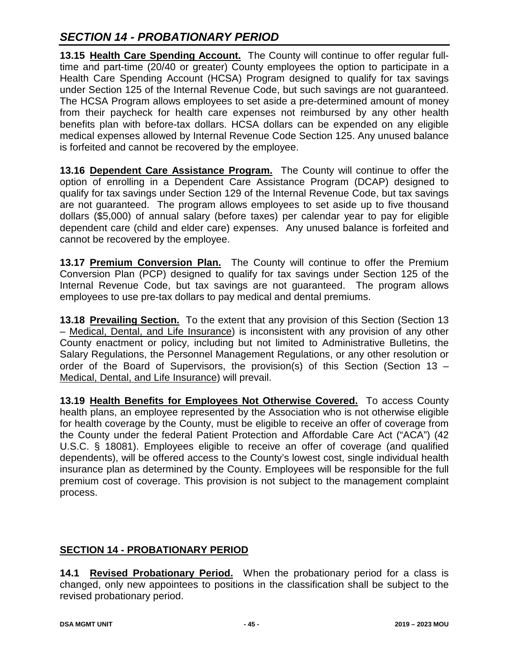# *SECTION 14 - PROBATIONARY PERIOD*

**13.15 Health Care Spending Account.** The County will continue to offer regular fulltime and part-time (20/40 or greater) County employees the option to participate in a Health Care Spending Account (HCSA) Program designed to qualify for tax savings under Section 125 of the Internal Revenue Code, but such savings are not guaranteed. The HCSA Program allows employees to set aside a pre-determined amount of money from their paycheck for health care expenses not reimbursed by any other health benefits plan with before-tax dollars. HCSA dollars can be expended on any eligible medical expenses allowed by Internal Revenue Code Section 125. Any unused balance is forfeited and cannot be recovered by the employee.

**13.16 Dependent Care Assistance Program.** The County will continue to offer the option of enrolling in a Dependent Care Assistance Program (DCAP) designed to qualify for tax savings under Section 129 of the Internal Revenue Code, but tax savings are not guaranteed. The program allows employees to set aside up to five thousand dollars (\$5,000) of annual salary (before taxes) per calendar year to pay for eligible dependent care (child and elder care) expenses. Any unused balance is forfeited and cannot be recovered by the employee.

**13.17 Premium Conversion Plan.** The County will continue to offer the Premium Conversion Plan (PCP) designed to qualify for tax savings under Section 125 of the Internal Revenue Code, but tax savings are not guaranteed. The program allows employees to use pre-tax dollars to pay medical and dental premiums.

**13.18 Prevailing Section.** To the extent that any provision of this Section (Section 13 – Medical, Dental, and Life Insurance) is inconsistent with any provision of any other County enactment or policy, including but not limited to Administrative Bulletins, the Salary Regulations, the Personnel Management Regulations, or any other resolution or order of the Board of Supervisors, the provision(s) of this Section (Section 13 – Medical, Dental, and Life Insurance) will prevail.

**13.19 Health Benefits for Employees Not Otherwise Covered.** To access County health plans, an employee represented by the Association who is not otherwise eligible for health coverage by the County, must be eligible to receive an offer of coverage from the County under the federal Patient Protection and Affordable Care Act ("ACA") (42 U.S.C. § 18081). Employees eligible to receive an offer of coverage (and qualified dependents), will be offered access to the County's lowest cost, single individual health insurance plan as determined by the County. Employees will be responsible for the full premium cost of coverage. This provision is not subject to the management complaint process.

## **SECTION 14 - PROBATIONARY PERIOD**

**14.1 Revised Probationary Period.** When the probationary period for a class is changed, only new appointees to positions in the classification shall be subject to the revised probationary period.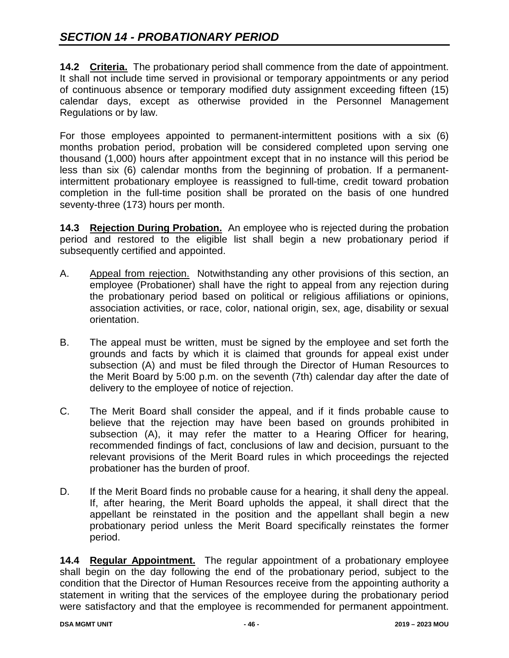# *SECTION 14 - PROBATIONARY PERIOD*

**14.2 Criteria.** The probationary period shall commence from the date of appointment. It shall not include time served in provisional or temporary appointments or any period of continuous absence or temporary modified duty assignment exceeding fifteen (15) calendar days, except as otherwise provided in the Personnel Management Regulations or by law.

For those employees appointed to permanent-intermittent positions with a six (6) months probation period, probation will be considered completed upon serving one thousand (1,000) hours after appointment except that in no instance will this period be less than six (6) calendar months from the beginning of probation. If a permanentintermittent probationary employee is reassigned to full-time, credit toward probation completion in the full-time position shall be prorated on the basis of one hundred seventy-three (173) hours per month.

**14.3 Rejection During Probation.** An employee who is rejected during the probation period and restored to the eligible list shall begin a new probationary period if subsequently certified and appointed.

- A. Appeal from rejection. Notwithstanding any other provisions of this section, an employee (Probationer) shall have the right to appeal from any rejection during the probationary period based on political or religious affiliations or opinions, association activities, or race, color, national origin, sex, age, disability or sexual orientation.
- B. The appeal must be written, must be signed by the employee and set forth the grounds and facts by which it is claimed that grounds for appeal exist under subsection (A) and must be filed through the Director of Human Resources to the Merit Board by 5:00 p.m. on the seventh (7th) calendar day after the date of delivery to the employee of notice of rejection.
- C. The Merit Board shall consider the appeal, and if it finds probable cause to believe that the rejection may have been based on grounds prohibited in subsection (A), it may refer the matter to a Hearing Officer for hearing, recommended findings of fact, conclusions of law and decision, pursuant to the relevant provisions of the Merit Board rules in which proceedings the rejected probationer has the burden of proof.
- D. If the Merit Board finds no probable cause for a hearing, it shall deny the appeal. If, after hearing, the Merit Board upholds the appeal, it shall direct that the appellant be reinstated in the position and the appellant shall begin a new probationary period unless the Merit Board specifically reinstates the former period.

**14.4 Regular Appointment.** The regular appointment of a probationary employee shall begin on the day following the end of the probationary period, subject to the condition that the Director of Human Resources receive from the appointing authority a statement in writing that the services of the employee during the probationary period were satisfactory and that the employee is recommended for permanent appointment.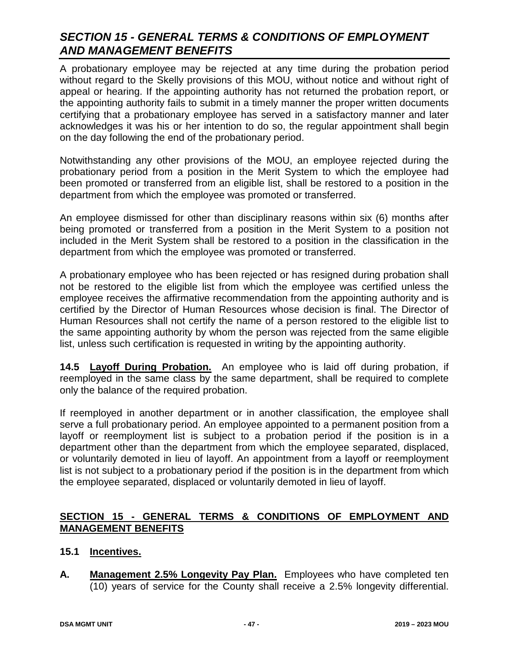A probationary employee may be rejected at any time during the probation period without regard to the Skelly provisions of this MOU, without notice and without right of appeal or hearing. If the appointing authority has not returned the probation report, or the appointing authority fails to submit in a timely manner the proper written documents certifying that a probationary employee has served in a satisfactory manner and later acknowledges it was his or her intention to do so, the regular appointment shall begin on the day following the end of the probationary period.

Notwithstanding any other provisions of the MOU, an employee rejected during the probationary period from a position in the Merit System to which the employee had been promoted or transferred from an eligible list, shall be restored to a position in the department from which the employee was promoted or transferred.

An employee dismissed for other than disciplinary reasons within six (6) months after being promoted or transferred from a position in the Merit System to a position not included in the Merit System shall be restored to a position in the classification in the department from which the employee was promoted or transferred.

A probationary employee who has been rejected or has resigned during probation shall not be restored to the eligible list from which the employee was certified unless the employee receives the affirmative recommendation from the appointing authority and is certified by the Director of Human Resources whose decision is final. The Director of Human Resources shall not certify the name of a person restored to the eligible list to the same appointing authority by whom the person was rejected from the same eligible list, unless such certification is requested in writing by the appointing authority.

**14.5 Layoff During Probation.** An employee who is laid off during probation, if reemployed in the same class by the same department, shall be required to complete only the balance of the required probation.

If reemployed in another department or in another classification, the employee shall serve a full probationary period. An employee appointed to a permanent position from a layoff or reemployment list is subject to a probation period if the position is in a department other than the department from which the employee separated, displaced, or voluntarily demoted in lieu of layoff. An appointment from a layoff or reemployment list is not subject to a probationary period if the position is in the department from which the employee separated, displaced or voluntarily demoted in lieu of layoff.

### **SECTION 15 - GENERAL TERMS & CONDITIONS OF EMPLOYMENT AND MANAGEMENT BENEFITS**

### **15.1 Incentives.**

**A. Management 2.5% Longevity Pay Plan.** Employees who have completed ten (10) years of service for the County shall receive a 2.5% longevity differential.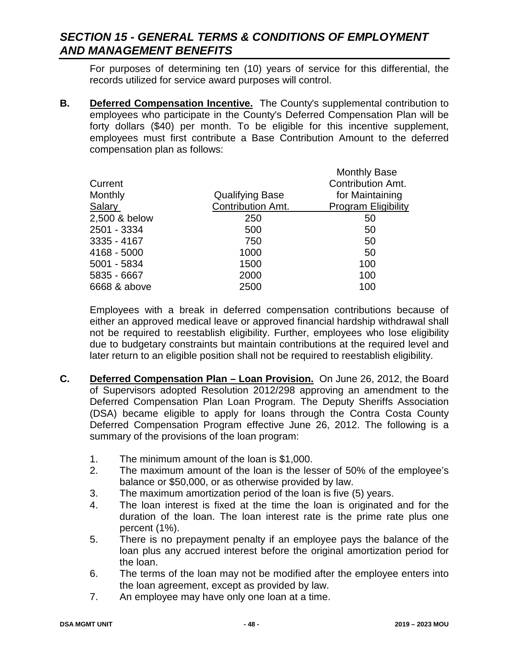For purposes of determining ten (10) years of service for this differential, the records utilized for service award purposes will control.

**B. Deferred Compensation Incentive.** The County's supplemental contribution to employees who participate in the County's Deferred Compensation Plan will be forty dollars (\$40) per month. To be eligible for this incentive supplement, employees must first contribute a Base Contribution Amount to the deferred compensation plan as follows:

|               |                          | <b>Monthly Base</b>        |
|---------------|--------------------------|----------------------------|
| Current       |                          | Contribution Amt.          |
| Monthly       | <b>Qualifying Base</b>   | for Maintaining            |
| <b>Salary</b> | <b>Contribution Amt.</b> | <b>Program Eligibility</b> |
| 2,500 & below | 250                      | 50                         |
| 2501 - 3334   | 500                      | 50                         |
| 3335 - 4167   | 750                      | 50                         |
| 4168 - 5000   | 1000                     | 50                         |
| 5001 - 5834   | 1500                     | 100                        |
| 5835 - 6667   | 2000                     | 100                        |
| 6668 & above  | 2500                     | 100                        |
|               |                          |                            |

Employees with a break in deferred compensation contributions because of either an approved medical leave or approved financial hardship withdrawal shall not be required to reestablish eligibility. Further, employees who lose eligibility due to budgetary constraints but maintain contributions at the required level and later return to an eligible position shall not be required to reestablish eligibility.

- **C. Deferred Compensation Plan – Loan Provision.** On June 26, 2012, the Board of Supervisors adopted Resolution 2012/298 approving an amendment to the Deferred Compensation Plan Loan Program. The Deputy Sheriffs Association (DSA) became eligible to apply for loans through the Contra Costa County Deferred Compensation Program effective June 26, 2012. The following is a summary of the provisions of the loan program:
	- 1. The minimum amount of the loan is \$1,000.
	- 2. The maximum amount of the loan is the lesser of 50% of the employee's balance or \$50,000, or as otherwise provided by law.
	- 3. The maximum amortization period of the loan is five (5) years.
	- 4. The loan interest is fixed at the time the loan is originated and for the duration of the loan. The loan interest rate is the prime rate plus one percent (1%).
	- 5. There is no prepayment penalty if an employee pays the balance of the loan plus any accrued interest before the original amortization period for the loan.
	- 6. The terms of the loan may not be modified after the employee enters into the loan agreement, except as provided by law.
	- 7. An employee may have only one loan at a time.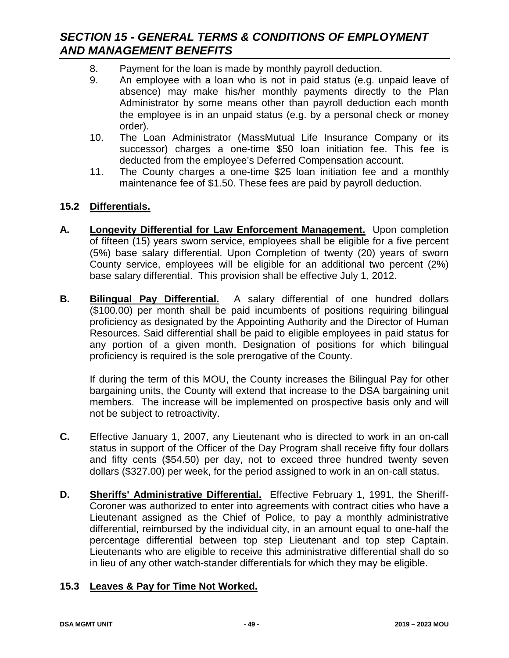- 8. Payment for the loan is made by monthly payroll deduction.
- 9. An employee with a loan who is not in paid status (e.g. unpaid leave of absence) may make his/her monthly payments directly to the Plan Administrator by some means other than payroll deduction each month the employee is in an unpaid status (e.g. by a personal check or money order).
- 10. The Loan Administrator (MassMutual Life Insurance Company or its successor) charges a one-time \$50 loan initiation fee. This fee is deducted from the employee's Deferred Compensation account.
- 11. The County charges a one-time \$25 loan initiation fee and a monthly maintenance fee of \$1.50. These fees are paid by payroll deduction.

### **15.2 Differentials.**

- **A. Longevity Differential for Law Enforcement Management.** Upon completion of fifteen (15) years sworn service, employees shall be eligible for a five percent (5%) base salary differential. Upon Completion of twenty (20) years of sworn County service, employees will be eligible for an additional two percent (2%) base salary differential. This provision shall be effective July 1, 2012.
- **B. Bilingual Pay Differential.** A salary differential of one hundred dollars (\$100.00) per month shall be paid incumbents of positions requiring bilingual proficiency as designated by the Appointing Authority and the Director of Human Resources. Said differential shall be paid to eligible employees in paid status for any portion of a given month. Designation of positions for which bilingual proficiency is required is the sole prerogative of the County.

If during the term of this MOU, the County increases the Bilingual Pay for other bargaining units, the County will extend that increase to the DSA bargaining unit members. The increase will be implemented on prospective basis only and will not be subject to retroactivity.

- **C.** Effective January 1, 2007, any Lieutenant who is directed to work in an on-call status in support of the Officer of the Day Program shall receive fifty four dollars and fifty cents (\$54.50) per day, not to exceed three hundred twenty seven dollars (\$327.00) per week, for the period assigned to work in an on-call status.
- **D. Sheriffs' Administrative Differential.** Effective February 1, 1991, the Sheriff-Coroner was authorized to enter into agreements with contract cities who have a Lieutenant assigned as the Chief of Police, to pay a monthly administrative differential, reimbursed by the individual city, in an amount equal to one-half the percentage differential between top step Lieutenant and top step Captain. Lieutenants who are eligible to receive this administrative differential shall do so in lieu of any other watch-stander differentials for which they may be eligible.

### **15.3 Leaves & Pay for Time Not Worked.**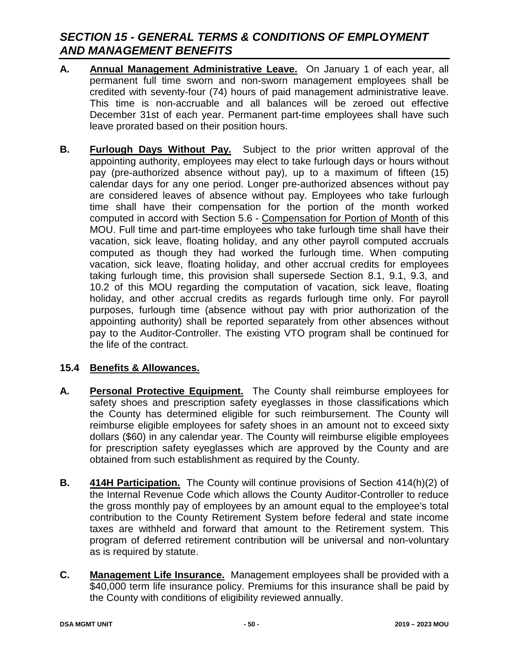- **A. Annual Management Administrative Leave.** On January 1 of each year, all permanent full time sworn and non-sworn management employees shall be credited with seventy-four (74) hours of paid management administrative leave. This time is non-accruable and all balances will be zeroed out effective December 31st of each year. Permanent part-time employees shall have such leave prorated based on their position hours.
- **B. Furlough Days Without Pay.** Subject to the prior written approval of the appointing authority, employees may elect to take furlough days or hours without pay (pre-authorized absence without pay), up to a maximum of fifteen (15) calendar days for any one period. Longer pre-authorized absences without pay are considered leaves of absence without pay. Employees who take furlough time shall have their compensation for the portion of the month worked computed in accord with Section 5.6 - Compensation for Portion of Month of this MOU. Full time and part-time employees who take furlough time shall have their vacation, sick leave, floating holiday, and any other payroll computed accruals computed as though they had worked the furlough time. When computing vacation, sick leave, floating holiday, and other accrual credits for employees taking furlough time, this provision shall supersede Section 8.1, 9.1, 9.3, and 10.2 of this MOU regarding the computation of vacation, sick leave, floating holiday, and other accrual credits as regards furlough time only. For payroll purposes, furlough time (absence without pay with prior authorization of the appointing authority) shall be reported separately from other absences without pay to the Auditor-Controller. The existing VTO program shall be continued for the life of the contract.

### **15.4 Benefits & Allowances.**

- **A. Personal Protective Equipment.** The County shall reimburse employees for safety shoes and prescription safety eyeglasses in those classifications which the County has determined eligible for such reimbursement. The County will reimburse eligible employees for safety shoes in an amount not to exceed sixty dollars (\$60) in any calendar year. The County will reimburse eligible employees for prescription safety eyeglasses which are approved by the County and are obtained from such establishment as required by the County.
- **B. 414H Participation.** The County will continue provisions of Section 414(h)(2) of the Internal Revenue Code which allows the County Auditor-Controller to reduce the gross monthly pay of employees by an amount equal to the employee's total contribution to the County Retirement System before federal and state income taxes are withheld and forward that amount to the Retirement system. This program of deferred retirement contribution will be universal and non-voluntary as is required by statute.
- **C. Management Life Insurance.** Management employees shall be provided with a \$40,000 term life insurance policy. Premiums for this insurance shall be paid by the County with conditions of eligibility reviewed annually.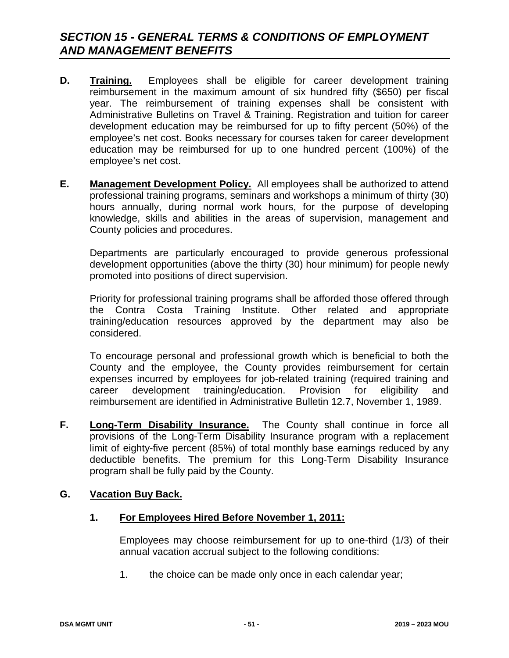- **D. Training.** Employees shall be eligible for career development training reimbursement in the maximum amount of six hundred fifty (\$650) per fiscal year. The reimbursement of training expenses shall be consistent with Administrative Bulletins on Travel & Training. Registration and tuition for career development education may be reimbursed for up to fifty percent (50%) of the employee's net cost. Books necessary for courses taken for career development education may be reimbursed for up to one hundred percent (100%) of the employee's net cost.
- **E. Management Development Policy.** All employees shall be authorized to attend professional training programs, seminars and workshops a minimum of thirty (30) hours annually, during normal work hours, for the purpose of developing knowledge, skills and abilities in the areas of supervision, management and County policies and procedures.

Departments are particularly encouraged to provide generous professional development opportunities (above the thirty (30) hour minimum) for people newly promoted into positions of direct supervision.

Priority for professional training programs shall be afforded those offered through the Contra Costa Training Institute. Other related and appropriate training/education resources approved by the department may also be considered.

To encourage personal and professional growth which is beneficial to both the County and the employee, the County provides reimbursement for certain expenses incurred by employees for job-related training (required training and career development training/education. Provision for eligibility and reimbursement are identified in Administrative Bulletin 12.7, November 1, 1989.

**F. Long-Term Disability Insurance.** The County shall continue in force all provisions of the Long-Term Disability Insurance program with a replacement limit of eighty-five percent (85%) of total monthly base earnings reduced by any deductible benefits. The premium for this Long-Term Disability Insurance program shall be fully paid by the County.

### **G. Vacation Buy Back.**

**1. For Employees Hired Before November 1, 2011:**

Employees may choose reimbursement for up to one-third (1/3) of their annual vacation accrual subject to the following conditions:

1. the choice can be made only once in each calendar year;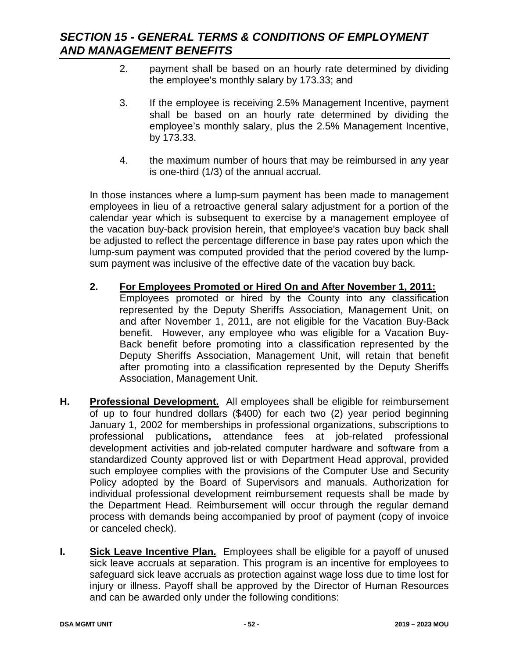- 2. payment shall be based on an hourly rate determined by dividing the employee's monthly salary by 173.33; and
- 3. If the employee is receiving 2.5% Management Incentive, payment shall be based on an hourly rate determined by dividing the employee's monthly salary, plus the 2.5% Management Incentive, by 173.33.
- 4. the maximum number of hours that may be reimbursed in any year is one-third (1/3) of the annual accrual.

In those instances where a lump-sum payment has been made to management employees in lieu of a retroactive general salary adjustment for a portion of the calendar year which is subsequent to exercise by a management employee of the vacation buy-back provision herein, that employee's vacation buy back shall be adjusted to reflect the percentage difference in base pay rates upon which the lump-sum payment was computed provided that the period covered by the lumpsum payment was inclusive of the effective date of the vacation buy back.

- **2. For Employees Promoted or Hired On and After November 1, 2011:** Employees promoted or hired by the County into any classification represented by the Deputy Sheriffs Association, Management Unit, on and after November 1, 2011, are not eligible for the Vacation Buy-Back benefit. However, any employee who was eligible for a Vacation Buy-Back benefit before promoting into a classification represented by the Deputy Sheriffs Association, Management Unit, will retain that benefit after promoting into a classification represented by the Deputy Sheriffs Association, Management Unit.
- **H. Professional Development.** All employees shall be eligible for reimbursement of up to four hundred dollars (\$400) for each two (2) year period beginning January 1, 2002 for memberships in professional organizations, subscriptions to professional publications**,** attendance fees at job-related professional development activities and job-related computer hardware and software from a standardized County approved list or with Department Head approval, provided such employee complies with the provisions of the Computer Use and Security Policy adopted by the Board of Supervisors and manuals. Authorization for individual professional development reimbursement requests shall be made by the Department Head. Reimbursement will occur through the regular demand process with demands being accompanied by proof of payment (copy of invoice or canceled check).
- **I. Sick Leave Incentive Plan.** Employees shall be eligible for a payoff of unused sick leave accruals at separation. This program is an incentive for employees to safeguard sick leave accruals as protection against wage loss due to time lost for injury or illness. Payoff shall be approved by the Director of Human Resources and can be awarded only under the following conditions: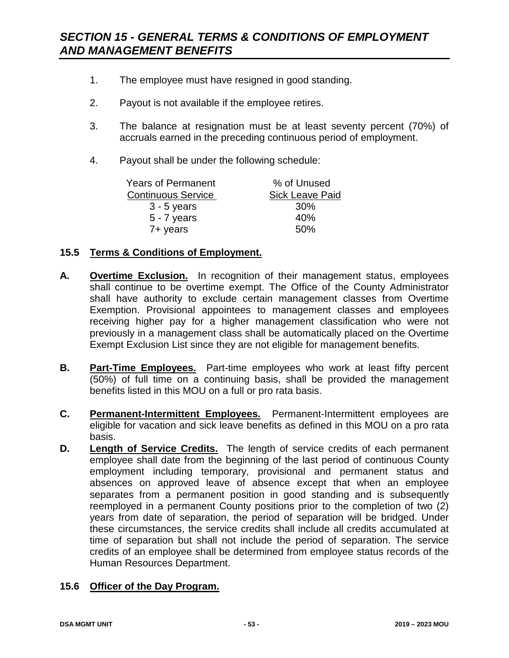- 1. The employee must have resigned in good standing.
- 2. Payout is not available if the employee retires.
- 3. The balance at resignation must be at least seventy percent (70%) of accruals earned in the preceding continuous period of employment.
- 4. Payout shall be under the following schedule:

| Years of Permanent        | % of Unused            |
|---------------------------|------------------------|
| <b>Continuous Service</b> | <b>Sick Leave Paid</b> |
| $3 - 5$ years             | 30%                    |
| $5 - 7$ years             | 40%                    |
| 7+ years                  | 50%                    |

### **15.5 Terms & Conditions of Employment.**

- **A. Overtime Exclusion.** In recognition of their management status, employees shall continue to be overtime exempt. The Office of the County Administrator shall have authority to exclude certain management classes from Overtime Exemption. Provisional appointees to management classes and employees receiving higher pay for a higher management classification who were not previously in a management class shall be automatically placed on the Overtime Exempt Exclusion List since they are not eligible for management benefits.
- **B. Part-Time Employees.** Part-time employees who work at least fifty percent (50%) of full time on a continuing basis, shall be provided the management benefits listed in this MOU on a full or pro rata basis.
- **C. Permanent-Intermittent Employees.** Permanent-Intermittent employees are eligible for vacation and sick leave benefits as defined in this MOU on a pro rata basis.
- **D. Length of Service Credits.** The length of service credits of each permanent employee shall date from the beginning of the last period of continuous County employment including temporary, provisional and permanent status and absences on approved leave of absence except that when an employee separates from a permanent position in good standing and is subsequently reemployed in a permanent County positions prior to the completion of two (2) years from date of separation, the period of separation will be bridged. Under these circumstances, the service credits shall include all credits accumulated at time of separation but shall not include the period of separation. The service credits of an employee shall be determined from employee status records of the Human Resources Department.

### **15.6 Officer of the Day Program.**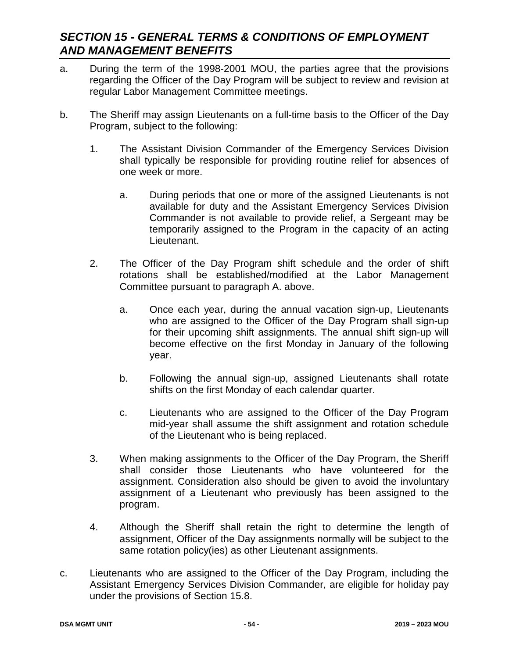- a. During the term of the 1998-2001 MOU, the parties agree that the provisions regarding the Officer of the Day Program will be subject to review and revision at regular Labor Management Committee meetings.
- b. The Sheriff may assign Lieutenants on a full-time basis to the Officer of the Day Program, subject to the following:
	- 1. The Assistant Division Commander of the Emergency Services Division shall typically be responsible for providing routine relief for absences of one week or more.
		- a. During periods that one or more of the assigned Lieutenants is not available for duty and the Assistant Emergency Services Division Commander is not available to provide relief, a Sergeant may be temporarily assigned to the Program in the capacity of an acting Lieutenant.
	- 2. The Officer of the Day Program shift schedule and the order of shift rotations shall be established/modified at the Labor Management Committee pursuant to paragraph A. above.
		- a. Once each year, during the annual vacation sign-up, Lieutenants who are assigned to the Officer of the Day Program shall sign-up for their upcoming shift assignments. The annual shift sign-up will become effective on the first Monday in January of the following year.
		- b. Following the annual sign-up, assigned Lieutenants shall rotate shifts on the first Monday of each calendar quarter.
		- c. Lieutenants who are assigned to the Officer of the Day Program mid-year shall assume the shift assignment and rotation schedule of the Lieutenant who is being replaced.
	- 3. When making assignments to the Officer of the Day Program, the Sheriff shall consider those Lieutenants who have volunteered for the assignment. Consideration also should be given to avoid the involuntary assignment of a Lieutenant who previously has been assigned to the program.
	- 4. Although the Sheriff shall retain the right to determine the length of assignment, Officer of the Day assignments normally will be subject to the same rotation policy(ies) as other Lieutenant assignments.
- c. Lieutenants who are assigned to the Officer of the Day Program, including the Assistant Emergency Services Division Commander, are eligible for holiday pay under the provisions of Section 15.8.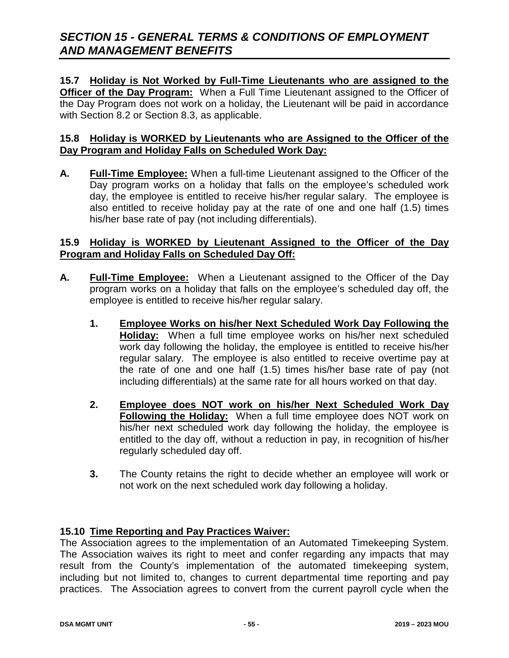### **15.7 Holiday is Not Worked by Full-Time Lieutenants who are assigned to the**

**Officer of the Day Program:** When a Full Time Lieutenant assigned to the Officer of the Day Program does not work on a holiday, the Lieutenant will be paid in accordance with Section 8.2 or Section 8.3, as applicable.

### **15.8 Holiday is WORKED by Lieutenants who are Assigned to the Officer of the Day Program and Holiday Falls on Scheduled Work Day:**

**A. Full-Time Employee:** When a full-time Lieutenant assigned to the Officer of the Day program works on a holiday that falls on the employee's scheduled work day, the employee is entitled to receive his/her regular salary. The employee is also entitled to receive holiday pay at the rate of one and one half (1.5) times his/her base rate of pay (not including differentials).

### **15.9 Holiday is WORKED by Lieutenant Assigned to the Officer of the Day Program and Holiday Falls on Scheduled Day Off:**

- **A. Full-Time Employee:** When a Lieutenant assigned to the Officer of the Day program works on a holiday that falls on the employee's scheduled day off, the employee is entitled to receive his/her regular salary.
	- **1. Employee Works on his/her Next Scheduled Work Day Following the Holiday:** When a full time employee works on his/her next scheduled work day following the holiday, the employee is entitled to receive his/her regular salary. The employee is also entitled to receive overtime pay at the rate of one and one half (1.5) times his/her base rate of pay (not including differentials) at the same rate for all hours worked on that day.
	- **2. Employee does NOT work on his/her Next Scheduled Work Day Following the Holiday:** When a full time employee does NOT work on his/her next scheduled work day following the holiday, the employee is entitled to the day off, without a reduction in pay, in recognition of his/her regularly scheduled day off.
	- **3.** The County retains the right to decide whether an employee will work or not work on the next scheduled work day following a holiday.

### **15.10 Time Reporting and Pay Practices Waiver:**

The Association agrees to the implementation of an Automated Timekeeping System. The Association waives its right to meet and confer regarding any impacts that may result from the County's implementation of the automated timekeeping system, including but not limited to, changes to current departmental time reporting and pay practices. The Association agrees to convert from the current payroll cycle when the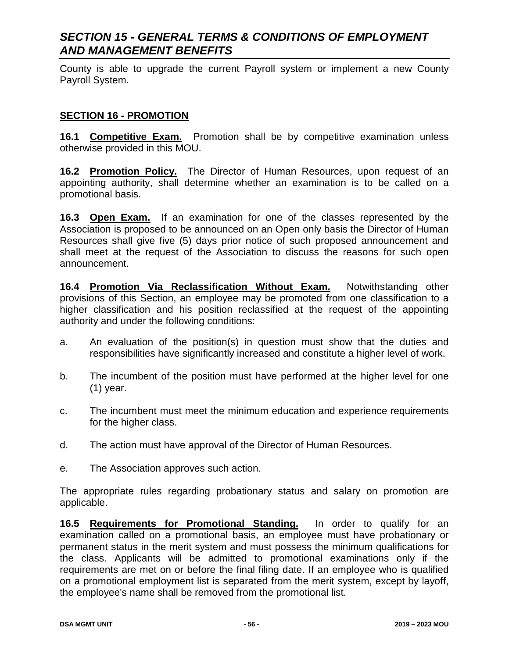County is able to upgrade the current Payroll system or implement a new County Payroll System.

#### **SECTION 16 - PROMOTION**

**16.1 Competitive Exam.** Promotion shall be by competitive examination unless otherwise provided in this MOU.

**16.2 Promotion Policy.** The Director of Human Resources, upon request of an appointing authority, shall determine whether an examination is to be called on a promotional basis.

**16.3 Open Exam.** If an examination for one of the classes represented by the Association is proposed to be announced on an Open only basis the Director of Human Resources shall give five (5) days prior notice of such proposed announcement and shall meet at the request of the Association to discuss the reasons for such open announcement.

**16.4 Promotion Via Reclassification Without Exam.** Notwithstanding other provisions of this Section, an employee may be promoted from one classification to a higher classification and his position reclassified at the request of the appointing authority and under the following conditions:

- a. An evaluation of the position(s) in question must show that the duties and responsibilities have significantly increased and constitute a higher level of work.
- b. The incumbent of the position must have performed at the higher level for one (1) year.
- c. The incumbent must meet the minimum education and experience requirements for the higher class.
- d. The action must have approval of the Director of Human Resources.
- e. The Association approves such action.

The appropriate rules regarding probationary status and salary on promotion are applicable.

**16.5 Requirements for Promotional Standing.** In order to qualify for an examination called on a promotional basis, an employee must have probationary or permanent status in the merit system and must possess the minimum qualifications for the class. Applicants will be admitted to promotional examinations only if the requirements are met on or before the final filing date. If an employee who is qualified on a promotional employment list is separated from the merit system, except by layoff, the employee's name shall be removed from the promotional list.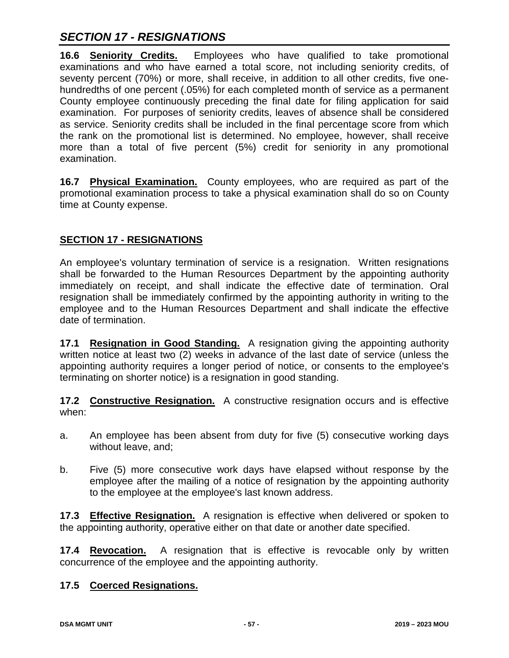# *SECTION 17 - RESIGNATIONS*

**16.6 Seniority Credits.** Employees who have qualified to take promotional examinations and who have earned a total score, not including seniority credits, of seventy percent (70%) or more, shall receive, in addition to all other credits, five onehundredths of one percent (.05%) for each completed month of service as a permanent County employee continuously preceding the final date for filing application for said examination. For purposes of seniority credits, leaves of absence shall be considered as service. Seniority credits shall be included in the final percentage score from which the rank on the promotional list is determined. No employee, however, shall receive more than a total of five percent (5%) credit for seniority in any promotional examination.

**16.7 Physical Examination.** County employees, who are required as part of the promotional examination process to take a physical examination shall do so on County time at County expense.

### **SECTION 17 - RESIGNATIONS**

An employee's voluntary termination of service is a resignation. Written resignations shall be forwarded to the Human Resources Department by the appointing authority immediately on receipt, and shall indicate the effective date of termination. Oral resignation shall be immediately confirmed by the appointing authority in writing to the employee and to the Human Resources Department and shall indicate the effective date of termination.

**17.1 Resignation in Good Standing.** A resignation giving the appointing authority written notice at least two (2) weeks in advance of the last date of service (unless the appointing authority requires a longer period of notice, or consents to the employee's terminating on shorter notice) is a resignation in good standing.

**17.2 Constructive Resignation.** A constructive resignation occurs and is effective when:

- a. An employee has been absent from duty for five (5) consecutive working days without leave, and;
- b. Five (5) more consecutive work days have elapsed without response by the employee after the mailing of a notice of resignation by the appointing authority to the employee at the employee's last known address.

**17.3 Effective Resignation.** A resignation is effective when delivered or spoken to the appointing authority, operative either on that date or another date specified.

**17.4 Revocation.** A resignation that is effective is revocable only by written concurrence of the employee and the appointing authority.

### **17.5 Coerced Resignations.**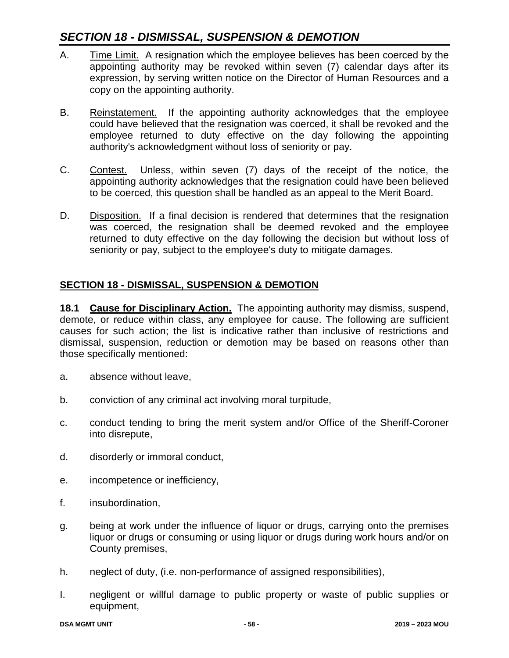## *SECTION 18 - DISMISSAL, SUSPENSION & DEMOTION*

- A. Time Limit. A resignation which the employee believes has been coerced by the appointing authority may be revoked within seven (7) calendar days after its expression, by serving written notice on the Director of Human Resources and a copy on the appointing authority.
- B. Reinstatement. If the appointing authority acknowledges that the employee could have believed that the resignation was coerced, it shall be revoked and the employee returned to duty effective on the day following the appointing authority's acknowledgment without loss of seniority or pay.
- C. Contest. Unless, within seven (7) days of the receipt of the notice, the appointing authority acknowledges that the resignation could have been believed to be coerced, this question shall be handled as an appeal to the Merit Board.
- D. Disposition. If a final decision is rendered that determines that the resignation was coerced, the resignation shall be deemed revoked and the employee returned to duty effective on the day following the decision but without loss of seniority or pay, subject to the employee's duty to mitigate damages.

### **SECTION 18 - DISMISSAL, SUSPENSION & DEMOTION**

**18.1 Cause for Disciplinary Action.** The appointing authority may dismiss, suspend, demote, or reduce within class, any employee for cause. The following are sufficient causes for such action; the list is indicative rather than inclusive of restrictions and dismissal, suspension, reduction or demotion may be based on reasons other than those specifically mentioned:

- a. absence without leave,
- b. conviction of any criminal act involving moral turpitude,
- c. conduct tending to bring the merit system and/or Office of the Sheriff-Coroner into disrepute,
- d. disorderly or immoral conduct,
- e. incompetence or inefficiency,
- f. insubordination,
- g. being at work under the influence of liquor or drugs, carrying onto the premises liquor or drugs or consuming or using liquor or drugs during work hours and/or on County premises,
- h. neglect of duty, (i.e. non-performance of assigned responsibilities),
- I. negligent or willful damage to public property or waste of public supplies or equipment,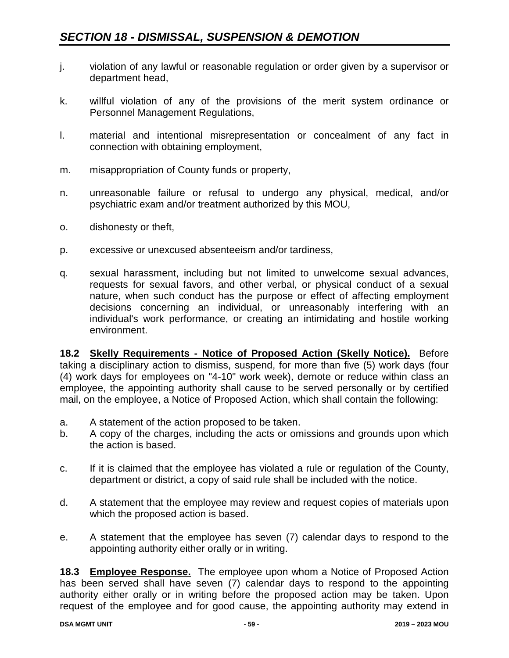- j. violation of any lawful or reasonable regulation or order given by a supervisor or department head,
- k. willful violation of any of the provisions of the merit system ordinance or Personnel Management Regulations,
- l. material and intentional misrepresentation or concealment of any fact in connection with obtaining employment,
- m. misappropriation of County funds or property,
- n. unreasonable failure or refusal to undergo any physical, medical, and/or psychiatric exam and/or treatment authorized by this MOU,
- o. dishonesty or theft,
- p. excessive or unexcused absenteeism and/or tardiness,
- q. sexual harassment, including but not limited to unwelcome sexual advances, requests for sexual favors, and other verbal, or physical conduct of a sexual nature, when such conduct has the purpose or effect of affecting employment decisions concerning an individual, or unreasonably interfering with an individual's work performance, or creating an intimidating and hostile working environment.

**18.2 Skelly Requirements - Notice of Proposed Action (Skelly Notice).** Before taking a disciplinary action to dismiss, suspend, for more than five (5) work days (four (4) work days for employees on "4-10" work week), demote or reduce within class an employee, the appointing authority shall cause to be served personally or by certified mail, on the employee, a Notice of Proposed Action, which shall contain the following:

- a. A statement of the action proposed to be taken.
- b. A copy of the charges, including the acts or omissions and grounds upon which the action is based.
- c. If it is claimed that the employee has violated a rule or regulation of the County, department or district, a copy of said rule shall be included with the notice.
- d. A statement that the employee may review and request copies of materials upon which the proposed action is based.
- e. A statement that the employee has seven (7) calendar days to respond to the appointing authority either orally or in writing.

**18.3 Employee Response.** The employee upon whom a Notice of Proposed Action has been served shall have seven (7) calendar days to respond to the appointing authority either orally or in writing before the proposed action may be taken. Upon request of the employee and for good cause, the appointing authority may extend in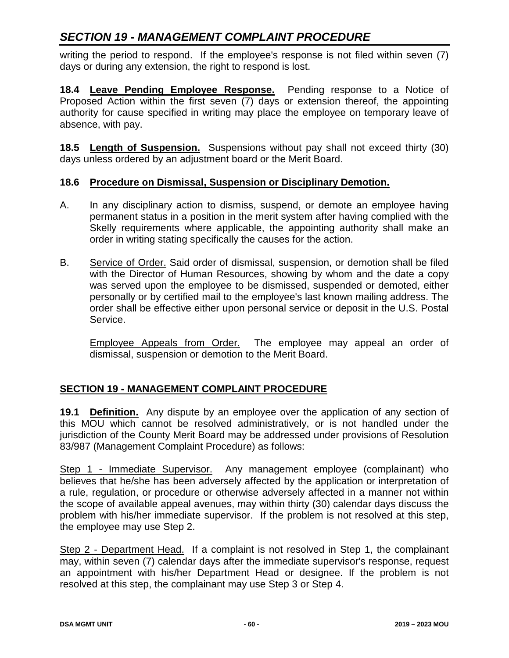writing the period to respond. If the employee's response is not filed within seven (7) days or during any extension, the right to respond is lost.

**18.4 Leave Pending Employee Response.** Pending response to a Notice of Proposed Action within the first seven (7) days or extension thereof, the appointing authority for cause specified in writing may place the employee on temporary leave of absence, with pay.

**18.5 Length of Suspension.** Suspensions without pay shall not exceed thirty (30) days unless ordered by an adjustment board or the Merit Board.

### **18.6 Procedure on Dismissal, Suspension or Disciplinary Demotion.**

- A. In any disciplinary action to dismiss, suspend, or demote an employee having permanent status in a position in the merit system after having complied with the Skelly requirements where applicable, the appointing authority shall make an order in writing stating specifically the causes for the action.
- B. Service of Order. Said order of dismissal, suspension, or demotion shall be filed with the Director of Human Resources, showing by whom and the date a copy was served upon the employee to be dismissed, suspended or demoted, either personally or by certified mail to the employee's last known mailing address. The order shall be effective either upon personal service or deposit in the U.S. Postal Service.

Employee Appeals from Order. The employee may appeal an order of dismissal, suspension or demotion to the Merit Board.

### **SECTION 19 - MANAGEMENT COMPLAINT PROCEDURE**

**19.1 Definition.** Any dispute by an employee over the application of any section of this MOU which cannot be resolved administratively, or is not handled under the jurisdiction of the County Merit Board may be addressed under provisions of Resolution 83/987 (Management Complaint Procedure) as follows:

Step 1 - Immediate Supervisor. Any management employee (complainant) who believes that he/she has been adversely affected by the application or interpretation of a rule, regulation, or procedure or otherwise adversely affected in a manner not within the scope of available appeal avenues, may within thirty (30) calendar days discuss the problem with his/her immediate supervisor. If the problem is not resolved at this step, the employee may use Step 2.

Step 2 - Department Head. If a complaint is not resolved in Step 1, the complainant may, within seven (7) calendar days after the immediate supervisor's response, request an appointment with his/her Department Head or designee. If the problem is not resolved at this step, the complainant may use Step 3 or Step 4.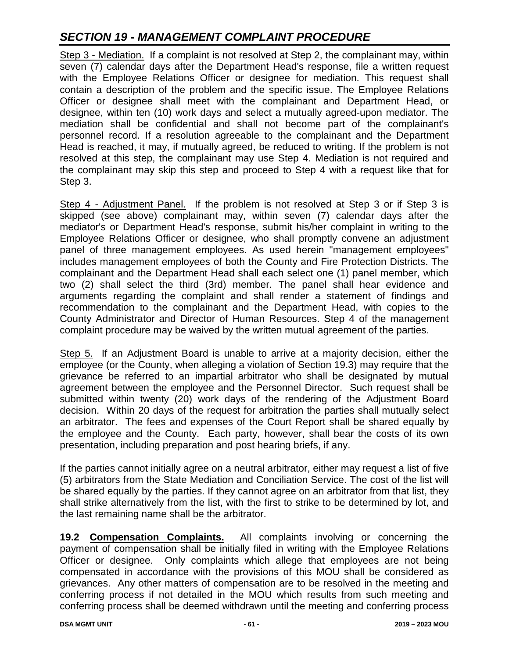Step 3 - Mediation. If a complaint is not resolved at Step 2, the complainant may, within seven (7) calendar days after the Department Head's response, file a written request with the Employee Relations Officer or designee for mediation. This request shall contain a description of the problem and the specific issue. The Employee Relations Officer or designee shall meet with the complainant and Department Head, or designee, within ten (10) work days and select a mutually agreed-upon mediator. The mediation shall be confidential and shall not become part of the complainant's personnel record. If a resolution agreeable to the complainant and the Department Head is reached, it may, if mutually agreed, be reduced to writing. If the problem is not resolved at this step, the complainant may use Step 4. Mediation is not required and the complainant may skip this step and proceed to Step 4 with a request like that for Step 3.

Step 4 - Adjustment Panel. If the problem is not resolved at Step 3 or if Step 3 is skipped (see above) complainant may, within seven (7) calendar days after the mediator's or Department Head's response, submit his/her complaint in writing to the Employee Relations Officer or designee, who shall promptly convene an adjustment panel of three management employees. As used herein "management employees" includes management employees of both the County and Fire Protection Districts. The complainant and the Department Head shall each select one (1) panel member, which two (2) shall select the third (3rd) member. The panel shall hear evidence and arguments regarding the complaint and shall render a statement of findings and recommendation to the complainant and the Department Head, with copies to the County Administrator and Director of Human Resources. Step 4 of the management complaint procedure may be waived by the written mutual agreement of the parties.

Step 5. If an Adjustment Board is unable to arrive at a majority decision, either the employee (or the County, when alleging a violation of Section 19.3) may require that the grievance be referred to an impartial arbitrator who shall be designated by mutual agreement between the employee and the Personnel Director. Such request shall be submitted within twenty (20) work days of the rendering of the Adjustment Board decision. Within 20 days of the request for arbitration the parties shall mutually select an arbitrator. The fees and expenses of the Court Report shall be shared equally by the employee and the County. Each party, however, shall bear the costs of its own presentation, including preparation and post hearing briefs, if any.

If the parties cannot initially agree on a neutral arbitrator, either may request a list of five (5) arbitrators from the State Mediation and Conciliation Service. The cost of the list will be shared equally by the parties. If they cannot agree on an arbitrator from that list, they shall strike alternatively from the list, with the first to strike to be determined by lot, and the last remaining name shall be the arbitrator.

**19.2 Compensation Complaints.** All complaints involving or concerning the payment of compensation shall be initially filed in writing with the Employee Relations Officer or designee. Only complaints which allege that employees are not being compensated in accordance with the provisions of this MOU shall be considered as grievances. Any other matters of compensation are to be resolved in the meeting and conferring process if not detailed in the MOU which results from such meeting and conferring process shall be deemed withdrawn until the meeting and conferring process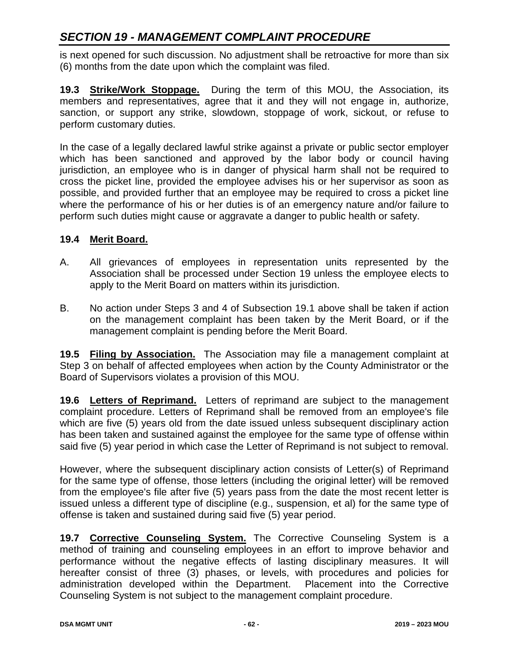is next opened for such discussion. No adjustment shall be retroactive for more than six (6) months from the date upon which the complaint was filed.

**19.3 Strike/Work Stoppage.** During the term of this MOU, the Association, its members and representatives, agree that it and they will not engage in, authorize, sanction, or support any strike, slowdown, stoppage of work, sickout, or refuse to perform customary duties.

In the case of a legally declared lawful strike against a private or public sector employer which has been sanctioned and approved by the labor body or council having jurisdiction, an employee who is in danger of physical harm shall not be required to cross the picket line, provided the employee advises his or her supervisor as soon as possible, and provided further that an employee may be required to cross a picket line where the performance of his or her duties is of an emergency nature and/or failure to perform such duties might cause or aggravate a danger to public health or safety.

### **19.4 Merit Board.**

- A. All grievances of employees in representation units represented by the Association shall be processed under Section 19 unless the employee elects to apply to the Merit Board on matters within its jurisdiction.
- B. No action under Steps 3 and 4 of Subsection 19.1 above shall be taken if action on the management complaint has been taken by the Merit Board, or if the management complaint is pending before the Merit Board.

**19.5 Filing by Association.** The Association may file a management complaint at Step 3 on behalf of affected employees when action by the County Administrator or the Board of Supervisors violates a provision of this MOU.

**19.6 Letters of Reprimand.** Letters of reprimand are subject to the management complaint procedure. Letters of Reprimand shall be removed from an employee's file which are five (5) years old from the date issued unless subsequent disciplinary action has been taken and sustained against the employee for the same type of offense within said five (5) year period in which case the Letter of Reprimand is not subject to removal.

However, where the subsequent disciplinary action consists of Letter(s) of Reprimand for the same type of offense, those letters (including the original letter) will be removed from the employee's file after five (5) years pass from the date the most recent letter is issued unless a different type of discipline (e.g., suspension, et al) for the same type of offense is taken and sustained during said five (5) year period.

**19.7 Corrective Counseling System.** The Corrective Counseling System is a method of training and counseling employees in an effort to improve behavior and performance without the negative effects of lasting disciplinary measures. It will hereafter consist of three (3) phases, or levels, with procedures and policies for administration developed within the Department. Placement into the Corrective Counseling System is not subject to the management complaint procedure.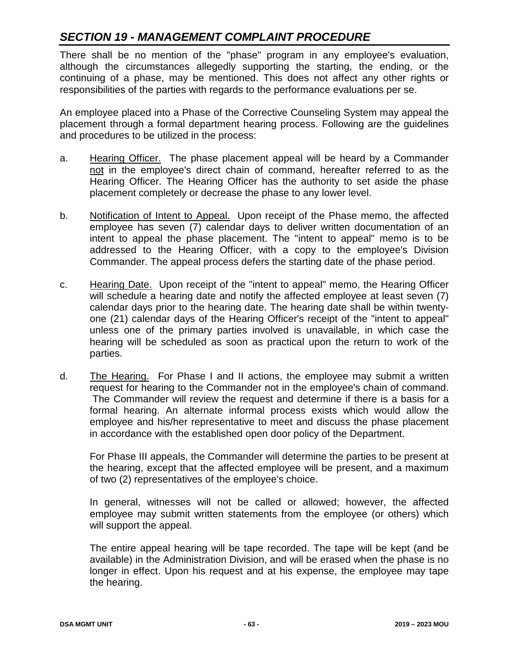There shall be no mention of the "phase" program in any employee's evaluation, although the circumstances allegedly supporting the starting, the ending, or the continuing of a phase, may be mentioned. This does not affect any other rights or responsibilities of the parties with regards to the performance evaluations per se.

An employee placed into a Phase of the Corrective Counseling System may appeal the placement through a formal department hearing process. Following are the guidelines and procedures to be utilized in the process:

- a. Hearing Officer. The phase placement appeal will be heard by a Commander not in the employee's direct chain of command, hereafter referred to as the Hearing Officer. The Hearing Officer has the authority to set aside the phase placement completely or decrease the phase to any lower level.
- b. Notification of Intent to Appeal. Upon receipt of the Phase memo, the affected employee has seven (7) calendar days to deliver written documentation of an intent to appeal the phase placement. The "intent to appeal" memo is to be addressed to the Hearing Officer, with a copy to the employee's Division Commander. The appeal process defers the starting date of the phase period.
- c. Hearing Date. Upon receipt of the "intent to appeal" memo, the Hearing Officer will schedule a hearing date and notify the affected employee at least seven (7) calendar days prior to the hearing date. The hearing date shall be within twentyone (21) calendar days of the Hearing Officer's receipt of the "intent to appeal" unless one of the primary parties involved is unavailable, in which case the hearing will be scheduled as soon as practical upon the return to work of the parties.
- d. The Hearing. For Phase I and II actions, the employee may submit a written request for hearing to the Commander not in the employee's chain of command. The Commander will review the request and determine if there is a basis for a formal hearing. An alternate informal process exists which would allow the employee and his/her representative to meet and discuss the phase placement in accordance with the established open door policy of the Department.

For Phase III appeals, the Commander will determine the parties to be present at the hearing, except that the affected employee will be present, and a maximum of two (2) representatives of the employee's choice.

In general, witnesses will not be called or allowed; however, the affected employee may submit written statements from the employee (or others) which will support the appeal.

The entire appeal hearing will be tape recorded. The tape will be kept (and be available) in the Administration Division, and will be erased when the phase is no longer in effect. Upon his request and at his expense, the employee may tape the hearing.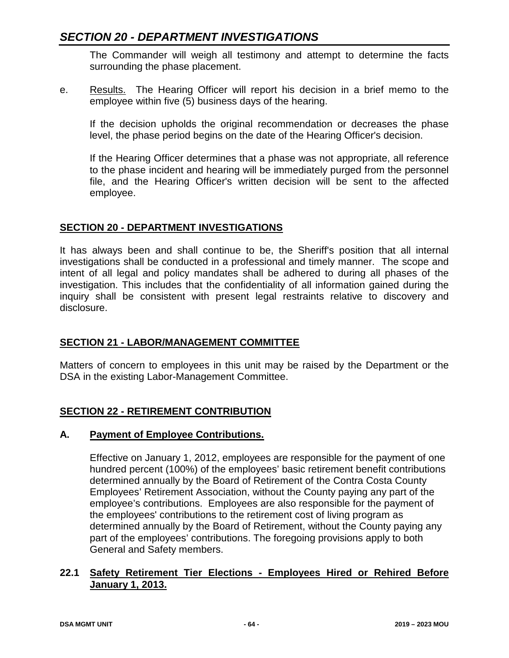## *SECTION 20 - DEPARTMENT INVESTIGATIONS*

The Commander will weigh all testimony and attempt to determine the facts surrounding the phase placement.

e. Results. The Hearing Officer will report his decision in a brief memo to the employee within five (5) business days of the hearing.

If the decision upholds the original recommendation or decreases the phase level, the phase period begins on the date of the Hearing Officer's decision.

If the Hearing Officer determines that a phase was not appropriate, all reference to the phase incident and hearing will be immediately purged from the personnel file, and the Hearing Officer's written decision will be sent to the affected employee.

### **SECTION 20 - DEPARTMENT INVESTIGATIONS**

It has always been and shall continue to be, the Sheriff's position that all internal investigations shall be conducted in a professional and timely manner. The scope and intent of all legal and policy mandates shall be adhered to during all phases of the investigation. This includes that the confidentiality of all information gained during the inquiry shall be consistent with present legal restraints relative to discovery and disclosure.

### **SECTION 21 - LABOR/MANAGEMENT COMMITTEE**

Matters of concern to employees in this unit may be raised by the Department or the DSA in the existing Labor-Management Committee.

### **SECTION 22 - RETIREMENT CONTRIBUTION**

### **A. Payment of Employee Contributions.**

Effective on January 1, 2012, employees are responsible for the payment of one hundred percent (100%) of the employees' basic retirement benefit contributions determined annually by the Board of Retirement of the Contra Costa County Employees' Retirement Association, without the County paying any part of the employee's contributions. Employees are also responsible for the payment of the employees' contributions to the retirement cost of living program as determined annually by the Board of Retirement, without the County paying any part of the employees' contributions. The foregoing provisions apply to both General and Safety members.

### **22.1 Safety Retirement Tier Elections - Employees Hired or Rehired Before January 1, 2013.**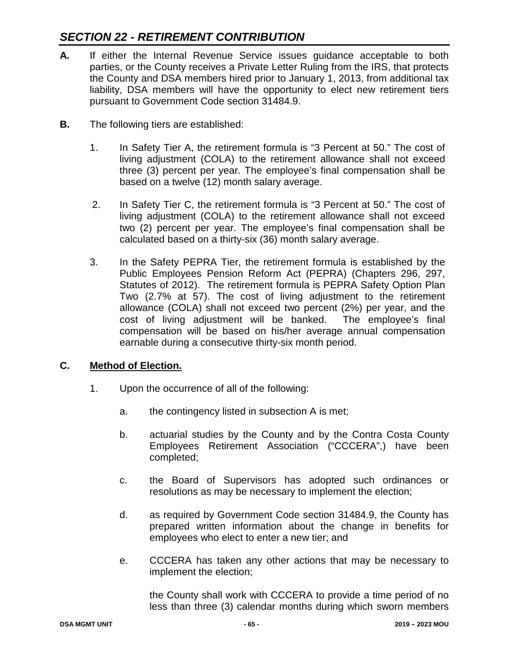## *SECTION 22 - RETIREMENT CONTRIBUTION*

- **A.** If either the Internal Revenue Service issues guidance acceptable to both parties, or the County receives a Private Letter Ruling from the IRS, that protects the County and DSA members hired prior to January 1, 2013, from additional tax liability, DSA members will have the opportunity to elect new retirement tiers pursuant to Government Code section 31484.9.
- **B.** The following tiers are established:
	- 1. In Safety Tier A, the retirement formula is "3 Percent at 50." The cost of living adjustment (COLA) to the retirement allowance shall not exceed three (3) percent per year. The employee's final compensation shall be based on a twelve (12) month salary average.
	- 2. In Safety Tier C, the retirement formula is "3 Percent at 50." The cost of living adjustment (COLA) to the retirement allowance shall not exceed two (2) percent per year. The employee's final compensation shall be calculated based on a thirty-six (36) month salary average.
	- 3. In the Safety PEPRA Tier, the retirement formula is established by the Public Employees Pension Reform Act (PEPRA) (Chapters 296, 297, Statutes of 2012). The retirement formula is PEPRA Safety Option Plan Two (2.7% at 57). The cost of living adjustment to the retirement allowance (COLA) shall not exceed two percent (2%) per year, and the cost of living adjustment will be banked. The employee's final compensation will be based on his/her average annual compensation earnable during a consecutive thirty-six month period.

### **C. Method of Election.**

- 1. Upon the occurrence of all of the following:
	- a. the contingency listed in subsection A is met;
	- b. actuarial studies by the County and by the Contra Costa County Employees Retirement Association ("CCCERA",) have been completed;
	- c. the Board of Supervisors has adopted such ordinances or resolutions as may be necessary to implement the election;
	- d. as required by Government Code section 31484.9, the County has prepared written information about the change in benefits for employees who elect to enter a new tier; and
	- e. CCCERA has taken any other actions that may be necessary to implement the election;

the County shall work with CCCERA to provide a time period of no less than three (3) calendar months during which sworn members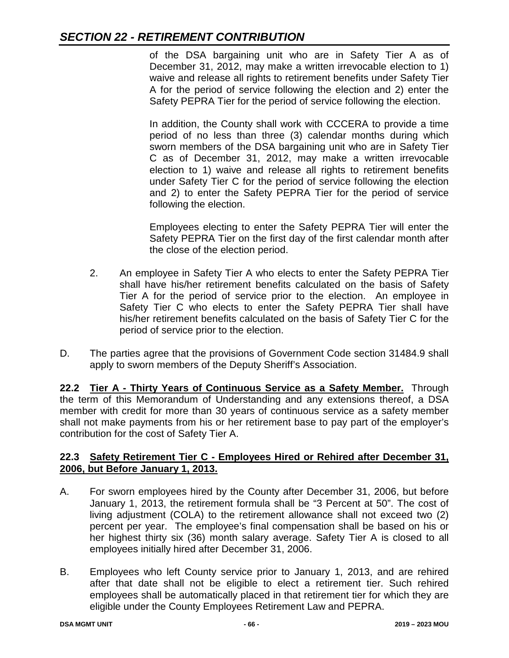## *SECTION 22 - RETIREMENT CONTRIBUTION*

of the DSA bargaining unit who are in Safety Tier A as of December 31, 2012, may make a written irrevocable election to 1) waive and release all rights to retirement benefits under Safety Tier A for the period of service following the election and 2) enter the Safety PEPRA Tier for the period of service following the election.

In addition, the County shall work with CCCERA to provide a time period of no less than three (3) calendar months during which sworn members of the DSA bargaining unit who are in Safety Tier C as of December 31, 2012, may make a written irrevocable election to 1) waive and release all rights to retirement benefits under Safety Tier C for the period of service following the election and 2) to enter the Safety PEPRA Tier for the period of service following the election.

Employees electing to enter the Safety PEPRA Tier will enter the Safety PEPRA Tier on the first day of the first calendar month after the close of the election period.

- 2. An employee in Safety Tier A who elects to enter the Safety PEPRA Tier shall have his/her retirement benefits calculated on the basis of Safety Tier A for the period of service prior to the election. An employee in Safety Tier C who elects to enter the Safety PEPRA Tier shall have his/her retirement benefits calculated on the basis of Safety Tier C for the period of service prior to the election.
- D. The parties agree that the provisions of Government Code section 31484.9 shall apply to sworn members of the Deputy Sheriff's Association.

**22.2 Tier A - Thirty Years of Continuous Service as a Safety Member.** Through the term of this Memorandum of Understanding and any extensions thereof, a DSA member with credit for more than 30 years of continuous service as a safety member shall not make payments from his or her retirement base to pay part of the employer's contribution for the cost of Safety Tier A.

### **22.3 Safety Retirement Tier C - Employees Hired or Rehired after December 31, 2006, but Before January 1, 2013.**

- A. For sworn employees hired by the County after December 31, 2006, but before January 1, 2013, the retirement formula shall be "3 Percent at 50". The cost of living adjustment (COLA) to the retirement allowance shall not exceed two (2) percent per year. The employee's final compensation shall be based on his or her highest thirty six (36) month salary average. Safety Tier A is closed to all employees initially hired after December 31, 2006.
- B. Employees who left County service prior to January 1, 2013, and are rehired after that date shall not be eligible to elect a retirement tier. Such rehired employees shall be automatically placed in that retirement tier for which they are eligible under the County Employees Retirement Law and PEPRA.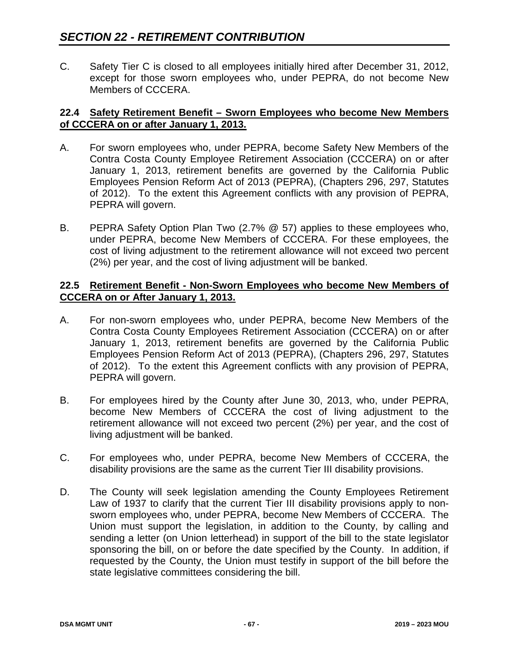C. Safety Tier C is closed to all employees initially hired after December 31, 2012, except for those sworn employees who, under PEPRA, do not become New Members of CCCERA.

#### **22.4 Safety Retirement Benefit – Sworn Employees who become New Members of CCCERA on or after January 1, 2013.**

- A. For sworn employees who, under PEPRA, become Safety New Members of the Contra Costa County Employee Retirement Association (CCCERA) on or after January 1, 2013, retirement benefits are governed by the California Public Employees Pension Reform Act of 2013 (PEPRA), (Chapters 296, 297, Statutes of 2012). To the extent this Agreement conflicts with any provision of PEPRA, PEPRA will govern.
- B. PEPRA Safety Option Plan Two (2.7% @ 57) applies to these employees who, under PEPRA, become New Members of CCCERA. For these employees, the cost of living adjustment to the retirement allowance will not exceed two percent (2%) per year, and the cost of living adjustment will be banked.

#### **22.5 Retirement Benefit - Non-Sworn Employees who become New Members of CCCERA on or After January 1, 2013.**

- A. For non-sworn employees who, under PEPRA, become New Members of the Contra Costa County Employees Retirement Association (CCCERA) on or after January 1, 2013, retirement benefits are governed by the California Public Employees Pension Reform Act of 2013 (PEPRA), (Chapters 296, 297, Statutes of 2012). To the extent this Agreement conflicts with any provision of PEPRA, PEPRA will govern.
- B. For employees hired by the County after June 30, 2013, who, under PEPRA, become New Members of CCCERA the cost of living adjustment to the retirement allowance will not exceed two percent (2%) per year, and the cost of living adjustment will be banked.
- C. For employees who, under PEPRA, become New Members of CCCERA, the disability provisions are the same as the current Tier III disability provisions.
- D. The County will seek legislation amending the County Employees Retirement Law of 1937 to clarify that the current Tier III disability provisions apply to nonsworn employees who, under PEPRA, become New Members of CCCERA. The Union must support the legislation, in addition to the County, by calling and sending a letter (on Union letterhead) in support of the bill to the state legislator sponsoring the bill, on or before the date specified by the County. In addition, if requested by the County, the Union must testify in support of the bill before the state legislative committees considering the bill.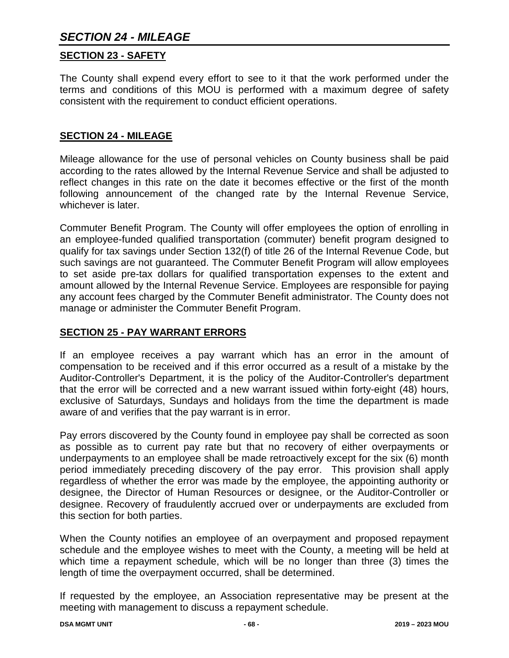# *SECTION 24 - MILEAGE*

#### **SECTION 23 - SAFETY**

The County shall expend every effort to see to it that the work performed under the terms and conditions of this MOU is performed with a maximum degree of safety consistent with the requirement to conduct efficient operations.

#### **SECTION 24 - MILEAGE**

Mileage allowance for the use of personal vehicles on County business shall be paid according to the rates allowed by the Internal Revenue Service and shall be adjusted to reflect changes in this rate on the date it becomes effective or the first of the month following announcement of the changed rate by the Internal Revenue Service, whichever is later.

Commuter Benefit Program. The County will offer employees the option of enrolling in an employee-funded qualified transportation (commuter) benefit program designed to qualify for tax savings under Section 132(f) of title 26 of the Internal Revenue Code, but such savings are not guaranteed. The Commuter Benefit Program will allow employees to set aside pre-tax dollars for qualified transportation expenses to the extent and amount allowed by the Internal Revenue Service. Employees are responsible for paying any account fees charged by the Commuter Benefit administrator. The County does not manage or administer the Commuter Benefit Program.

#### **SECTION 25 - PAY WARRANT ERRORS**

If an employee receives a pay warrant which has an error in the amount of compensation to be received and if this error occurred as a result of a mistake by the Auditor-Controller's Department, it is the policy of the Auditor-Controller's department that the error will be corrected and a new warrant issued within forty-eight (48) hours, exclusive of Saturdays, Sundays and holidays from the time the department is made aware of and verifies that the pay warrant is in error.

Pay errors discovered by the County found in employee pay shall be corrected as soon as possible as to current pay rate but that no recovery of either overpayments or underpayments to an employee shall be made retroactively except for the six (6) month period immediately preceding discovery of the pay error. This provision shall apply regardless of whether the error was made by the employee, the appointing authority or designee, the Director of Human Resources or designee, or the Auditor-Controller or designee. Recovery of fraudulently accrued over or underpayments are excluded from this section for both parties.

When the County notifies an employee of an overpayment and proposed repayment schedule and the employee wishes to meet with the County, a meeting will be held at which time a repayment schedule, which will be no longer than three (3) times the length of time the overpayment occurred, shall be determined.

If requested by the employee, an Association representative may be present at the meeting with management to discuss a repayment schedule.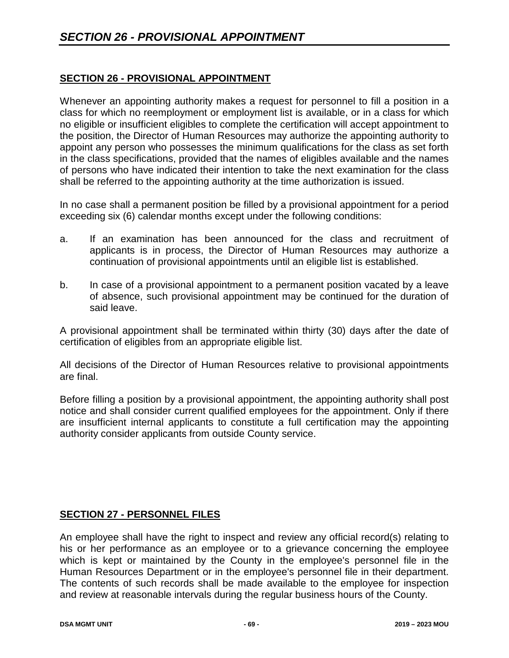### **SECTION 26 - PROVISIONAL APPOINTMENT**

Whenever an appointing authority makes a request for personnel to fill a position in a class for which no reemployment or employment list is available, or in a class for which no eligible or insufficient eligibles to complete the certification will accept appointment to the position, the Director of Human Resources may authorize the appointing authority to appoint any person who possesses the minimum qualifications for the class as set forth in the class specifications, provided that the names of eligibles available and the names of persons who have indicated their intention to take the next examination for the class shall be referred to the appointing authority at the time authorization is issued.

In no case shall a permanent position be filled by a provisional appointment for a period exceeding six (6) calendar months except under the following conditions:

- a. If an examination has been announced for the class and recruitment of applicants is in process, the Director of Human Resources may authorize a continuation of provisional appointments until an eligible list is established.
- b. In case of a provisional appointment to a permanent position vacated by a leave of absence, such provisional appointment may be continued for the duration of said leave.

A provisional appointment shall be terminated within thirty (30) days after the date of certification of eligibles from an appropriate eligible list.

All decisions of the Director of Human Resources relative to provisional appointments are final.

Before filling a position by a provisional appointment, the appointing authority shall post notice and shall consider current qualified employees for the appointment. Only if there are insufficient internal applicants to constitute a full certification may the appointing authority consider applicants from outside County service.

## **SECTION 27 - PERSONNEL FILES**

An employee shall have the right to inspect and review any official record(s) relating to his or her performance as an employee or to a grievance concerning the employee which is kept or maintained by the County in the employee's personnel file in the Human Resources Department or in the employee's personnel file in their department. The contents of such records shall be made available to the employee for inspection and review at reasonable intervals during the regular business hours of the County.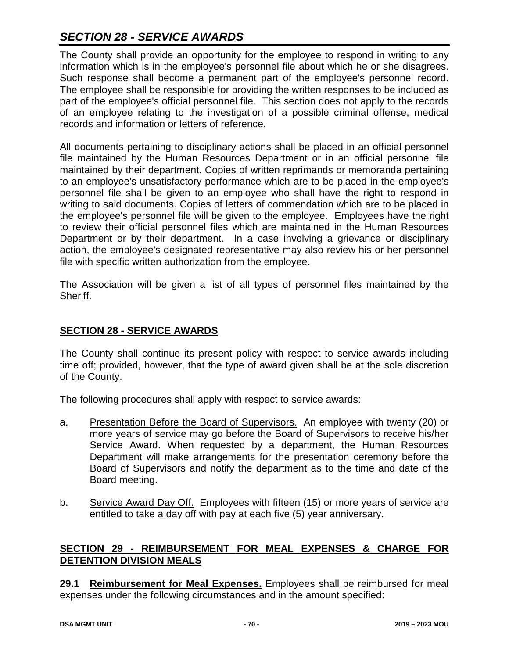# *SECTION 28 - SERVICE AWARDS*

The County shall provide an opportunity for the employee to respond in writing to any information which is in the employee's personnel file about which he or she disagrees. Such response shall become a permanent part of the employee's personnel record. The employee shall be responsible for providing the written responses to be included as part of the employee's official personnel file. This section does not apply to the records of an employee relating to the investigation of a possible criminal offense, medical records and information or letters of reference.

All documents pertaining to disciplinary actions shall be placed in an official personnel file maintained by the Human Resources Department or in an official personnel file maintained by their department. Copies of written reprimands or memoranda pertaining to an employee's unsatisfactory performance which are to be placed in the employee's personnel file shall be given to an employee who shall have the right to respond in writing to said documents. Copies of letters of commendation which are to be placed in the employee's personnel file will be given to the employee. Employees have the right to review their official personnel files which are maintained in the Human Resources Department or by their department. In a case involving a grievance or disciplinary action, the employee's designated representative may also review his or her personnel file with specific written authorization from the employee.

The Association will be given a list of all types of personnel files maintained by the Sheriff.

## **SECTION 28 - SERVICE AWARDS**

The County shall continue its present policy with respect to service awards including time off; provided, however, that the type of award given shall be at the sole discretion of the County.

The following procedures shall apply with respect to service awards:

- a. Presentation Before the Board of Supervisors. An employee with twenty (20) or more years of service may go before the Board of Supervisors to receive his/her Service Award. When requested by a department, the Human Resources Department will make arrangements for the presentation ceremony before the Board of Supervisors and notify the department as to the time and date of the Board meeting.
- b. Service Award Day Off. Employees with fifteen (15) or more years of service are entitled to take a day off with pay at each five (5) year anniversary.

## **SECTION 29 - REIMBURSEMENT FOR MEAL EXPENSES & CHARGE FOR DETENTION DIVISION MEALS**

**29.1 Reimbursement for Meal Expenses.** Employees shall be reimbursed for meal expenses under the following circumstances and in the amount specified: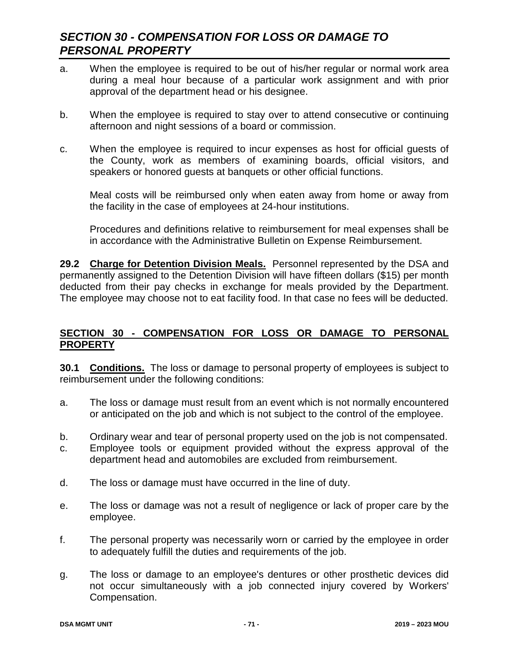# *SECTION 30 - COMPENSATION FOR LOSS OR DAMAGE TO PERSONAL PROPERTY*

- a. When the employee is required to be out of his/her regular or normal work area during a meal hour because of a particular work assignment and with prior approval of the department head or his designee.
- b. When the employee is required to stay over to attend consecutive or continuing afternoon and night sessions of a board or commission.
- c. When the employee is required to incur expenses as host for official guests of the County, work as members of examining boards, official visitors, and speakers or honored guests at banquets or other official functions.

Meal costs will be reimbursed only when eaten away from home or away from the facility in the case of employees at 24-hour institutions.

Procedures and definitions relative to reimbursement for meal expenses shall be in accordance with the Administrative Bulletin on Expense Reimbursement.

**29.2 Charge for Detention Division Meals.** Personnel represented by the DSA and permanently assigned to the Detention Division will have fifteen dollars (\$15) per month deducted from their pay checks in exchange for meals provided by the Department. The employee may choose not to eat facility food. In that case no fees will be deducted.

### **SECTION 30 - COMPENSATION FOR LOSS OR DAMAGE TO PERSONAL PROPERTY**

**30.1 Conditions.** The loss or damage to personal property of employees is subject to reimbursement under the following conditions:

- a. The loss or damage must result from an event which is not normally encountered or anticipated on the job and which is not subject to the control of the employee.
- b. Ordinary wear and tear of personal property used on the job is not compensated.
- c. Employee tools or equipment provided without the express approval of the department head and automobiles are excluded from reimbursement.
- d. The loss or damage must have occurred in the line of duty.
- e. The loss or damage was not a result of negligence or lack of proper care by the employee.
- f. The personal property was necessarily worn or carried by the employee in order to adequately fulfill the duties and requirements of the job.
- g. The loss or damage to an employee's dentures or other prosthetic devices did not occur simultaneously with a job connected injury covered by Workers' Compensation.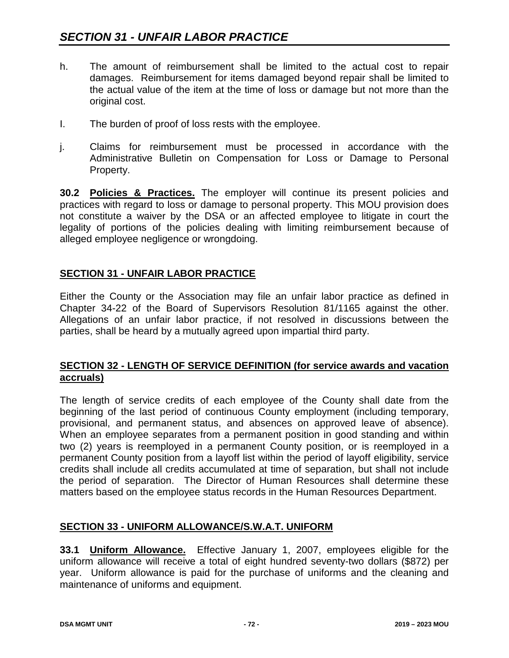- h. The amount of reimbursement shall be limited to the actual cost to repair damages. Reimbursement for items damaged beyond repair shall be limited to the actual value of the item at the time of loss or damage but not more than the original cost.
- I. The burden of proof of loss rests with the employee.
- j. Claims for reimbursement must be processed in accordance with the Administrative Bulletin on Compensation for Loss or Damage to Personal Property.

**30.2 Policies & Practices.** The employer will continue its present policies and practices with regard to loss or damage to personal property. This MOU provision does not constitute a waiver by the DSA or an affected employee to litigate in court the legality of portions of the policies dealing with limiting reimbursement because of alleged employee negligence or wrongdoing.

### **SECTION 31 - UNFAIR LABOR PRACTICE**

Either the County or the Association may file an unfair labor practice as defined in Chapter 34-22 of the Board of Supervisors Resolution 81/1165 against the other. Allegations of an unfair labor practice, if not resolved in discussions between the parties, shall be heard by a mutually agreed upon impartial third party.

#### **SECTION 32 - LENGTH OF SERVICE DEFINITION (for service awards and vacation accruals)**

The length of service credits of each employee of the County shall date from the beginning of the last period of continuous County employment (including temporary, provisional, and permanent status, and absences on approved leave of absence). When an employee separates from a permanent position in good standing and within two (2) years is reemployed in a permanent County position, or is reemployed in a permanent County position from a layoff list within the period of layoff eligibility, service credits shall include all credits accumulated at time of separation, but shall not include the period of separation. The Director of Human Resources shall determine these matters based on the employee status records in the Human Resources Department.

#### **SECTION 33 - UNIFORM ALLOWANCE/S.W.A.T. UNIFORM**

**33.1 Uniform Allowance.** Effective January 1, 2007, employees eligible for the uniform allowance will receive a total of eight hundred seventy-two dollars (\$872) per year. Uniform allowance is paid for the purchase of uniforms and the cleaning and maintenance of uniforms and equipment.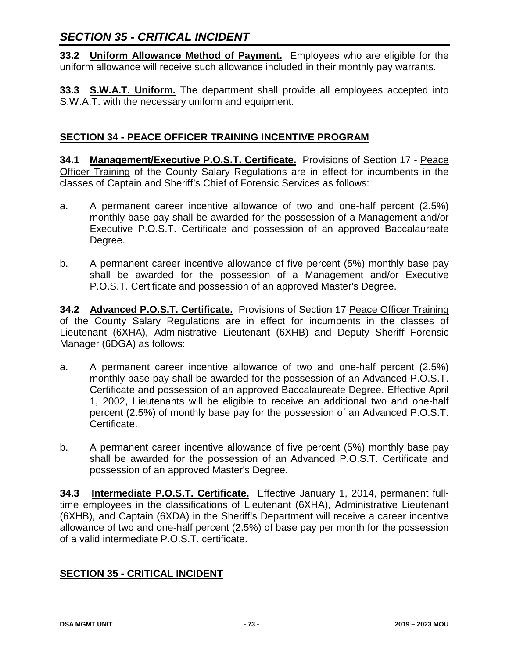# *SECTION 35 - CRITICAL INCIDENT*

**33.2 Uniform Allowance Method of Payment.** Employees who are eligible for the uniform allowance will receive such allowance included in their monthly pay warrants.

**33.3 S.W.A.T. Uniform.** The department shall provide all employees accepted into S.W.A.T. with the necessary uniform and equipment.

### **SECTION 34 - PEACE OFFICER TRAINING INCENTIVE PROGRAM**

**34.1 Management/Executive P.O.S.T. Certificate.** Provisions of Section 17 - Peace Officer Training of the County Salary Regulations are in effect for incumbents in the classes of Captain and Sheriff's Chief of Forensic Services as follows:

- a. A permanent career incentive allowance of two and one-half percent (2.5%) monthly base pay shall be awarded for the possession of a Management and/or Executive P.O.S.T. Certificate and possession of an approved Baccalaureate Degree.
- b. A permanent career incentive allowance of five percent (5%) monthly base pay shall be awarded for the possession of a Management and/or Executive P.O.S.T. Certificate and possession of an approved Master's Degree.

**34.2 Advanced P.O.S.T. Certificate.** Provisions of Section 17 Peace Officer Training of the County Salary Regulations are in effect for incumbents in the classes of Lieutenant (6XHA), Administrative Lieutenant (6XHB) and Deputy Sheriff Forensic Manager (6DGA) as follows:

- a. A permanent career incentive allowance of two and one-half percent (2.5%) monthly base pay shall be awarded for the possession of an Advanced P.O.S.T. Certificate and possession of an approved Baccalaureate Degree. Effective April 1, 2002, Lieutenants will be eligible to receive an additional two and one-half percent (2.5%) of monthly base pay for the possession of an Advanced P.O.S.T. Certificate.
- b. A permanent career incentive allowance of five percent (5%) monthly base pay shall be awarded for the possession of an Advanced P.O.S.T. Certificate and possession of an approved Master's Degree.

**34.3 Intermediate P.O.S.T. Certificate.** Effective January 1, 2014, permanent fulltime employees in the classifications of Lieutenant (6XHA), Administrative Lieutenant (6XHB), and Captain (6XDA) in the Sheriff's Department will receive a career incentive allowance of two and one-half percent (2.5%) of base pay per month for the possession of a valid intermediate P.O.S.T. certificate.

## **SECTION 35 - CRITICAL INCIDENT**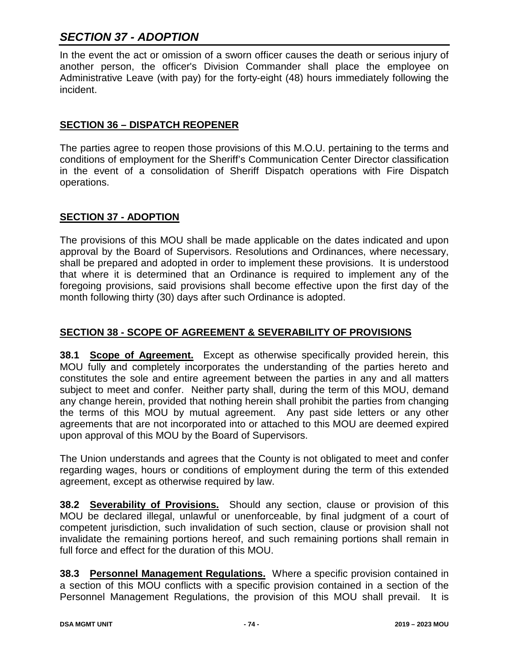# *SECTION 37 - ADOPTION*

In the event the act or omission of a sworn officer causes the death or serious injury of another person, the officer's Division Commander shall place the employee on Administrative Leave (with pay) for the forty-eight (48) hours immediately following the incident.

### **SECTION 36 – DISPATCH REOPENER**

The parties agree to reopen those provisions of this M.O.U. pertaining to the terms and conditions of employment for the Sheriff's Communication Center Director classification in the event of a consolidation of Sheriff Dispatch operations with Fire Dispatch operations.

### **SECTION 37 - ADOPTION**

The provisions of this MOU shall be made applicable on the dates indicated and upon approval by the Board of Supervisors. Resolutions and Ordinances, where necessary, shall be prepared and adopted in order to implement these provisions. It is understood that where it is determined that an Ordinance is required to implement any of the foregoing provisions, said provisions shall become effective upon the first day of the month following thirty (30) days after such Ordinance is adopted.

## **SECTION 38 - SCOPE OF AGREEMENT & SEVERABILITY OF PROVISIONS**

**38.1 Scope of Agreement.** Except as otherwise specifically provided herein, this MOU fully and completely incorporates the understanding of the parties hereto and constitutes the sole and entire agreement between the parties in any and all matters subject to meet and confer. Neither party shall, during the term of this MOU, demand any change herein, provided that nothing herein shall prohibit the parties from changing the terms of this MOU by mutual agreement. Any past side letters or any other agreements that are not incorporated into or attached to this MOU are deemed expired upon approval of this MOU by the Board of Supervisors.

The Union understands and agrees that the County is not obligated to meet and confer regarding wages, hours or conditions of employment during the term of this extended agreement, except as otherwise required by law.

**38.2 Severability of Provisions.** Should any section, clause or provision of this MOU be declared illegal, unlawful or unenforceable, by final judgment of a court of competent jurisdiction, such invalidation of such section, clause or provision shall not invalidate the remaining portions hereof, and such remaining portions shall remain in full force and effect for the duration of this MOU.

**38.3 Personnel Management Regulations.** Where a specific provision contained in a section of this MOU conflicts with a specific provision contained in a section of the Personnel Management Regulations, the provision of this MOU shall prevail. It is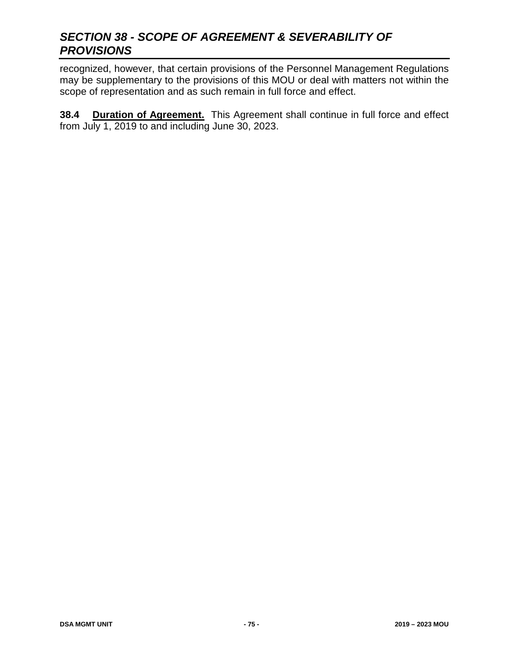# *SECTION 38 - SCOPE OF AGREEMENT & SEVERABILITY OF PROVISIONS*

recognized, however, that certain provisions of the Personnel Management Regulations may be supplementary to the provisions of this MOU or deal with matters not within the scope of representation and as such remain in full force and effect.

**38.4 Duration of Agreement.** This Agreement shall continue in full force and effect from July 1, 2019 to and including June 30, 2023.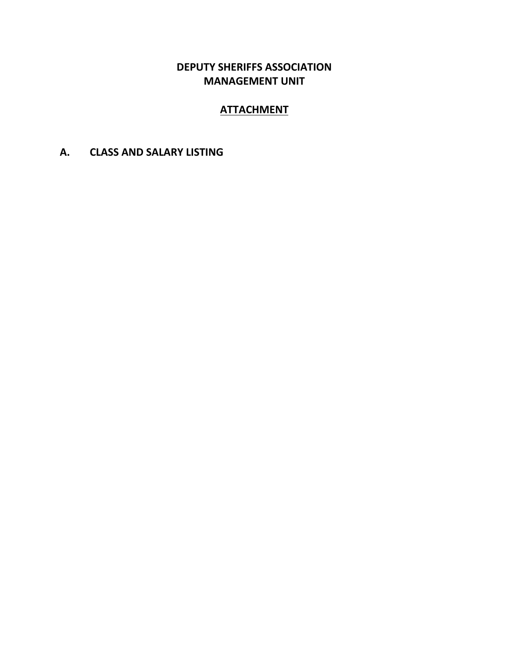# **DEPUTY SHERIFFS ASSOCIATION MANAGEMENT UNIT**

# **ATTACHMENT**

**A. CLASS AND SALARY LISTING**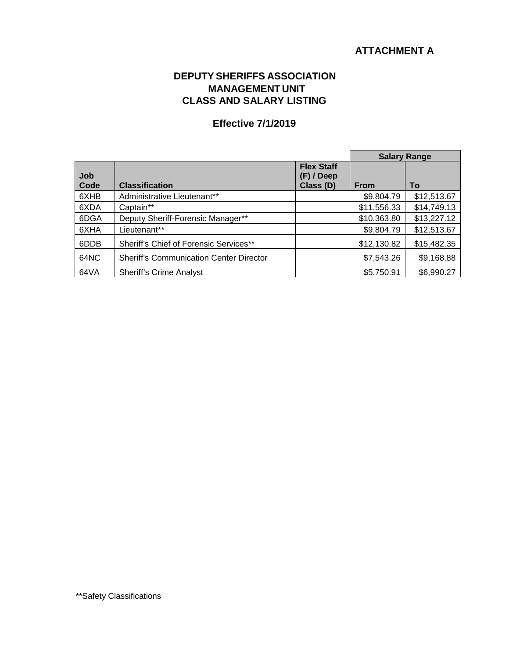## **ATTACHMENT A**

### **DEPUTYSHERIFFS ASSOCIATION MANAGEMENT UNIT CLASS AND SALARY LISTING**

### **Effective 7/1/2019**

|             |                                                |                                                | <b>Salary Range</b> |             |
|-------------|------------------------------------------------|------------------------------------------------|---------------------|-------------|
| Job<br>Code | <b>Classification</b>                          | <b>Flex Staff</b><br>$(F)$ / Deep<br>Class (D) | From                | To          |
| 6XHB        | Administrative Lieutenant**                    |                                                | \$9,804.79          | \$12,513.67 |
| 6XDA        | Captain**                                      |                                                | \$11,556.33         | \$14,749.13 |
| 6DGA        | Deputy Sheriff-Forensic Manager**              |                                                | \$10,363.80         | \$13,227.12 |
| 6XHA        | Lieutenant**                                   |                                                | \$9,804.79          | \$12,513.67 |
| 6DDB        | Sheriff's Chief of Forensic Services**         |                                                | \$12,130.82         | \$15,482.35 |
| 64NC        | <b>Sheriff's Communication Center Director</b> |                                                | \$7,543.26          | \$9,168.88  |
| 64VA        | <b>Sheriff's Crime Analyst</b>                 |                                                | \$5,750.91          | \$6,990.27  |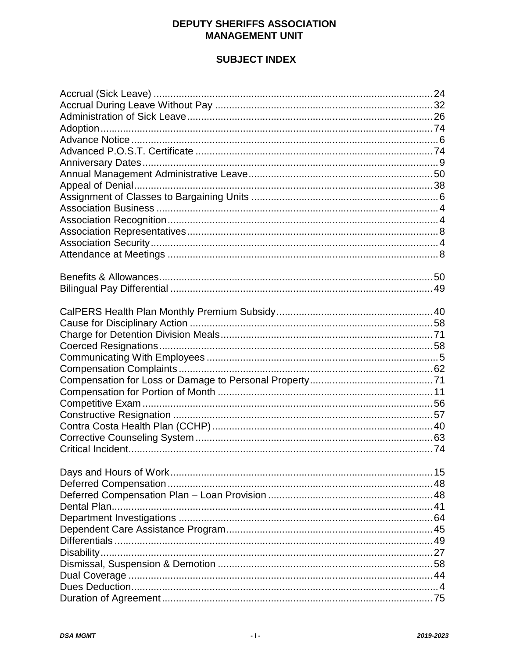## **DEPUTY SHERIFFS ASSOCIATION MANAGEMENT UNIT**

# **SUBJECT INDEX**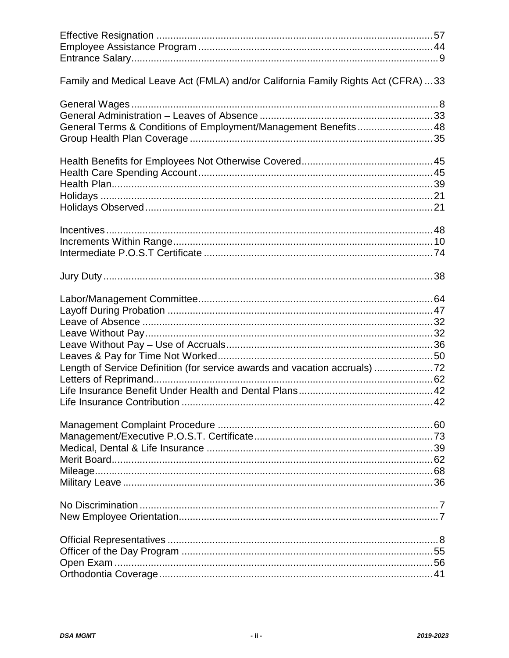| Family and Medical Leave Act (FMLA) and/or California Family Rights Act (CFRA) 33 |  |
|-----------------------------------------------------------------------------------|--|
| General Terms & Conditions of Employment/Management Benefits 48                   |  |
|                                                                                   |  |
|                                                                                   |  |
|                                                                                   |  |
| Length of Service Definition (for service awards and vacation accruals) 72        |  |
|                                                                                   |  |
|                                                                                   |  |
|                                                                                   |  |
|                                                                                   |  |